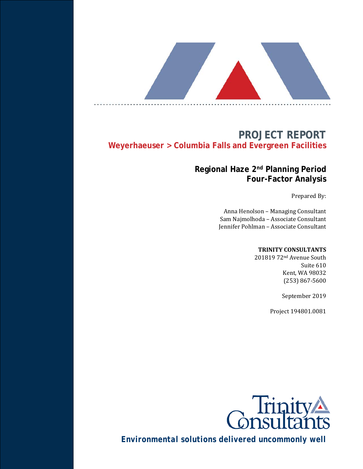# **PROJECT REPORT Weyerhaeuser > Columbia Falls and Evergreen Facilities**

# **Regional Haze 2nd Planning Period Four-Factor Analysis**

Prepared By:

Anna Henolson – Managing Consultant Sam Najmolhoda – Associate Consultant Jennifer Pohlman – Associate Consultant

#### **TRINITY CONSULTANTS**

201819 72nd Avenue South Suite 610 Kent, WA 98032 (253) 867-5600

September 2019

Project 194801.0081



*Environmental solutions delivered uncommonly well*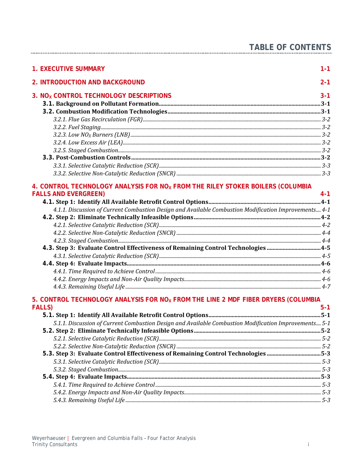| <b>TABLE OF CONTENTS</b> |  |  |  |  |  |  |  |  |  |  |  |  |  |  |  |  |  |  |  |
|--------------------------|--|--|--|--|--|--|--|--|--|--|--|--|--|--|--|--|--|--|--|
|                          |  |  |  |  |  |  |  |  |  |  |  |  |  |  |  |  |  |  |  |

| <b>1. EXECUTIVE SUMMARY</b>                                                                           | $1 - 1$ |
|-------------------------------------------------------------------------------------------------------|---------|
| <b>2. INTRODUCTION AND BACKGROUND</b>                                                                 | $2 - 1$ |
| 3. NO <sub>x</sub> CONTROL TECHNOLOGY DESCRIPTIONS                                                    | $3 - 1$ |
|                                                                                                       |         |
|                                                                                                       |         |
|                                                                                                       |         |
|                                                                                                       |         |
|                                                                                                       |         |
|                                                                                                       |         |
|                                                                                                       |         |
|                                                                                                       |         |
|                                                                                                       |         |
|                                                                                                       |         |
| 4. CONTROL TECHNOLOGY ANALYSIS FOR NO <sub>X</sub> FROM THE RILEY STOKER BOILERS (COLUMBIA            |         |
| <b>FALLS AND EVERGREEN)</b>                                                                           | $4 - 1$ |
|                                                                                                       |         |
| 4.1.1. Discussion of Current Combustion Design and Available Combustion Modification Improvements 4-1 |         |
|                                                                                                       |         |
|                                                                                                       |         |
|                                                                                                       |         |
|                                                                                                       |         |
|                                                                                                       |         |
|                                                                                                       |         |
|                                                                                                       |         |
|                                                                                                       |         |
|                                                                                                       |         |

#### 5. CONTROL TECHNOLOGY ANALYSIS FOR NO<sub>x</sub> FROM THE LINE 2 MDF FIBER DRYERS (COLUMBIA **FALLS)**  $5 - 1$

| 5.1.1. Discussion of Current Combustion Design and Available Combustion Modification Improvements 5-1 |  |
|-------------------------------------------------------------------------------------------------------|--|
|                                                                                                       |  |
|                                                                                                       |  |
|                                                                                                       |  |
| 5.3. Step 3: Evaluate Control Effectiveness of Remaining Control Technologies 5-3                     |  |
|                                                                                                       |  |
|                                                                                                       |  |
|                                                                                                       |  |
|                                                                                                       |  |
|                                                                                                       |  |
|                                                                                                       |  |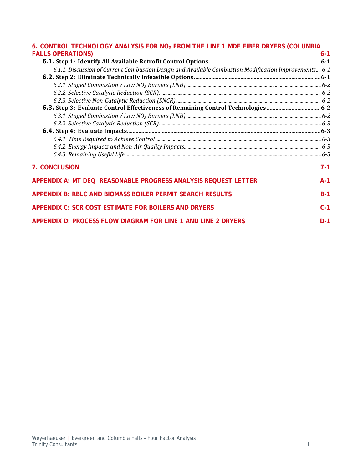#### 6. CONTROL TECHNOLOGY ANALYSIS FOR NO<sub>X</sub> FROM THE LINE 1 MDF FIBER DRYERS (COLUMBIA **FALLS OPERATIONS**) 6-1 **[FALLS OPERATIONS\)](#page-21-0)**

| 6.1.1. Discussion of Current Combustion Design and Available Combustion Modification Improvements 6-1 |         |
|-------------------------------------------------------------------------------------------------------|---------|
|                                                                                                       |         |
|                                                                                                       |         |
|                                                                                                       |         |
|                                                                                                       |         |
|                                                                                                       |         |
|                                                                                                       |         |
|                                                                                                       |         |
|                                                                                                       |         |
|                                                                                                       |         |
|                                                                                                       |         |
|                                                                                                       |         |
| <b>7. CONCLUSION</b>                                                                                  | $7 - 1$ |
| APPENDIX A: MT DEQ REASONABLE PROGRESS ANALYSIS REQUEST LETTER                                        | $A-1$   |
| APPENDIX B: RBLC AND BIOMASS BOILER PERMIT SEARCH RESULTS                                             | $B-1$   |
| <b>APPENDIX C: SCR COST ESTIMATE FOR BOILERS AND DRYERS</b>                                           | $C-1$   |
| APPENDIX D: PROCESS FLOW DIAGRAM FOR LINE 1 AND LINE 2 DRYERS                                         | $D-1$   |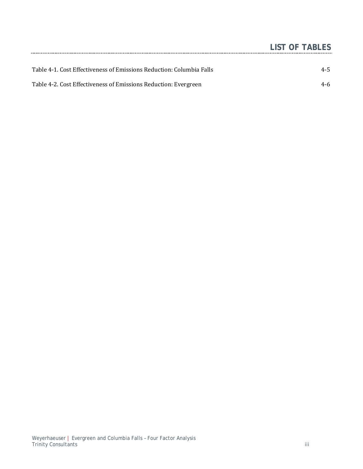|                                                                      | <b>LIST OF TABLES</b> |
|----------------------------------------------------------------------|-----------------------|
|                                                                      |                       |
| Table 4-1. Cost Effectiveness of Emissions Reduction: Columbia Falls | $4 - 5$               |
| Table 4-2. Cost Effectiveness of Emissions Reduction: Evergreen      | 4-6                   |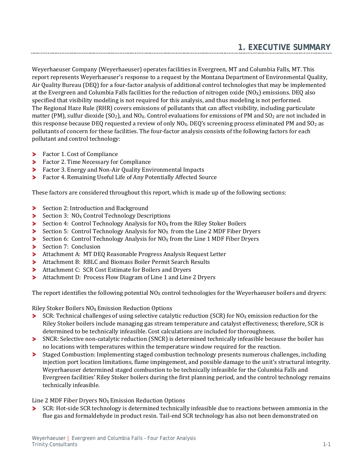<span id="page-4-0"></span>Weyerhaeuser Company (Weyerhaeuser) operates facilities in Evergreen, MT and Columbia Falls, MT. This report represents Weyerhaeuser's response to a request by the Montana Department of Environmental Quality, Air Quality Bureau (DEQ) for a four-factor analysis of additional control technologies that may be implemented at the Evergreen and Columbia Falls facilities for the reduction of nitrogen oxide  $(NO<sub>X</sub>)$  emissions. DEQ also specified that visibility modeling is not required for this analysis, and thus modeling is not performed. The Regional Haze Rule (RHR) covers emissions of pollutants that can affect visibility, including particulate matter (PM), sulfur dioxide (SO<sub>2</sub>), and NO<sub>x</sub>. Control evaluations for emissions of PM and SO<sub>2</sub> are not included in this response because DEQ requested a review of only  $NQ_x$ . DEQ's screening process eliminated PM and  $SO_2$  as pollutants of concern for these facilities. The four-factor analysis consists of the following factors for each pollutant and control technology:

- **Factor 1. Cost of Compliance**
- **Factor 2. Time Necessary for Compliance**
- Factor 3. Energy and Non-Air Quality Environmental Impacts
- $\blacktriangleright$ Factor 4. Remaining Useful Life of Any Potentially Affected Source

These factors are considered throughout this report, which is made up of the following sections:

- Section 2: Introduction and Background
- Section 3:  $NO<sub>x</sub>$  Control Technology Descriptions
- Section 4: Control Technology Analysis for  $N_{\text{O}_X}$  from the Riley Stoker Boilers
- Section 5: Control Technology Analysis for  $NO<sub>X</sub>$  from the Line 2 MDF Fiber Dryers
- Section 6: Control Technology Analysis for  $NO<sub>x</sub>$  from the Line 1 MDF Fiber Dryers ➤
- ➤ Section 7: Conclusion
- Attachment A: MT DEQ Reasonable Progress Analysis Request Letter
- Attachment B: RBLC and Biomass Boiler Permit Search Results
- Attachment C: SCR Cost Estimate for Boilers and Dryers
- ⋗ Attachment D: Process Flow Diagram of Line 1 and Line 2 Dryers

The report identifies the following potential  $NO<sub>X</sub>$  control technologies for the Weyerhaeuser boilers and dryers:

Riley Stoker Boilers  $NO<sub>X</sub>$  Emission Reduction Options

- SCR: Technical challenges of using selective catalytic reduction (SCR) for  $NO<sub>X</sub>$  emission reduction for the Riley Stoker boilers include managing gas stream temperature and catalyst effectiveness; therefore, SCR is determined to be technically infeasible. Cost calculations are included for thoroughness.
- SNCR: Selective non-catalytic reduction (SNCR) is determined technically infeasible because the boiler has no locations with temperatures within the temperature window required for the reaction.
- ➤ Staged Combustion: Implementing staged combustion technology presents numerous challenges, including injection port location limitations, flame impingement, and possible damage to the unit's structural integrity. Weyerhaeuser determined staged combustion to be technically infeasible for the Columbia Falls and Evergreen facilities' Riley Stoker boilers during the first planning period, and the control technology remains technically infeasible.

Line 2 MDF Fiber Dryers  $NO<sub>X</sub>$  Emission Reduction Options

SCR: Hot-side SCR technology is determined technically infeasible due to reactions between ammonia in the ⋗ flue gas and formaldehyde in product resin. Tail-end SCR technology has also not been demonstrated on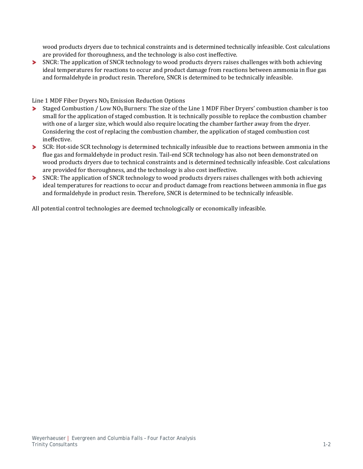wood products dryers due to technical constraints and is determined technically infeasible. Cost calculations are provided for thoroughness, and the technology is also cost ineffective.

▶ SNCR: The application of SNCR technology to wood products dryers raises challenges with both achieving ideal temperatures for reactions to occur and product damage from reactions between ammonia in flue gas and formaldehyde in product resin. Therefore, SNCR is determined to be technically infeasible.

Line 1 MDF Fiber Dryers  $NO<sub>X</sub>$  Emission Reduction Options<br>
> Staged Combustion / Low  $NO<sub>X</sub>$  Burners: The size of the

- Staged Combustion / Low  $NO<sub>X</sub>$  Burners: The size of the Line 1 MDF Fiber Dryers' combustion chamber is too small for the application of staged combustion. It is technically possible to replace the combustion chamber with one of a larger size, which would also require locating the chamber farther away from the dryer. Considering the cost of replacing the combustion chamber, the application of staged combustion cost ineffective.
- SCR: Hot-side SCR technology is determined technically infeasible due to reactions between ammonia in the flue gas and formaldehyde in product resin. Tail-end SCR technology has also not been demonstrated on wood products dryers due to technical constraints and is determined technically infeasible. Cost calculations are provided for thoroughness, and the technology is also cost ineffective.
- SNCR: The application of SNCR technology to wood products dryers raises challenges with both achieving ideal temperatures for reactions to occur and product damage from reactions between ammonia in flue gas and formaldehyde in product resin. Therefore, SNCR is determined to be technically infeasible.

All potential control technologies are deemed technologically or economically infeasible.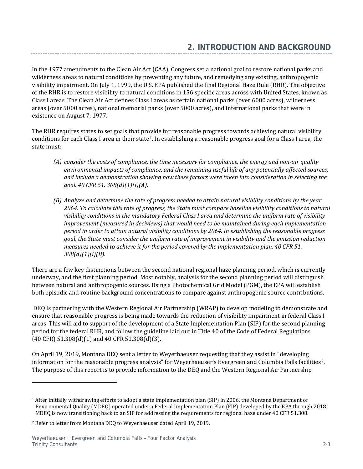<span id="page-6-0"></span>In the 1977 amendments to the Clean Air Act (CAA), Congress set a national goal to restore national parks and wilderness areas to natural conditions by preventing any future, and remedying any existing, anthropogenic visibility impairment. On July 1, 1999, the U.S. EPA published the final Regional Haze Rule (RHR). The objective of the RHR is to restore visibility to natural conditions in 156 specific areas across with United States, known as Class I areas. The Clean Air Act defines Class I areas as certain national parks (over 6000 acres), wilderness areas (over 5000 acres), national memorial parks (over 5000 acres), and international parks that were in existence on August 7, 1977.

The RHR requires states to set goals that provide for reasonable progress towards achieving natural visibility conditions for each Class I area in their state[1](#page-6-1). In establishing a reasonable progress goal for a Class I area, the state must:

- *(A) consider the costs of compliance, the time necessary for compliance, the energy and non-air quality environmental impacts of compliance, and the remaining useful life of any potentially affected sources, and include a demonstration showing how these factors were taken into consideration in selecting the goal. 40 CFR 51. 308(d)(1)(i)(A).*
- *(B) Analyze and determine the rate of progress needed to attain natural visibility conditions by the year 2064. To calculate this rate of progress, the State must compare baseline visibility conditions to natural visibility conditions in the mandatory Federal Class I area and determine the uniform rate of visibility improvement (measured in deciviews) that would need to be maintained during each implementation period in order to attain natural visibility conditions by 2064. In establishing the reasonable progress goal, the State must consider the uniform rate of improvement in visibility and the emission reduction measures needed to achieve it for the period covered by the implementation plan. 40 CFR 51. 308(d)(1)(i)(B).*

There are a few key distinctions between the second national regional haze planning period, which is currently underway, and the first planning period. Most notably, analysis for the second planning period will distinguish between natural and anthropogenic sources. Using a Photochemical Grid Model (PGM), the EPA will establish both episodic and routine background concentrations to compare against anthropogenic source contributions.

DEQ is partnering with the Western Regional Air Partnership (WRAP) to develop modeling to demonstrate and ensure that reasonable progress is being made towards the reduction of visibility impairment in federal Class I areas. This will aid to support of the development of a State Implementation Plan (SIP) for the second planning period for the federal RHR, and follow the guideline laid out in Title 40 of the Code of Federal Regulations  $(40 \text{ CFR})$  51.308 $(d)(1)$  and 40 CFR 51.308 $(d)(3)$ .

On April 19, 2019, Montana DEQ sent a letter to Weyerhaeuser requesting that they assist in "developing information for the reasonable progress analysis" for Weyerhaeuser's Evergreen and Columbia Falls facilities[2](#page-6-2). The purpose of this report is to provide information to the DEQ and the Western Regional Air Partnership

j

<span id="page-6-1"></span><sup>1</sup> After initially withdrawing efforts to adopt a state implementation plan (SIP) in 2006, the Montana Department of Environmental Quality (MDEQ) operated under a Federal Implementation Plan (FIP) developed by the EPA through 2018. MDEQ is now transitioning back to an SIP for addressing the requirements for regional haze under 40 CFR 51.308.

<span id="page-6-2"></span><sup>2</sup> Refer to letter from Montana DEQ to Weyerhaeuser dated April 19, 2019.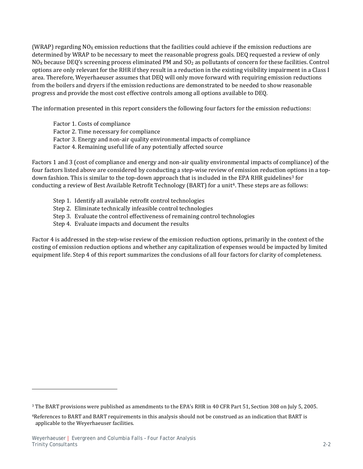(WRAP) regarding  $NO<sub>x</sub>$  emission reductions that the facilities could achieve if the emission reductions are determined by WRAP to be necessary to meet the reasonable progress goals. DEQ requested a review of only  $N_{\rm OX}$  because DEQ's screening process eliminated PM and  $SO_2$  as pollutants of concern for these facilities. Control options are only relevant for the RHR if they result in a reduction in the existing visibility impairment in a Class I area. Therefore, Weyerhaeuser assumes that DEQ will only move forward with requiring emission reductions from the boilers and dryers if the emission reductions are demonstrated to be needed to show reasonable progress and provide the most cost effective controls among all options available to DEQ.

The information presented in this report considers the following four factors for the emission reductions:

Factor 1. Costs of compliance Factor 2. Time necessary for compliance Factor 3. Energy and non-air quality environmental impacts of compliance Factor 4. Remaining useful life of any potentially affected source

Factors 1 and 3 (cost of compliance and energy and non-air quality environmental impacts of compliance) of the four factors listed above are considered by conducting a step-wise review of emission reduction options in a top-down fashion. This is similar to the top-down approach that is included in the EPA RHR guidelines<sup>[3](#page-7-0)</sup> for conducting a review of Best Available Retrofit Technology (BART) for a unit<sup>4</sup>. These steps are as follows:

- Step 1. Identify all available retrofit control technologies
- Step 2. Eliminate technically infeasible control technologies
- Step 3. Evaluate the control effectiveness of remaining control technologies
- Step 4. Evaluate impacts and document the results

Factor 4 is addressed in the step-wise review of the emission reduction options, primarily in the context of the costing of emission reduction options and whether any capitalization of expenses would be impacted by limited equipment life. Step 4 of this report summarizes the conclusions of all four factors for clarity of completeness.

j

<span id="page-7-0"></span><sup>3</sup> The BART provisions were published as amendments to the EPA's RHR in 40 CFR Part 51, Section 308 on July 5, 2005.

<span id="page-7-1"></span><sup>4</sup>References to BART and BART requirements in this analysis should not be construed as an indication that BART is applicable to the Weyerhaeuser facilities.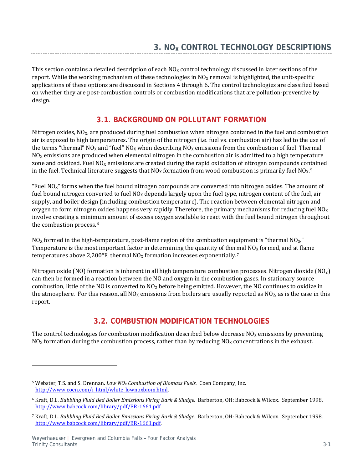<span id="page-8-0"></span>This section contains a detailed description of each  $N_{\rm Q}$  control technology discussed in later sections of the report. While the working mechanism of these technologies in  $N_{\alpha}$  removal is highlighted, the unit-specific applications of these options are discussed in Sections 4 through 6. The control technologies are classified based on whether they are post-combustion controls or combustion modifications that are pollution-preventive by design.

# **3.1. BACKGROUND ON POLLUTANT FORMATION**

<span id="page-8-1"></span>Nitrogen oxides,  $NO<sub>X</sub>$ , are produced during fuel combustion when nitrogen contained in the fuel and combustion air is exposed to high temperatures. The origin of the nitrogen (i.e. fuel vs. combustion air) has led to the use of the terms "thermal" NO<sub>x</sub> and "fuel" NO<sub>x</sub> when describing NO<sub>x</sub> emissions from the combustion of fuel. Thermal  $NO<sub>X</sub>$  emissions are produced when elemental nitrogen in the combustion air is admitted to a high temperature zone and oxidized. Fuel  $NO<sub>X</sub>$  emissions are created during the rapid oxidation of nitrogen compounds contained in the fuel. Technical literature suggests that  $N_{X}$  formation from wood combustion is primarily fuel  $N_{X}$ <sup>[5](#page-8-3)</sup>

"Fuel NOX" forms when the fuel bound nitrogen compounds are converted into nitrogen oxides. The amount of fuel bound nitrogen converted to fuel  $NQ_X$  depends largely upon the fuel type, nitrogen content of the fuel, air supply, and boiler design (including combustion temperature). The reaction between elemental nitrogen and oxygen to form nitrogen oxides happens very rapidly. Therefore, the primary mechanisms for reducing fuel  $NO<sub>X</sub>$ involve creating a minimum amount of excess oxygen available to react with the fuel bound nitrogen throughout the combustion process.[6](#page-8-4)

 $NO<sub>X</sub>$  formed in the high-temperature, post-flame region of the combustion equipment is "thermal  $NO<sub>X</sub>$ ." Temperature is the most important factor in determining the quantity of thermal  $NO<sub>X</sub>$  formed, and at flame temperatures above 2,200°F, thermal  $N_{\rm OX}$  formation increases exponentially.<sup>[7](#page-8-5)</sup>

Nitrogen oxide (NO) formation is inherent in all high temperature combustion processes. Nitrogen dioxide (NO<sub>2</sub>) can then be formed in a reaction between the NO and oxygen in the combustion gases. In stationary source combustion, little of the NO is converted to NO2 before being emitted. However, the NO continues to oxidize in the atmosphere. For this reason, all  $NO<sub>X</sub>$  emissions from boilers are usually reported as  $NO<sub>2</sub>$ , as is the case in this report.

# **3.2. COMBUSTION MODIFICATION TECHNOLOGIES**

<span id="page-8-2"></span>The control technologies for combustion modification described below decrease  $N_0$  emissions by preventing  $N_{\rm OX}$  formation during the combustion process, rather than by reducing  $N_{\rm OX}$  concentrations in the exhaust.

I

<span id="page-8-3"></span><sup>5</sup> Webster, T.S. and S. Drennan. *Low NOX Combustion of Biomass Fuels.* Coen Company, Inc. [http://www.coen.com/i\\_html/white\\_lownoxbiom.html.](http://www.coen.com/i_html/white_lownoxbiom.html)

<span id="page-8-4"></span><sup>6</sup> Kraft, D.L. *Bubbling Fluid Bed Boiler Emissions Firing Bark & Sludge.* Barberton, OH: Babcock & Wilcox. September 1998. [http://www.babcock.com/library/pdf/BR-1661.pdf.](http://www.babcock.com/library/pdf/BR-1661.pdf)

<span id="page-8-5"></span><sup>7</sup> Kraft, D.L. *Bubbling Fluid Bed Boiler Emissions Firing Bark & Sludge.* Barberton, OH: Babcock & Wilcox. September 1998. [http://www.babcock.com/library/pdf/BR-1661.pdf.](http://www.babcock.com/library/pdf/BR-1661.pdf)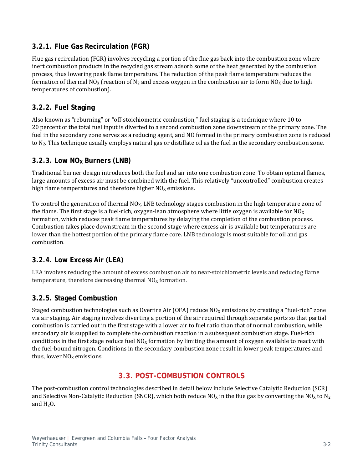### <span id="page-9-0"></span>**3.2.1. Flue Gas Recirculation (FGR)**

Flue gas recirculation (FGR) involves recycling a portion of the flue gas back into the combustion zone where inert combustion products in the recycled gas stream adsorb some of the heat generated by the combustion process, thus lowering peak flame temperature. The reduction of the peak flame temperature reduces the formation of thermal NO<sub>X</sub> (reaction of N<sub>2</sub> and excess oxygen in the combustion air to form NO<sub>X</sub> due to high temperatures of combustion).

### <span id="page-9-1"></span>**3.2.2. Fuel Staging**

Also known as "reburning" or "off-stoichiometric combustion," fuel staging is a technique where 10 to 20 percent of the total fuel input is diverted to a second combustion zone downstream of the primary zone. The fuel in the secondary zone serves as a reducing agent, and NO formed in the primary combustion zone is reduced to N2. This technique usually employs natural gas or distillate oil as the fuel in the secondary combustion zone.

### <span id="page-9-2"></span>**3.2.3. Low NOX Burners (LNB)**

Traditional burner design introduces both the fuel and air into one combustion zone. To obtain optimal flames, large amounts of excess air must be combined with the fuel. This relatively "uncontrolled" combustion creates high flame temperatures and therefore higher  $NO<sub>X</sub>$  emissions.

To control the generation of thermal  $NQ_X$ , LNB technology stages combustion in the high temperature zone of the flame. The first stage is a fuel-rich, oxygen-lean atmosphere where little oxygen is available for  $NO_X$ formation, which reduces peak flame temperatures by delaying the completion of the combustion process. Combustion takes place downstream in the second stage where excess air is available but temperatures are lower than the hottest portion of the primary flame core. LNB technology is most suitable for oil and gas combustion.

## <span id="page-9-3"></span>**3.2.4. Low Excess Air (LEA)**

LEA involves reducing the amount of excess combustion air to near-stoichiometric levels and reducing flame temperature, therefore decreasing thermal  $NO<sub>X</sub>$  formation.

### <span id="page-9-4"></span>**3.2.5. Staged Combustion**

Staged combustion technologies such as Overfire Air (OFA) reduce  $NO<sub>X</sub>$  emissions by creating a "fuel-rich" zone via air staging. Air staging involves diverting a portion of the air required through separate ports so that partial combustion is carried out in the first stage with a lower air to fuel ratio than that of normal combustion, while secondary air is supplied to complete the combustion reaction in a subsequent combustion stage. Fuel-rich conditions in the first stage reduce fuel  $NO<sub>X</sub>$  formation by limiting the amount of oxygen available to react with the fuel-bound nitrogen. Conditions in the secondary combustion zone result in lower peak temperatures and thus, lower  $NO<sub>x</sub>$  emissions.

## **3.3. POST-COMBUSTION CONTROLS**

<span id="page-9-5"></span>The post-combustion control technologies described in detail below include Selective Catalytic Reduction (SCR) and Selective Non-Catalytic Reduction (SNCR), which both reduce NO<sub>X</sub> in the flue gas by converting the NO<sub>X</sub> to N<sub>2</sub> and  $H_2O$ .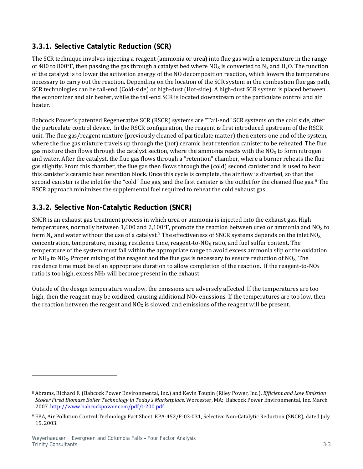### <span id="page-10-0"></span>**3.3.1. Selective Catalytic Reduction (SCR)**

The SCR technique involves injecting a reagent (ammonia or urea) into flue gas with a temperature in the range of 480 to 800°F, then passing the gas through a catalyst bed where NO<sub>X</sub> is converted to N<sub>2</sub> and H<sub>2</sub>O. The function of the catalyst is to lower the activation energy of the NO decomposition reaction, which lowers the temperature necessary to carry out the reaction. Depending on the location of the SCR system in the combustion flue gas path, SCR technologies can be tail-end (Cold-side) or high-dust (Hot-side). A high-dust SCR system is placed between the economizer and air heater, while the tail-end SCR is located downstream of the particulate control and air heater.

Babcock Power's patented Regenerative SCR (RSCR) systems are "Tail-end" SCR systems on the cold side, after the particulate control device. In the RSCR configuration, the reagent is first introduced upstream of the RSCR unit. The flue gas/reagent mixture (previously cleaned of particulate matter) then enters one end of the system, where the flue gas mixture travels up through the (hot) ceramic heat retention canister to be reheated. The flue gas mixture then flows through the catalyst section, where the ammonia reacts with the NO<sub>x</sub> to form nitrogen and water. After the catalyst, the flue gas flows through a "retention" chamber, where a burner reheats the flue gas slightly. From this chamber, the flue gas then flows through the (cold) second canister and is used to heat this canister's ceramic heat retention block. Once this cycle is complete, the air flow is diverted, so that the second canister is the inlet for the "cold" flue gas, and the first canister is the outlet for the cleaned flue gas.[8](#page-10-2) The RSCR approach minimizes the supplemental fuel required to reheat the cold exhaust gas.

## <span id="page-10-1"></span>**3.3.2. Selective Non-Catalytic Reduction (SNCR)**

SNCR is an exhaust gas treatment process in which urea or ammonia is injected into the exhaust gas. High temperatures, normally between 1,600 and 2,100°F, promote the reaction between urea or ammonia and NO<sub>X</sub> to form  $N_2$  and water without the use of a catalyst. $^9$  $^9$  The effectiveness of SNCR systems depends on the inlet NO<sub>X</sub> concentration, temperature, mixing, residence time, reagent-to- $NQ<sub>X</sub>$  ratio, and fuel sulfur content. The temperature of the system must fall within the appropriate range to avoid excess ammonia slip or the oxidation of  $NH_3$  to  $NO_x$ . Proper mixing of the reagent and the flue gas is necessary to ensure reduction of  $NO_x$ . The residence time must be of an appropriate duration to allow completion of the reaction. If the reagent-to-NO<sub>X</sub> ratio is too high, excess  $NH<sub>3</sub>$  will become present in the exhaust.

Outside of the design temperature window, the emissions are adversely affected. If the temperatures are too high, then the reagent may be oxidized, causing additional  $NO<sub>X</sub>$  emissions. If the temperatures are too low, then the reaction between the reagent and  $N_0$  is slowed, and emissions of the reagent will be present.

j

<span id="page-10-2"></span><sup>8</sup> Abrams, Richard F. (Babcock Power Environmental, Inc.) and Kevin Toupin (Riley Power, Inc.). *Efficient and Low Emission Stoker Fired Biomass Boiler Technology in Today's Marketplace.* Worcester, MA: Babcock Power Environmental, Inc. March 2007.<http://www.babcockpower.com/pdf/t-200.pdf>

<span id="page-10-3"></span><sup>9</sup> EPA, Air Pollution Control Technology Fact Sheet, EPA-452/F-03-031, Selective Non-Catalytic Reduction (SNCR), dated July 15, 2003.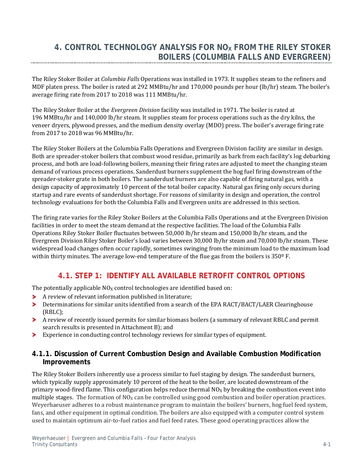# <span id="page-11-0"></span>**4. CONTROL TECHNOLOGY ANALYSIS FOR NOX FROM THE RILEY STOKER BOILERS (COLUMBIA FALLS AND EVERGREEN)**

The Riley Stoker Boiler at *Columbia Falls* Operations was installed in 1973. It supplies steam to the refiners and MDF platen press. The boiler is rated at 292 MMBtu/hr and 170,000 pounds per hour (lb/hr) steam. The boiler's average firing rate from 2017 to 2018 was 111 MMBtu/hr.

The Riley Stoker Boiler at the *Evergreen Division* facility was installed in 1971. The boiler is rated at 196 MMBtu/hr and 140,000 lb/hr steam. It supplies steam for process operations such as the dry kilns, the veneer dryers, plywood presses, and the medium density overlay (MDO) press. The boiler's average firing rate from 2017 to 2018 was 96 MMBtu/hr.

The Riley Stoker Boilers at the Columbia Falls Operations and Evergreen Division facility are similar in design. Both are spreader-stoker boilers that combust wood residue, primarily as bark from each facility's log debarking process, and both are load-following boilers, meaning their firing rates are adjusted to meet the changing steam demand of various process operations. Sanderdust burners supplement the hog fuel firing downstream of the spreader-stoker grate in both boilers. The sanderdust burners are also capable of firing natural gas, with a design capacity of approximately 10 percent of the total boiler capacity. Natural gas firing only occurs during startup and rare events of sanderdust shortage. For reasons of similarity in design and operation, the control technology evaluations for both the Columbia Falls and Evergreen units are addressed in this section.

The firing rate varies for the Riley Stoker Boilers at the Columbia Falls Operations and at the Evergreen Division facilities in order to meet the steam demand at the respective facilities. The load of the Columbia Falls Operations Riley Stoker Boiler fluctuates between 50,000 lb/hr steam and 150,000 lb/hr steam, and the Evergreen Division Riley Stoker Boiler's load varies between 30,000 lb/hr steam and 70,000 lb/hr steam. These widespread load changes often occur rapidly, sometimes swinging from the minimum load to the maximum load within thirty minutes. The average low-end temperature of the flue gas from the boilers is  $350^{\circ}$  F.

## **4.1. STEP 1: IDENTIFY ALL AVAILABLE RETROFIT CONTROL OPTIONS**

<span id="page-11-1"></span>The potentially applicable  $NO<sub>X</sub>$  control technologies are identified based on:

- A review of relevant information published in literature;
- $\blacktriangleright$ Determinations for similar units identified from a search of the EPA RACT/BACT/LAER Clearinghouse (RBLC);
- A review of recently issued permits for similar biomass boilers (a summary of relevant RBLC and permit search results is presented in Attachment B); and
- Experience in conducting control technology reviews for similar types of equipment.

#### <span id="page-11-2"></span>**4.1.1. Discussion of Current Combustion Design and Available Combustion Modification Improvements**

The Riley Stoker Boilers inherently use a process similar to fuel staging by design. The sanderdust burners, which typically supply approximately 10 percent of the heat to the boiler, are located downstream of the primary wood-fired flame. This configuration helps reduce thermal  $N_0$  by breaking the combustion event into multiple stages. The formation of  $NO<sub>X</sub>$  can be controlled using good combustion and boiler operation practices. Weyerhaeuser adheres to a robust maintenance program to maintain the boilers' burners, hog fuel feed system, fans, and other equipment in optimal condition. The boilers are also equipped with a computer control system used to maintain optimum air-to-fuel ratios and fuel feed rates. These good operating practices allow the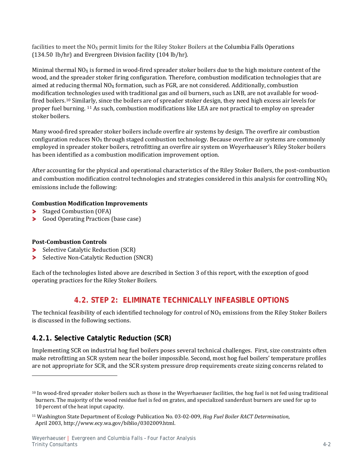facilities to meet the  $N_{\text{O}_X}$  permit limits for the Riley Stoker Boilers at the Columbia Falls Operations (134.50 lb/hr) and Evergreen Division facility (104 lb/hr).

Minimal thermal  $NO<sub>X</sub>$  is formed in wood-fired spreader stoker boilers due to the high moisture content of the wood, and the spreader stoker firing configuration. Therefore, combustion modification technologies that are aimed at reducing thermal  $NO<sub>X</sub>$  formation, such as FGR, are not considered. Additionally, combustion modification technologies used with traditional gas and oil burners, such as LNB, are not available for woodfired boilers.[10](#page-12-2) Similarly, since the boilers are of spreader stoker design, they need high excess air levels for proper fuel burning. [11](#page-12-3) As such, combustion modifications like LEA are not practical to employ on spreader stoker boilers.

Many wood-fired spreader stoker boilers include overfire air systems by design. The overfire air combustion configuration reduces  $NO<sub>X</sub>$  through staged combustion technology. Because overfire air systems are commonly employed in spreader stoker boilers, retrofitting an overfire air system on Weyerhaeuser's Riley Stoker boilers has been identified as a combustion modification improvement option.

After accounting for the physical and operational characteristics of the Riley Stoker Boilers, the post-combustion and combustion modification control technologies and strategies considered in this analysis for controlling  $NO<sub>X</sub>$ emissions include the following:

#### **Combustion Modification Improvements**

- ⋗ Staged Combustion (OFA)
- Good Operating Practices (base case)

#### **Post-Combustion Controls**

j

- Selective Catalytic Reduction (SCR)
- ⋗ Selective Non-Catalytic Reduction (SNCR)

<span id="page-12-0"></span>Each of the technologies listed above are described in Section 3 of this report, with the exception of good operating practices for the Riley Stoker Boilers.

## **4.2. STEP 2: ELIMINATE TECHNICALLY INFEASIBLE OPTIONS**

The technical feasibility of each identified technology for control of  $NO<sub>X</sub>$  emissions from the Riley Stoker Boilers is discussed in the following sections.

## <span id="page-12-1"></span>**4.2.1. Selective Catalytic Reduction (SCR)**

Implementing SCR on industrial hog fuel boilers poses several technical challenges. First, size constraints often make retrofitting an SCR system near the boiler impossible. Second, most hog fuel boilers' temperature profiles are not appropriate for SCR, and the SCR system pressure drop requirements create sizing concerns related to

<span id="page-12-2"></span> $10$  In wood-fired spreader stoker boilers such as those in the Weyerhaeuser facilities, the hog fuel is not fed using traditional burners. The majority of the wood residue fuel is fed on grates, and specialized sanderdust burners are used for up to 10 percent of the heat input capacity.

<span id="page-12-3"></span><sup>11</sup> Washington State Department of Ecology Publication No. 03-02-009, *Hog Fuel Boiler RACT Determination*, April 2003, http://www.ecy.wa.gov/biblio/0302009.html.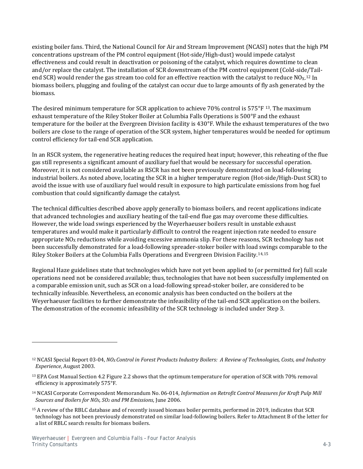existing boiler fans. Third, the National Council for Air and Stream Improvement (NCASI) notes that the high PM concentrations upstream of the PM control equipment (Hot-side/High-dust) would impede catalyst effectiveness and could result in deactivation or poisoning of the catalyst, which requires downtime to clean and/or replace the catalyst. The installation of SCR downstream of the PM control equipment (Cold-side/Tailend SCR) would render the gas stream too cold for an effective reaction with the catalyst to reduce  $NQ_X$ .<sup>[12](#page-13-0)</sup> In biomass boilers, plugging and fouling of the catalyst can occur due to large amounts of fly ash generated by the biomass.

The desired minimum temperature for SCR application to achieve 70% control is  $575^{\circ}F$  [13.](#page-13-1) The maximum exhaust temperature of the Riley Stoker Boiler at Columbia Falls Operations is 500°F and the exhaust temperature for the boiler at the Evergreen Division facility is 430°F. While the exhaust temperatures of the two boilers are close to the range of operation of the SCR system, higher temperatures would be needed for optimum control efficiency for tail-end SCR application.

In an RSCR system, the regenerative heating reduces the required heat input; however, this reheating of the flue gas still represents a significant amount of auxiliary fuel that would be necessary for successful operation. Moreover, it is not considered available as RSCR has not been previously demonstrated on load-following industrial boilers. As noted above, locating the SCR in a higher temperature region (Hot-side/High-Dust SCR) to avoid the issue with use of auxiliary fuel would result in exposure to high particulate emissions from hog fuel combustion that could significantly damage the catalyst.

The technical difficulties described above apply generally to biomass boilers, and recent applications indicate that advanced technologies and auxiliary heating of the tail-end flue gas may overcome these difficulties. However, the wide load swings experienced by the Weyerhaeuser boilers result in unstable exhaust temperatures and would make it particularly difficult to control the reagent injection rate needed to ensure appropriate  $NO<sub>x</sub>$  reductions while avoiding excessive ammonia slip. For these reasons, SCR technology has not been successfully demonstrated for a load-following spreader-stoker boiler with load swings comparable to the Riley Stoker Boilers at the Columbia Falls Operations and Evergreen Division Facility[.14](#page-13-2),[15](#page-13-3)

Regional Haze guidelines state that technologies which have not yet been applied to (or permitted for) full scale operations need not be considered available; thus, technologies that have not been successfully implemented on a comparable emission unit, such as SCR on a load-following spread-stoker boiler, are considered to be technically infeasible. Nevertheless, an economic analysis has been conducted on the boilers at the Weyerhaeuser facilities to further demonstrate the infeasibility of the tail-end SCR application on the boilers. The demonstration of the economic infeasibility of the SCR technology is included under Step 3.

j

<span id="page-13-0"></span><sup>12</sup> NCASI Special Report 03-04, *NOX Control in Forest Products Industry Boilers: A Review of Technologies, Costs, and Industry Experience*, August 2003.

<span id="page-13-1"></span><sup>&</sup>lt;sup>13</sup> EPA Cost Manual Section 4.2 Figure 2.2 shows that the optimum temperature for operation of SCR with 70% removal efficiency is approximately 575°F.

<span id="page-13-2"></span><sup>14</sup> NCASI Corporate Correspondent Memorandum No. 06-014, *Information on Retrofit Control Measures for Kraft Pulp Mill Sources and Boilers for NOX, SO2 and PM Emissions*, June 2006.

<span id="page-13-3"></span><sup>&</sup>lt;sup>15</sup> A review of the RBLC database and of recently issued biomass boiler permits, performed in 2019, indicates that SCR technology has not been previously demonstrated on similar load-following boilers. Refer to Attachment B of the letter for a list of RBLC search results for biomass boilers.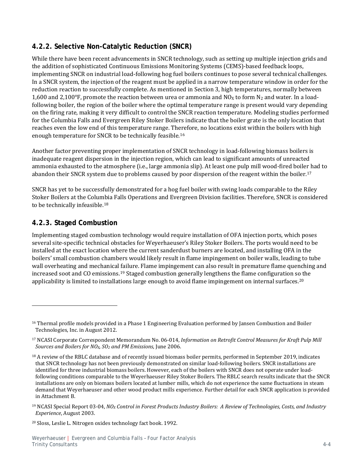### <span id="page-14-0"></span>**4.2.2. Selective Non-Catalytic Reduction (SNCR)**

While there have been recent advancements in SNCR technology, such as setting up multiple injection grids and the addition of sophisticated Continuous Emissions Monitoring Systems (CEMS)-based feedback loops, implementing SNCR on industrial load-following hog fuel boilers continues to pose several technical challenges. In a SNCR system, the injection of the reagent must be applied in a narrow temperature window in order for the reduction reaction to successfully complete. As mentioned in Section 3, high temperatures, normally between 1,600 and 2,100°F, promote the reaction between urea or ammonia and NO<sub>x</sub> to form N<sub>2</sub> and water. In a loadfollowing boiler, the region of the boiler where the optimal temperature range is present would vary depending on the firing rate, making it very difficult to control the SNCR reaction temperature. Modeling studies performed for the Columbia Falls and Evergreen Riley Stoker Boilers indicate that the boiler grate is the only location that reaches even the low end of this temperature range. Therefore, no locations exist within the boilers with high enough temperature for SNCR to be technically feasible.[16](#page-14-2)

Another factor preventing proper implementation of SNCR technology in load-following biomass boilers is inadequate reagent dispersion in the injection region, which can lead to significant amounts of unreacted ammonia exhausted to the atmosphere (i.e., large ammonia slip). At least one pulp mill wood-fired boiler had to abandon their SNCR system due to problems caused by poor dispersion of the reagent within the boiler.[17](#page-14-3) 

SNCR has yet to be successfully demonstrated for a hog fuel boiler with swing loads comparable to the Riley Stoker Boilers at the Columbia Falls Operations and Evergreen Division facilities. Therefore, SNCR is considered to be technically infeasible.[18](#page-14-4)

### <span id="page-14-1"></span>**4.2.3. Staged Combustion**

j

Implementing staged combustion technology would require installation of OFA injection ports, which poses several site-specific technical obstacles for Weyerhaeuser's Riley Stoker Boilers. The ports would need to be installed at the exact location where the current sanderdust burners are located, and installing OFA in the boilers' small combustion chambers would likely result in flame impingement on boiler walls, leading to tube wall overheating and mechanical failure. Flame impingement can also result in premature flame quenching and increased soot and CO emissions.[19](#page-14-5) Staged combustion generally lengthens the flame configuration so the applicability is limited to installations large enough to avoid flame impingement on internal surfaces.<sup>[20](#page-14-6)</sup>

<span id="page-14-6"></span><sup>20</sup> Sloss, Leslie L. Nitrogen oxides technology fact book. 1992.

<span id="page-14-2"></span><sup>&</sup>lt;sup>16</sup> Thermal profile models provided in a Phase 1 Engineering Evaluation performed by Jansen Combustion and Boiler Technologies, Inc. in August 2012.

<span id="page-14-3"></span><sup>17</sup> NCASI Corporate Correspondent Memorandum No. 06-014, *Information on Retrofit Control Measures for Kraft Pulp Mill Sources and Boilers for NOX, SO2 and PM Emissions*, June 2006.

<span id="page-14-4"></span> $18$  A review of the RBLC database and of recently issued biomass boiler permits, performed in September 2019, indicates that SNCR technology has not been previously demonstrated on similar load-following boilers. SNCR installations are identified for three industrial biomass boilers. However, each of the boilers with SNCR does not operate under loadfollowing conditions comparable to the Weyerhaeuser Riley Stoker Boilers. The RBLC search results indicate that the SNCR installations are only on biomass boilers located at lumber mills, which do not experience the same fluctuations in steam demand that Weyerhaeuser and other wood product mills experience. Further detail for each SNCR application is provided in Attachment B.

<span id="page-14-5"></span><sup>19</sup> NCASI Special Report 03-04, *NOX Control in Forest Products Industry Boilers: A Review of Technologies, Costs, and Industry Experience*, August 2003.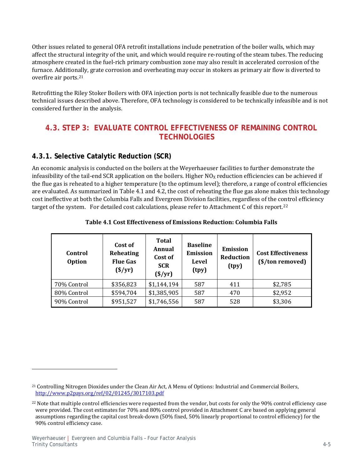Other issues related to general OFA retrofit installations include penetration of the boiler walls, which may affect the structural integrity of the unit, and which would require re-routing of the steam tubes. The reducing atmosphere created in the fuel-rich primary combustion zone may also result in accelerated corrosion of the furnace. Additionally, grate corrosion and overheating may occur in stokers as primary air flow is diverted to overfire air ports.[21](#page-15-2)

Retrofitting the Riley Stoker Boilers with OFA injection ports is not technically feasible due to the numerous technical issues described above. Therefore, OFA technology is considered to be technically infeasible and is not considered further in the analysis.

### <span id="page-15-0"></span>**4.3. STEP 3: EVALUATE CONTROL EFFECTIVENESS OF REMAINING CONTROL TECHNOLOGIES**

### <span id="page-15-1"></span>**4.3.1. Selective Catalytic Reduction (SCR)**

An economic analysis is conducted on the boilers at the Weyerhaeuser facilities to further demonstrate the infeasibility of the tail-end SCR application on the boilers. Higher  $NO<sub>X</sub>$  reduction efficiencies can be achieved if the flue gas is reheated to a higher temperature (to the optimum level); therefore, a range of control efficiencies are evaluated. As summarized in Table 4.1 and 4.2, the cost of reheating the flue gas alone makes this technology cost ineffective at both the Columbia Falls and Evergreen Division facilities, regardless of the control efficiency target of the system. For detailed cost calculations, please refer to Attachment C of this report.<sup>[22](#page-15-3)</sup>

| Control<br><b>Option</b> | Cost of<br>Reheating<br><b>Flue Gas</b><br>$(\frac{$}{yr})$ | <b>Total</b><br>Annual<br>Cost of<br><b>SCR</b><br>$(\frac{$}{y}r)$ | <b>Baseline</b><br>Emission<br><b>Level</b><br>(tpy) | <b>Emission</b><br>Reduction<br>(tpy) | <b>Cost Effectiveness</b><br>(\$/ton removed) |
|--------------------------|-------------------------------------------------------------|---------------------------------------------------------------------|------------------------------------------------------|---------------------------------------|-----------------------------------------------|
| 70% Control              | \$356,823                                                   | \$1,144,194                                                         | 587                                                  | 411                                   | \$2,785                                       |
| 80% Control              | \$594,704                                                   | \$1,385,905                                                         | 587                                                  | 470                                   | \$2,952                                       |
| 90% Control              | \$951,527                                                   | \$1,746,556                                                         | 587                                                  | 528                                   | \$3,306                                       |

#### **Table 4.1 Cost Effectiveness of Emissions Reduction: Columbia Falls**

I

<span id="page-15-2"></span><sup>21</sup> Controlling Nitrogen Dioxides under the Clean Air Act, A Menu of Options: Industrial and Commercial Boilers, <http://www.p2pays.org/ref/02/01245/3017103.pdf>

<span id="page-15-3"></span><sup>&</sup>lt;sup>22</sup> Note that multiple control efficiencies were requested from the vendor, but costs for only the 90% control efficiency case were provided. The cost estimates for 70% and 80% control provided in Attachment C are based on applying general assumptions regarding the capital cost break-down (50% fixed, 50% linearly proportional to control efficiency) for the 90% control efficiency case.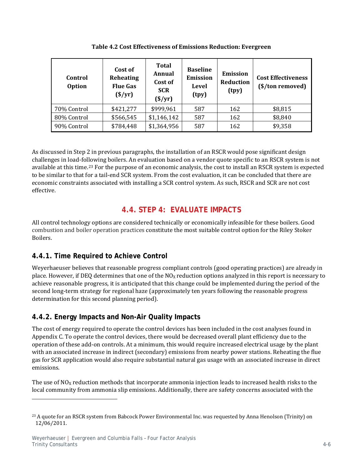| Control<br><b>Option</b> | Cost of<br>Reheating<br><b>Flue Gas</b><br>$(\frac{\$}{yr})$ | <b>Total</b><br>Annual<br>Cost of<br><b>SCR</b><br>$(\frac{$}{y}r)$ | <b>Baseline</b><br><b>Emission</b><br>Level<br>(tpy) | <b>Emission</b><br>Reduction<br>(tpy) | <b>Cost Effectiveness</b><br>(\$/ton removed) |
|--------------------------|--------------------------------------------------------------|---------------------------------------------------------------------|------------------------------------------------------|---------------------------------------|-----------------------------------------------|
| 70% Control              | \$421,277                                                    | \$999,961                                                           | 587                                                  | 162                                   | \$8,815                                       |
| 80% Control              | \$566,545                                                    | \$1,146,142                                                         | 587                                                  | 162                                   | \$8,840                                       |
| 90% Control              | \$784,448                                                    | \$1,364,956                                                         | 587                                                  | 162                                   | \$9,358                                       |

**Table 4.2 Cost Effectiveness of Emissions Reduction: Evergreen**

As discussed in Step 2 in previous paragraphs, the installation of an RSCR would pose significant design challenges in load-following boilers. An evaluation based on a vendor quote specific to an RSCR system is not available at this time.[23](#page-16-3) For the purpose of an economic analysis, the cost to install an RSCR system is expected to be similar to that for a tail-end SCR system. From the cost evaluation, it can be concluded that there are economic constraints associated with installing a SCR control system. As such, RSCR and SCR are not cost effective.

# **4.4. STEP 4: EVALUATE IMPACTS**

<span id="page-16-0"></span>All control technology options are considered technically or economically infeasible for these boilers. Good combustion and boiler operation practices constitute the most suitable control option for the Riley Stoker Boilers.

## <span id="page-16-1"></span>**4.4.1. Time Required to Achieve Control**

Weyerhaeuser believes that reasonable progress compliant controls (good operating practices) are already in place. However, if DEQ determines that one of the  $NO<sub>X</sub>$  reduction options analyzed in this report is necessary to achieve reasonable progress, it is anticipated that this change could be implemented during the period of the second long-term strategy for regional haze (approximately ten years following the reasonable progress determination for this second planning period).

# <span id="page-16-2"></span>**4.4.2. Energy Impacts and Non-Air Quality Impacts**

The cost of energy required to operate the control devices has been included in the cost analyses found in Appendix C. To operate the control devices, there would be decreased overall plant efficiency due to the operation of these add-on controls. At a minimum, this would require increased electrical usage by the plant with an associated increase in indirect (secondary) emissions from nearby power stations. Reheating the flue gas for SCR application would also require substantial natural gas usage with an associated increase in direct emissions.

The use of  $NO<sub>X</sub>$  reduction methods that incorporate ammonia injection leads to increased health risks to the local community from ammonia slip emissions. Additionally, there are safety concerns associated with the

I

<span id="page-16-3"></span><sup>&</sup>lt;sup>23</sup> A quote for an RSCR system from Babcock Power Environmental Inc. was requested by Anna Henolson (Trinity) on 12/06/2011.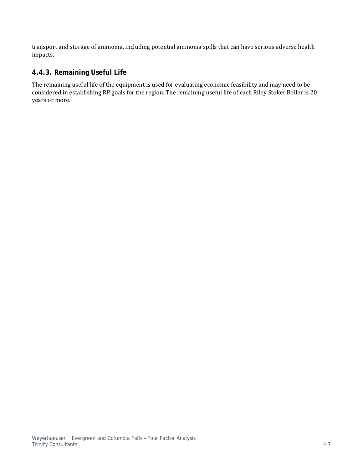transport and storage of ammonia, including potential ammonia spills that can have serious adverse health impacts.

### <span id="page-17-0"></span>**4.4.3. Remaining Useful Life**

The remaining useful life of the equipment is used for evaluating economic feasibility and may need to be considered in establishing RP goals for the region. The remaining useful life of each Riley Stoker Boiler is 20 years or more.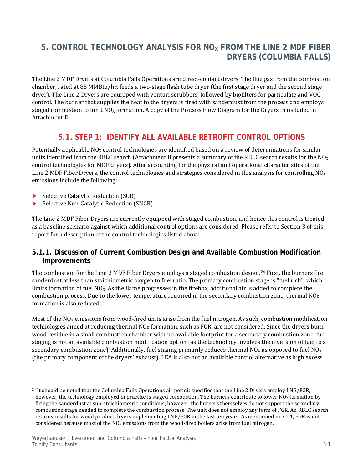<span id="page-18-0"></span>The Line 2 MDF Dryers at Columbia Falls Operations are direct-contact dryers. The flue gas from the combustion chamber, rated at 85 MMBtu/hr, feeds a two-stage flash tube dryer (the first stage dryer and the second stage dryer). The Line 2 Dryers are equipped with venturi scrubbers, followed by biofilters for particulate and VOC control. The burner that supplies the heat to the dryers is fired with sanderdust from the process and employs staged combustion to limit  $NO<sub>X</sub>$  formation. A copy of the Process Flow Diagram for the Dryers in included in Attachment D.

## **5.1. STEP 1: IDENTIFY ALL AVAILABLE RETROFIT CONTROL OPTIONS**

<span id="page-18-1"></span>Potentially applicable  $NO<sub>X</sub>$  control technologies are identified based on a review of determinations for similar units identified from the RBLC search (Attachment B presents a summary of the RBLC search results for the  $NO_X$ control technologies for MDF dryers). After accounting for the physical and operational characteristics of the Line 2 MDF Fiber Dryers, the control technologies and strategies considered in this analysis for controlling  $NO<sub>X</sub>$ emissions include the following:

Selective Catalytic Reduction (SCR)

I

⋗ Selective Non-Catalytic Reduction (SNCR)

The Line 2 MDF Fiber Dryers are currently equipped with staged combustion, and hence this control is treated as a baseline scenario against which additional control options are considered. Please refer to Section 3 of this report for a description of the control technologies listed above.

#### <span id="page-18-2"></span>**5.1.1. Discussion of Current Combustion Design and Available Combustion Modification Improvements**

The combustion for the Line 2 MDF Fiber Dryers employs a staged combustion design.[24](#page-18-3) First, the burners fire sanderdust at less than stoichiometric oxygen to fuel ratio. The primary combustion stage is "fuel rich", which limits formation of fuel  $NO<sub>X</sub>$ . As the flame progresses in the firebox, additional air is added to complete the combustion process. Due to the lower temperature required in the secondary combustion zone, thermal  $NO<sub>X</sub>$ formation is also reduced.

Most of the  $NO<sub>X</sub>$  emissions from wood-fired units arise from the fuel nitrogen. As such, combustion modification technologies aimed at reducing thermal  $NO<sub>X</sub>$  formation, such as FGR, are not considered. Since the dryers burn wood residue in a small combustion chamber with no available footprint for a secondary combustion zone, fuel staging is not an available combustion modification option (as the technology involves the diversion of fuel to a secondary combustion zone). Additionally, fuel staging primarily reduces thermal  $NO<sub>X</sub>$  as opposed to fuel  $NO<sub>X</sub>$ (the primary component of the dryers' exhaust). LEA is also not an available control alternative as high excess

<span id="page-18-3"></span><sup>&</sup>lt;sup>24</sup> It should be noted that the Columbia Falls Operations air permit specifies that the Line 2 Dryers employ LNB/FGR; however, the technology employed in practice is staged combustion. The burners contribute to lower  $NO<sub>X</sub>$  formation by firing the sanderdust at sub-stoichiometric conditions; however, the burners themselves do not support the secondary combustion stage needed to complete the combustion process. The unit does not employ any form of FGR. An RBLC search returns results for wood product dryers implementing LNB/FGR in the last ten years. As mentioned in 5.1.1, FGR is not considered because most of the  $NO<sub>X</sub>$  emissions from the wood-fired boilers arise from fuel nitrogen.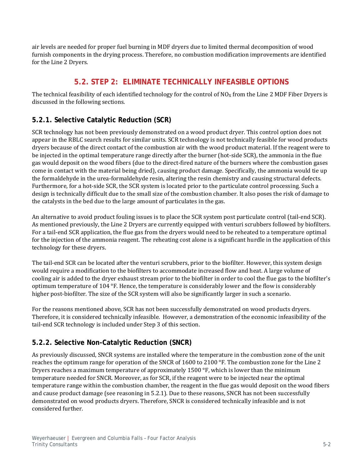<span id="page-19-0"></span>air levels are needed for proper fuel burning in MDF dryers due to limited thermal decomposition of wood furnish components in the drying process. Therefore, no combustion modification improvements are identified for the Line 2 Dryers.

## **5.2. STEP 2: ELIMINATE TECHNICALLY INFEASIBLE OPTIONS**

The technical feasibility of each identified technology for the control of  $NO<sub>X</sub>$  from the Line 2 MDF Fiber Dryers is discussed in the following sections.

## <span id="page-19-1"></span>**5.2.1. Selective Catalytic Reduction (SCR)**

SCR technology has not been previously demonstrated on a wood product dryer. This control option does not appear in the RBLC search results for similar units. SCR technology is not technically feasible for wood products dryers because of the direct contact of the combustion air with the wood product material. If the reagent were to be injected in the optimal temperature range directly after the burner (hot-side SCR), the ammonia in the flue gas would deposit on the wood fibers (due to the direct-fired nature of the burners where the combustion gases come in contact with the material being dried), causing product damage. Specifically, the ammonia would tie up the formaldehyde in the urea-formaldehyde resin, altering the resin chemistry and causing structural defects. Furthermore, for a hot-side SCR, the SCR system is located prior to the particulate control processing. Such a design is technically difficult due to the small size of the combustion chamber. It also poses the risk of damage to the catalysts in the bed due to the large amount of particulates in the gas.

An alternative to avoid product fouling issues is to place the SCR system post particulate control (tail-end SCR). As mentioned previously, the Line 2 Dryers are currently equipped with venturi scrubbers followed by biofilters. For a tail-end SCR application, the flue gas from the dryers would need to be reheated to a temperature optimal for the injection of the ammonia reagent. The reheating cost alone is a significant hurdle in the application of this technology for these dryers.

The tail-end SCR can be located after the venturi scrubbers, prior to the biofilter. However, this system design would require a modification to the biofilters to accommodate increased flow and heat. A large volume of cooling air is added to the dryer exhaust stream prior to the biofilter in order to cool the flue gas to the biofilter's optimum temperature of 104 °F. Hence, the temperature is considerably lower and the flow is considerably higher post-biofilter. The size of the SCR system will also be significantly larger in such a scenario.

For the reasons mentioned above, SCR has not been successfully demonstrated on wood products dryers. Therefore, it is considered technically infeasible. However, a demonstration of the economic infeasibility of the tail-end SCR technology is included under Step 3 of this section.

## <span id="page-19-2"></span>**5.2.2. Selective Non-Catalytic Reduction (SNCR)**

As previously discussed, SNCR systems are installed where the temperature in the combustion zone of the unit reaches the optimum range for operation of the SNCR of 1600 to 2100 °F. The combustion zone for the Line 2 Dryers reaches a maximum temperature of approximately 1500 °F, which is lower than the minimum temperature needed for SNCR. Moreover, as for SCR, if the reagent were to be injected near the optimal temperature range within the combustion chamber, the reagent in the flue gas would deposit on the wood fibers and cause product damage (see reasoning in 5.2.1). Due to these reasons, SNCR has not been successfully demonstrated on wood products dryers. Therefore, SNCR is considered technically infeasible and is not considered further.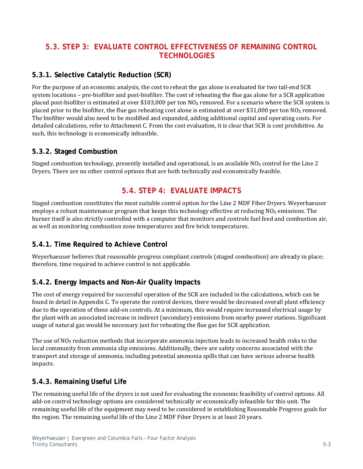## <span id="page-20-0"></span>**5.3. STEP 3: EVALUATE CONTROL EFFECTIVENESS OF REMAINING CONTROL TECHNOLOGIES**

## <span id="page-20-1"></span>**5.3.1. Selective Catalytic Reduction (SCR)**

For the purpose of an economic analysis, the cost to reheat the gas alone is evaluated for two tail-end SCR system locations – pre-biofilter and post-biofilter. The cost of reheating the flue gas alone for a SCR application placed post-biofilter is estimated at over \$103,000 per ton  $NO<sub>X</sub>$  removed. For a scenario where the SCR system is placed prior to the biofilter, the flue gas reheating cost alone is estimated at over \$31,000 per ton  $NO<sub>X</sub>$  removed. The biofilter would also need to be modified and expanded, adding additional capital and operating costs. For detailed calculations, refer to Attachment C. From the cost evaluation, it is clear that SCR is cost prohibitive. As such, this technology is economically infeasible.

### <span id="page-20-2"></span>**5.3.2. Staged Combustion**

<span id="page-20-3"></span>Staged combustion technology, presently installed and operational, is an available  $NO<sub>X</sub>$  control for the Line 2 Dryers. There are no other control options that are both technically and economically feasible.

## **5.4. STEP 4: EVALUATE IMPACTS**

Staged combustion constitutes the most suitable control option for the Line 2 MDF Fiber Dryers. Weyerhaeuser employs a robust maintenance program that keeps this technology effective at reducing  $NQ_X$  emissions. The burner itself is also strictly controlled with a computer that monitors and controls fuel feed and combustion air, as well as monitoring combustion zone temperatures and fire brick temperatures.

## <span id="page-20-4"></span>**5.4.1. Time Required to Achieve Control**

Weyerhaeuser believes that reasonable progress compliant controls (staged combustion) are already in place; therefore, time required to achieve control is not applicable.

### <span id="page-20-5"></span>**5.4.2. Energy Impacts and Non-Air Quality Impacts**

The cost of energy required for successful operation of the SCR are included in the calculations, which can be found in detail in Appendix C. To operate the control devices, there would be decreased overall plant efficiency due to the operation of these add-on controls. At a minimum, this would require increased electrical usage by the plant with an associated increase in indirect (secondary) emissions from nearby power stations. Significant usage of natural gas would be necessary just for reheating the flue gas for SCR application.

The use of  $NO<sub>X</sub>$  reduction methods that incorporate ammonia injection leads to increased health risks to the local community from ammonia slip emissions. Additionally, there are safety concerns associated with the transport and storage of ammonia, including potential ammonia spills that can have serious adverse health impacts.

### <span id="page-20-6"></span>**5.4.3. Remaining Useful Life**

The remaining useful life of the dryers is not used for evaluating the economic feasibility of control options. All add-on control technology options are considered technically or economically infeasible for this unit. The remaining useful life of the equipment may need to be considered in establishing Reasonable Progress goals for the region. The remaining useful life of the Line 2 MDF Fiber Dryers is at least 20 years.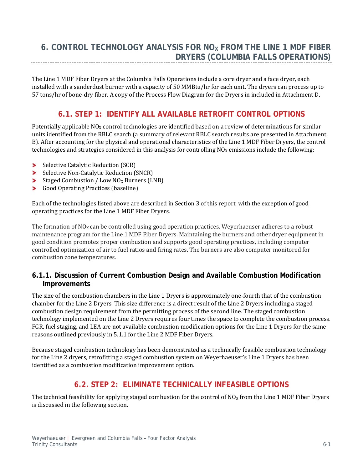<span id="page-21-1"></span><span id="page-21-0"></span>The Line 1 MDF Fiber Dryers at the Columbia Falls Operations include a core dryer and a face dryer, each installed with a sanderdust burner with a capacity of 50 MMBtu/hr for each unit. The dryers can process up to 57 tons/hr of bone-dry fiber. A copy of the Process Flow Diagram for the Dryers in included in Attachment D.

## **6.1. STEP 1: IDENTIFY ALL AVAILABLE RETROFIT CONTROL OPTIONS**

Potentially applicable  $NO<sub>X</sub>$  control technologies are identified based on a review of determinations for similar units identified from the RBLC search (a summary of relevant RBLC search results are presented in Attachment B). After accounting for the physical and operational characteristics of the Line 1 MDF Fiber Dryers, the control technologies and strategies considered in this analysis for controlling  $NO<sub>X</sub>$  emissions include the following:

- Selective Catalytic Reduction (SCR)
- Selective Non-Catalytic Reduction (SNCR)
- Staged Combustion / Low  $NO<sub>X</sub>$  Burners (LNB)
- $\blacktriangleright$ Good Operating Practices (baseline)

Each of the technologies listed above are described in Section 3 of this report, with the exception of good operating practices for the Line 1 MDF Fiber Dryers.

The formation of  $NO<sub>X</sub>$  can be controlled using good operation practices. Weyerhaeuser adheres to a robust maintenance program for the Line 1 MDF Fiber Dryers. Maintaining the burners and other dryer equipment in good condition promotes proper combustion and supports good operating practices, including computer controlled optimization of air to fuel ratios and firing rates. The burners are also computer monitored for combustion zone temperatures.

#### <span id="page-21-2"></span>**6.1.1. Discussion of Current Combustion Design and Available Combustion Modification Improvements**

The size of the combustion chambers in the Line 1 Dryers is approximately one-fourth that of the combustion chamber for the Line 2 Dryers. This size difference is a direct result of the Line 2 Dryers including a staged combustion design requirement from the permitting process of the second line. The staged combustion technology implemented on the Line 2 Dryers requires four times the space to complete the combustion process. FGR, fuel staging, and LEA are not available combustion modification options for the Line 1 Dryers for the same reasons outlined previously in 5.1.1 for the Line 2 MDF Fiber Dryers.

<span id="page-21-3"></span>Because staged combustion technology has been demonstrated as a technically feasible combustion technology for the Line 2 dryers, retrofitting a staged combustion system on Weyerhaeuser's Line 1 Dryers has been identified as a combustion modification improvement option.

## **6.2. STEP 2: ELIMINATE TECHNICALLY INFEASIBLE OPTIONS**

The technical feasibility for applying staged combustion for the control of  $NO<sub>X</sub>$  from the Line 1 MDF Fiber Dryers is discussed in the following section.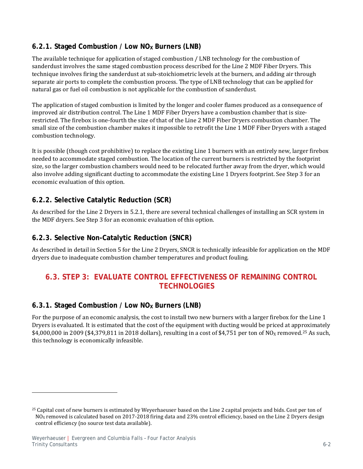## <span id="page-22-0"></span>6.2.1. Staged Combustion / Low NO<sub>X</sub> Burners (LNB)

The available technique for application of staged combustion / LNB technology for the combustion of sanderdust involves the same staged combustion process described for the Line 2 MDF Fiber Dryers. This technique involves firing the sanderdust at sub-stoichiometric levels at the burners, and adding air through separate air ports to complete the combustion process. The type of LNB technology that can be applied for natural gas or fuel oil combustion is not applicable for the combustion of sanderdust.

The application of staged combustion is limited by the longer and cooler flames produced as a consequence of improved air distribution control. The Line 1 MDF Fiber Dryers have a combustion chamber that is sizerestricted. The firebox is one-fourth the size of that of the Line 2 MDF Fiber Dryers combustion chamber. The small size of the combustion chamber makes it impossible to retrofit the Line 1 MDF Fiber Dryers with a staged combustion technology.

It is possible (though cost prohibitive) to replace the existing Line 1 burners with an entirely new, larger firebox needed to accommodate staged combustion. The location of the current burners is restricted by the footprint size, so the larger combustion chambers would need to be relocated further away from the dryer, which would also involve adding significant ducting to accommodate the existing Line 1 Dryers footprint. See Step 3 for an economic evaluation of this option.

### <span id="page-22-1"></span>**6.2.2. Selective Catalytic Reduction (SCR)**

As described for the Line 2 Dryers in 5.2.1, there are several technical challenges of installing an SCR system in the MDF dryers. See Step 3 for an economic evaluation of this option.

### <span id="page-22-2"></span>**6.2.3. Selective Non-Catalytic Reduction (SNCR)**

<span id="page-22-3"></span>As described in detail in Section 5 for the Line 2 Dryers, SNCR is technically infeasible for application on the MDF dryers due to inadequate combustion chamber temperatures and product fouling.

## **6.3. STEP 3: EVALUATE CONTROL EFFECTIVENESS OF REMAINING CONTROL TECHNOLOGIES**

### <span id="page-22-4"></span>**6.3.1. Staged Combustion / Low NOX Burners (LNB)**

For the purpose of an economic analysis, the cost to install two new burners with a larger firebox for the Line 1 Dryers is evaluated. It is estimated that the cost of the equipment with ducting would be priced at app[rox](#page-22-5)imately \$4,000,000 in 2009 (\$4,379,811 in 2018 dollars), resulting in a cost of \$4,751 per ton of NO<sub>x</sub> removed.<sup>25</sup> As such, this technology is economically infeasible.

j

<span id="page-22-5"></span><sup>&</sup>lt;sup>25</sup> Capital cost of new burners is estimated by Weyerhaeuser based on the Line 2 capital projects and bids. Cost per ton of NO<sub>x</sub> removed is calculated based on 2017-2018 firing data and 23% control efficiency, based on the Line 2 Dryers design control efficiency (no source test data available).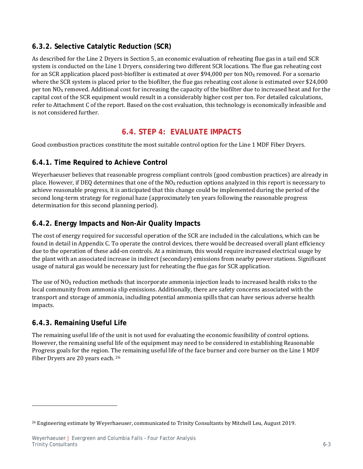### <span id="page-23-0"></span>**6.3.2. Selective Catalytic Reduction (SCR)**

As described for the Line 2 Dryers in Section 5, an economic evaluation of reheating flue gas in a tail end SCR system is conducted on the Line 1 Dryers, considering two different SCR locations. The flue gas reheating cost for an SCR application placed post-biofilter is estimated at over \$94,000 per ton  $NO<sub>X</sub>$  removed. For a scenario where the SCR system is placed prior to the biofilter, the flue gas reheating cost alone is estimated over \$24,000 per ton  $NO<sub>X</sub>$  removed. Additional cost for increasing the capacity of the biofilter due to increased heat and for the capital cost of the SCR equipment would result in a considerably higher cost per ton. For detailed calculations, refer to Attachment C of the report. Based on the cost evaluation, this technology is economically infeasible and is not considered further.

## **6.4. STEP 4: EVALUATE IMPACTS**

<span id="page-23-2"></span><span id="page-23-1"></span>Good combustion practices constitute the most suitable control option for the Line 1 MDF Fiber Dryers.

### **6.4.1. Time Required to Achieve Control**

Weyerhaeuser believes that reasonable progress compliant controls (good combustion practices) are already in place. However, if DEQ determines that one of the  $NO<sub>X</sub>$  reduction options analyzed in this report is necessary to achieve reasonable progress, it is anticipated that this change could be implemented during the period of the second long-term strategy for regional haze (approximately ten years following the reasonable progress determination for this second planning period).

### <span id="page-23-3"></span>**6.4.2. Energy Impacts and Non-Air Quality Impacts**

The cost of energy required for successful operation of the SCR are included in the calculations, which can be found in detail in Appendix C. To operate the control devices, there would be decreased overall plant efficiency due to the operation of these add-on controls. At a minimum, this would require increased electrical usage by the plant with an associated increase in indirect (secondary) emissions from nearby power stations. Significant usage of natural gas would be necessary just for reheating the flue gas for SCR application.

The use of  $NO<sub>X</sub>$  reduction methods that incorporate ammonia injection leads to increased health risks to the local community from ammonia slip emissions. Additionally, there are safety concerns associated with the transport and storage of ammonia, including potential ammonia spills that can have serious adverse health impacts.

### <span id="page-23-4"></span>**6.4.3. Remaining Useful Life**

j

The remaining useful life of the unit is not used for evaluating the economic feasibility of control options. However, the remaining useful life of the equipment may need to be considered in establishing Reasonable Progress goals for the region. T[he](#page-23-5) remaining useful life of the face burner and core burner on the Line 1 MDF Fiber Dryers are 20 years each. <sup>26</sup>

<span id="page-23-5"></span><sup>&</sup>lt;sup>26</sup> Engineering estimate by Weyerhaeuser, communicated to Trinity Consultants by Mitchell Leu, August 2019.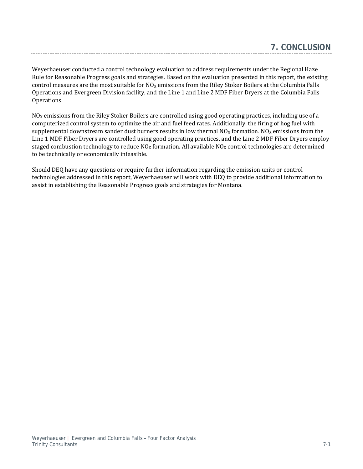|  | . CONCLUSION |
|--|--------------|
|  |              |

Weyerhaeuser conducted a control technology evaluation to address requirements under the Regional Haze Rule for Reasonable Progress goals and strategies. Based on the evaluation presented in this report, the existing control measures are the most suitable for  $NO<sub>X</sub>$  emissions from the Riley Stoker Boilers at the Columbia Falls Operations and Evergreen Division facility, and the Line 1 and Line 2 MDF Fiber Dryers at the Columbia Falls Operations.

<span id="page-24-0"></span>------

 $NO<sub>X</sub>$  emissions from the Riley Stoker Boilers are controlled using good operating practices, including use of a computerized control system to optimize the air and fuel feed rates. Additionally, the firing of hog fuel with supplemental downstream sander dust burners results in low thermal  $NO<sub>x</sub>$  formation.  $NO<sub>x</sub>$  emissions from the Line 1 MDF Fiber Dryers are controlled using good operating practices, and the Line 2 MDF Fiber Dryers employ staged combustion technology to reduce  $NO<sub>X</sub>$  formation. All available  $NO<sub>X</sub>$  control technologies are determined to be technically or economically infeasible.

Should DEQ have any questions or require further information regarding the emission units or control technologies addressed in this report, Weyerhaeuser will work with DEQ to provide additional information to assist in establishing the Reasonable Progress goals and strategies for Montana.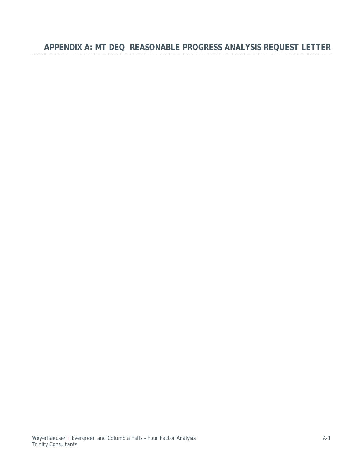**APPENDIX A: MT DEQ REASONABLE PROGRESS ANALYSIS REQUEST LETTER**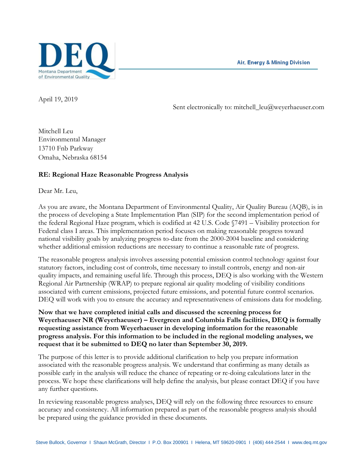Air, Energy & Mining Division



April 19, 2019

Sent electronically to: mitchell\_leu@weyerhaeuser.com

Mitchell Leu Environmental Manager 13710 Fnb Parkway Omaha, Nebraska 68154

#### **RE: Regional Haze Reasonable Progress Analysis**

Dear Mr. Leu,

As you are aware, the Montana Department of Environmental Quality, Air Quality Bureau (AQB), is in the process of developing a State Implementation Plan (SIP) for the second implementation period of the federal Regional Haze program, which is codified at 42 U.S. Code §7491 – Visibility protection for Federal class I areas. This implementation period focuses on making reasonable progress toward national visibility goals by analyzing progress to-date from the 2000-2004 baseline and considering whether additional emission reductions are necessary to continue a reasonable rate of progress.

The reasonable progress analysis involves assessing potential emission control technology against four statutory factors, including cost of controls, time necessary to install controls, energy and non-air quality impacts, and remaining useful life. Through this process, DEQ is also working with the Western Regional Air Partnership (WRAP) to prepare regional air quality modeling of visibility conditions associated with current emissions, projected future emissions, and potential future control scenarios. DEQ will work with you to ensure the accuracy and representativeness of emissions data for modeling.

**Now that we have completed initial calls and discussed the screening process for Weyerhaeuser NR (Weyerhaeuser) – Evergreen and Columbia Falls facilities, DEQ is formally requesting assistance from Weyerhaeuser in developing information for the reasonable progress analysis. For this information to be included in the regional modeling analyses, we request that it be submitted to DEQ no later than September 30, 2019.**

The purpose of this letter is to provide additional clarification to help you prepare information associated with the reasonable progress analysis. We understand that confirming as many details as possible early in the analysis will reduce the chance of repeating or re-doing calculations later in the process. We hope these clarifications will help define the analysis, but please contact DEQ if you have any further questions.

In reviewing reasonable progress analyses, DEQ will rely on the following three resources to ensure accuracy and consistency. All information prepared as part of the reasonable progress analysis should be prepared using the guidance provided in these documents.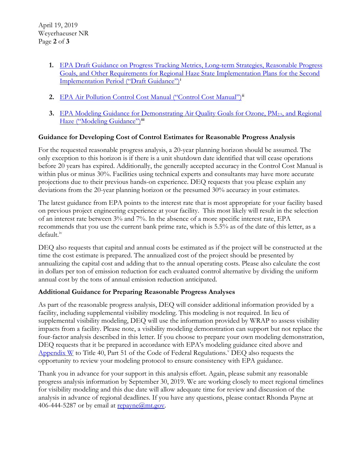- **1.** EPA [Draft Guidance on Progress Tracking Metrics, Long-term Strategies, Reasonable Progress](https://www.epa.gov/visibility/draft-guidance-second-implementation-period-regional-haze-rule)  [Goals, and Other Requirements for Regional Haze State Implementation Plans for the Second](https://www.epa.gov/visibility/draft-guidance-second-implementation-period-regional-haze-rule)  [Implementation Period \("Draft Guidance"\)](https://www.epa.gov/visibility/draft-guidance-second-implementation-period-regional-haze-rule)**[i](#page-28-0)**
- **2.** [EPA Air Pollution Control Cost Manual \("Control Cost Manual"\)](https://www.epa.gov/economic-and-cost-analysis-air-pollution-regulations/cost-reports-and-guidance-air-pollution#cost%20manual)**[ii](#page-28-1)**
- **3.** [EPA Modeling Guidance for Demonstrating Air Quality Goals for Ozone, PM2.5, and Regional](https://www.epa.gov/scram/state-implementation-plan-sip-attainment-demonstration-guidance#8ozone)  [Haze \("Modeling Guidance"\)](https://www.epa.gov/scram/state-implementation-plan-sip-attainment-demonstration-guidance#8ozone)**[iii](#page-28-2)**

#### **Guidance for Developing Cost of Control Estimates for Reasonable Progress Analysis**

For the requested reasonable progress analysis, a 20-year planning horizon should be assumed. The only exception to this horizon is if there is a unit shutdown date identified that will cease operations before 20 years has expired. Additionally, the generally accepted accuracy in the Control Cost Manual is within plus or minus 30%. Facilities using technical experts and consultants may have more accurate projections due to their previous hands-on experience. DEQ requests that you please explain any deviations from the 20-year planning horizon or the presumed 30% accuracy in your estimates.

The latest guidance from EPA points to the interest rate that is most appropriate for your facility based on previous project engineering experience at your facility. This most likely will result in the selection of an interest rate between 3% and 7%. In the absence of a more specific interest rate, EPA recommends that you use the current bank prime rate, which is 5.5% as of the date of this letter, as a default.<sup>[iv](#page-28-3)</sup>

DEQ also requests that capital and annual costs be estimated as if the project will be constructed at the time the cost estimate is prepared. The annualized cost of the project should be presented by annualizing the capital cost and adding that to the annual operating costs. Please also calculate the cost in dollars per ton of emission reduction for each evaluated control alternative by dividing the uniform annual cost by the tons of annual emission reduction anticipated.

#### **Additional Guidance for Preparing Reasonable Progress Analyses**

As part of the reasonable progress analysis, DEQ will consider additional information provided by a facility, including supplemental visibility modeling. This modeling is not required. In lieu of supplemental visibility modeling, DEQ will use the information provided by WRAP to assess visibility impacts from a facility. Please note, a visibility modeling demonstration can support but not replace the four-factor analysis described in this letter. If you choose to prepare your own modeling demonstration, DEQ requests that it be prepared in accordance with EPA's modeling guidance cited above and [Appendix W](https://www3.epa.gov/ttn/scram/appendix_w-2016.htm) to Title 40, Part 51 of the Code of Federal Regulations.<sup>[v](#page-28-4)</sup> DEQ also requests the opportunity to review your modeling protocol to ensure consistency with EPA guidance.

Thank you in advance for your support in this analysis effort. Again, please submit any reasonable progress analysis information by September 30, 2019. We are working closely to meet regional timelines for visibility modeling and this due date will allow adequate time for review and discussion of the analysis in advance of regional deadlines. If you have any questions, please contact Rhonda Payne at 406-444-5287 or by email at  $repayment.gov$ .</u>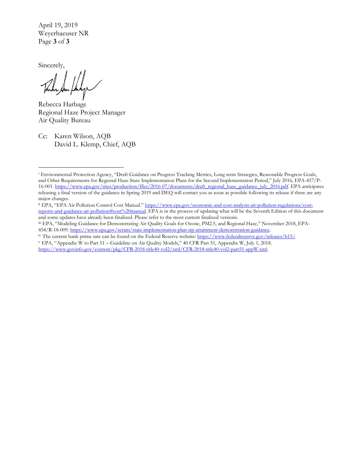April 19, 2019 Weyerhaeuser NR Page **3** of **3**

Sincerely,

 $\overline{a}$ 

Rebecca Harbage Regional Haze Project Manager Air Quality Bureau

Cc: Karen Wilson, AQB David L. Klemp, Chief, AQB

<span id="page-28-1"></span>ii EPA, "EPA Air Pollution Control Cost Manual.[" https://www.epa.gov/economic-and-cost-analysis-air-pollution-regulations/cost](https://www.epa.gov/economic-and-cost-analysis-air-pollution-regulations/cost-reports-and-guidance-air-pollution#cost%20manual)[reports-and-guidance-air-pollution#cost%20manual.](https://www.epa.gov/economic-and-cost-analysis-air-pollution-regulations/cost-reports-and-guidance-air-pollution#cost%20manual) EPA is in the process of updating what will be the Seventh Edition of this document and some updates have already been finalized. Please refer to the most current finalized versions.

<span id="page-28-2"></span>iii EPA, "Modeling Guidance for Demonstrating Air Quality Goals for Ozone, PM2.5, and Regional Haze," November 2018, EPA-454/R-18-009[. https://www.epa.gov/scram/state-implementation-plan-sip-attainment-demonstration-guidance.](https://www.epa.gov/scram/state-implementation-plan-sip-attainment-demonstration-guidance)

<span id="page-28-3"></span><sup>iv</sup> The current bank prime rate can be found on the Federal Reserve website: [https://www.federalreserve.gov/releases/h15/.](https://www.federalreserve.gov/releases/h15/)

<span id="page-28-4"></span><sup>v</sup> EPA, "Appendix W to Part 51 – Guideline on Air Quality Models," 40 CFR Part 51, Appendix W, July 1, 2018. [https://www.govinfo.gov/content/pkg/CFR-2018-title40-vol2/xml/CFR-2018-title40-vol2-part51-appW.xml.](https://www.govinfo.gov/content/pkg/CFR-2018-title40-vol2/xml/CFR-2018-title40-vol2-part51-appW.xml)

<span id="page-28-0"></span><sup>i</sup> Environmental Protection Agency, "Draft Guidance on Progress Tracking Metrics, Long-term Strategies, Reasonable Progress Goals, and Other Requirements for Regional Haze State Implementation Plans for the Second Implementation Period," July 2016, EPA-457/P-16-001. [https://www.epa.gov/sites/production/files/2016-07/documents/draft\\_regional\\_haze\\_guidance\\_july\\_2016.pdf.](https://www.epa.gov/sites/production/files/2016-07/documents/draft_regional_haze_guidance_july_2016.pdf) EPA anticipates releasing a final version of the guidance in Spring 2019 and DEQ will contact you as soon as possible following its release if there are any major changes.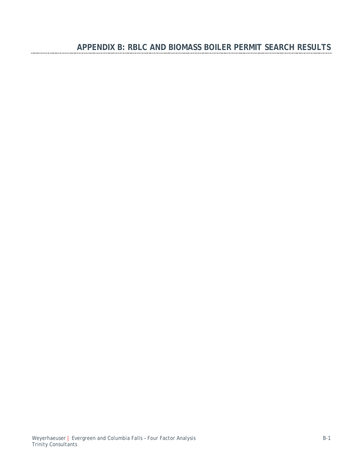<u>............</u>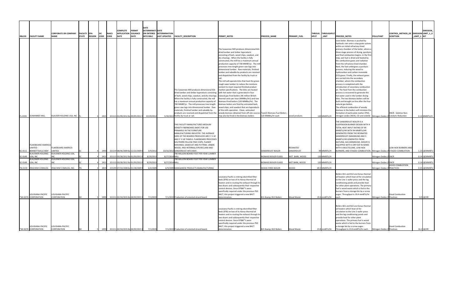|                                                                |                                                  |                     |                                    | <b>COMPLETE</b>                       | PERMIT                              | <b>DATE</b><br><b>DETERMINATI DATE</b>       |                     |                                                                                                                                                                                                                                                                                                                                                                                                                          |                                                                                                                                                                                                                                                                                                                                                    |                             |                       |             |                                                    |                                                                                                                                                                                                                                                                                                                                                                                                   |               | <b>EMISSION</b> |
|----------------------------------------------------------------|--------------------------------------------------|---------------------|------------------------------------|---------------------------------------|-------------------------------------|----------------------------------------------|---------------------|--------------------------------------------------------------------------------------------------------------------------------------------------------------------------------------------------------------------------------------------------------------------------------------------------------------------------------------------------------------------------------------------------------------------------|----------------------------------------------------------------------------------------------------------------------------------------------------------------------------------------------------------------------------------------------------------------------------------------------------------------------------------------------------|-----------------------------|-----------------------|-------------|----------------------------------------------------|---------------------------------------------------------------------------------------------------------------------------------------------------------------------------------------------------------------------------------------------------------------------------------------------------------------------------------------------------------------------------------------------------|---------------|-----------------|
| <b>RBLCID FACILITY NAME</b>                                    | CORPORATE OR COMPANY FACILITY EPA<br><b>NAME</b> | STATE <b>REGION</b> | <b>NAICS</b><br> SIC <br>CODE CODE | <b>DATE</b>                           | <b>APPLICATION ISSUANCE</b><br>DATE | ON ENTERED DETERMINATION<br><b>INTO RBLC</b> | <b>LAST UPDATED</b> | <b>FACILITY_DESCRIPTION</b>                                                                                                                                                                                                                                                                                                                                                                                              | <b>PERMIT_NOTES</b>                                                                                                                                                                                                                                                                                                                                | <b>PROCESS_NAME</b>         | <b>PRIMARY_FUEL</b>   | <b>HPUT</b> | THROUG THROUGHPUT<br>$\overline{\phantom{a}}$ UNIT | CONTROL_METHOD_DE EMISSION LIMIT_1_U<br><b>SCRIPTION</b><br><b>PROCESS_NOTES</b><br>POLLUTANT                                                                                                                                                                                                                                                                                                     | _LIMIT_1  NIT |                 |
|                                                                |                                                  |                     |                                    |                                       |                                     |                                              |                     |                                                                                                                                                                                                                                                                                                                                                                                                                          | The Suwannee Mill produces dimensional kiln<br>dried lumber and timber byproducts<br>consisting of bark, wood chips, sawdust, and<br>dry shavings. When the facility is fully                                                                                                                                                                      |                             |                       |             |                                                    | oven boiler. Biomass is pushed by<br>hydraulic ram onto a step grate system<br>within an initial refractory-lined<br>primary chamber of the boiler, where a<br>three-stage process of drying, pyrolysis,<br>and final combustion begins. In the first<br>step, wet fuel is dried and heated by                                                                                                    |               |                 |
|                                                                |                                                  |                     |                                    |                                       |                                     |                                              |                     |                                                                                                                                                                                                                                                                                                                                                                                                                          | constructed, the mill has a maximum annual<br>production capacity of 700 MMBF/yr. The mill<br>processes tree-length green saw logs into<br>dimensional lumber. Raw materials, finished<br>lumber and saleable by-products are received<br>and dispatched from the facility by truck or                                                             |                             |                       |             |                                                    | the combustion gases and radiation<br>from the refractory-lined chamber.<br>Next, the fuel undergoes a pyrolysis<br>process, reducing the wood to<br>hydrocarbon and carbon monoxide<br>(CO) gases. Finally, the exhaust gases<br>are carried into the secondary                                                                                                                                  |               |                 |
|                                                                |                                                  |                     |                                    |                                       |                                     |                                              |                     | The Suwannee Mill produces dimensional kiln<br>$\alpha$ dried lumber and timber byproducts consisting $\alpha$ with hot water that is generated in four<br>of bark, wood chips, sawdust, and dry shavings. natural gas-fired boilers (46 million British<br>When the facility is fully constructed, the mill                                                                                                             | The mill will operate kilns that heat the green<br>rough sawn lumber to reduce the moisture<br>content to meet required finished product<br>market specifications. The kilns are heated<br>thermal units per hour (MMBtu/hr)) and two                                                                                                              |                             |                       |             |                                                    | chamber, where the combustion<br>process is completed with the<br>introduction of secondary combustion<br>lair. The heat from the combustion<br>process is recovered to generate the<br>hot water used in the lumber drying<br>kilns. The two biomass boilers will be                                                                                                                             |               |                 |
| FL-0335 SUWANNEE MILL                                          | KLAUSER HOLDING USA, INC. FL                     |                     |                                    | 2421 321113 01/09/2012 & 09/05/2012 8 |                                     | 10/29/2012                                   |                     | has a maximum annual production capacity of<br>700 MMBF/yr. The mill processes tree-length<br>$\beta$ green saw logs into dimensional lumber. Raw $\beta$ wood chips, and sawdust that are byproducts<br>Imaterials, finished lumber and saleable by-<br>products are received and dispatched from the woody biomass obtained from off-site sources (Two(2) Biomass-Fuel Boilers<br>5/30/2013 facility by truck or rail. | biomass-fired boilers (120 MMBtu/hr). The<br>biomass boilers are fired by untreated bark,<br>of the mills operation. Clean, untreated<br>may also be fired in the biomass boilers                                                                                                                                                                  | 120 MMBtu/hr each           | wood products         |             | 120 MMBTU/H                                        | built and brought on line after the four<br>natural gas boilers.<br>The efficient combustion of woody<br>biomass in the boilers will minimize the<br>formation of particulate matter (PM),<br><b>SNCR</b> - Seletive Non-<br>Initrogen oxides (NOX), CO and volatile   Nitrogen Oxides (NCatalytic Reduction                                                                                      |               | $0.14$ MMBTU/H  |
| <b>FLAKEBOARD AMERICA</b><br><b>LIMITED -</b>                  | <b>FLAKEBOARD AMERICA</b>                        |                     |                                    |                                       |                                     |                                              |                     | THIS FACILITY MANUFACTURES MEDIUM<br>DENSITY FIBERBOARD (MDF) FOR USE<br><b>PRIMARILY IN THE FURNITURE</b><br>MANUFACTURING INDUSTRY. THE AVERAGE<br>SIZES OF THE BOARDS PRODUCED ARE 5' X 16'<br>AND 5' X 18' PANELS. FLAKEBOARD PROCESSES<br>SOUTHERN YELLOW PINE CHIPS, PLANER<br>SHAVINGS, SAWDUST AND PLYTRIM, URBAN<br>WOOD, AND INTERNAL/CPB RECLAIM AND                                                          |                                                                                                                                                                                                                                                                                                                                                    |                             | RESINATED             |             |                                                    | THE SANDERDUST BOILER IS A<br>SUSPENSION BURNER DESIGN WITH A<br>TOTAL HEAT INPUT RATING OF 99<br>MMBTU/HR WITH 94 MMBTU/HR<br><b>GENERATED FROM THE RESINATED</b><br>SANDERDUST (MAXIMUM) AND 5<br>MMBTU/HR GENERATED FROM<br>NATURAL GAS (MINIMUM). BOILER IS<br>EQUIPPED WITH A DRY ESP IN SERIES<br>WITH A MULTICLONE, LOW-NOX<br><b>LOW-NOX BURNERS AND</b>                                  |               |                 |
| SC-0111  BENNETTSVILLE MDF  LIMITED<br><b>KLAUSNER HOLDING</b> | KLAUSNER HOLDING USA,                            |                     | 2493I                              | 321219 08/06/2009 &r 12/22/2009 &     |                                     | 5/9/2012                                     |                     | 10/16/2012 SANDERDUST INTO MDF.<br>700 MILLION BOARD FOOT PER YEAR LUMBER                                                                                                                                                                                                                                                                                                                                                |                                                                                                                                                                                                                                                                                                                                                    | <b>SANDERDUST BOILER</b>    | SANDERDUST            |             | 99 MMBTU/H                                         | BURNERS, AND STAGED COMBUSTION. Nitrogen Oxides (NSTAGED COMBUSTION                                                                                                                                                                                                                                                                                                                               |               | 1.23 LB/MMBTU   |
| SC-0149   USA, INC<br><b>KLAUSNER HOLDING</b>                  | KLAUSNER HOLDING USA,                            |                     | 24211                              | 32111303/28/2012 &r01/03/2013 &       |                                     | 8/29/2013                                    | 8/27/2014 MILL      | 700 MILLION BOARD FOOT PER YEAR LUMBER                                                                                                                                                                                                                                                                                                                                                                                   |                                                                                                                                                                                                                                                                                                                                                    | <b>BIOMASS BOILER EU001</b> | <b>WET BARK, WOOD</b> |             | 120 MMBTU/H                                        | Nitrogen Oxides (NSNCR                                                                                                                                                                                                                                                                                                                                                                            |               | $0.14$ LB/MMBTL |
| SC-0149   USA, INC                                             |                                                  |                     |                                    | 32111303/28/2012 &r01/03/2013 8       |                                     | 8/29/2013                                    | 8/27/2014 MILI      |                                                                                                                                                                                                                                                                                                                                                                                                                          |                                                                                                                                                                                                                                                                                                                                                    | <b>BIOMASS BOILER EU002</b> | <b>WET BARK, WOOD</b> |             | 120 MMBTU/H                                        | Nitrogen Oxides (NSNCR                                                                                                                                                                                                                                                                                                                                                                            |               | $0.14$ LB/MMBTU |
| TN-0159   ERACHEM COMILOG                                      | <b>ERACHEM COMILOG, INC.</b>                     |                     | 2819                               | 325199 07/24/2008 &r01/28/2009 &      |                                     | 6/4/2009                                     |                     | 6/9/2009 MANGANESE PRODUCTS MANUFACTURING                                                                                                                                                                                                                                                                                                                                                                                |                                                                                                                                                                                                                                                                                                                                                    | <b>WOOD-FIRED BOILER</b>    | <b>WOOD</b>           |             | $69.3$ MMBTU/H                                     | <b>GOOD COMBUSTION</b><br>Nitrogen Oxides (NPRACTICES                                                                                                                                                                                                                                                                                                                                             |               | 0.25 LB/MMBTU   |
| LOUISIANA-PACIFIC<br><b>WI-0276 CORPORATION</b>                | LOUISIANA-PACIFIC<br>CORPORATION                 |                     |                                    | 321211 02/24/2015 &r04/02/2015 &      |                                     | 7/1/2019                                     |                     | 7/1/2019 Production of oriented strand board.                                                                                                                                                                                                                                                                                                                                                                            | Louisiana-Pacific is retiring electrified filter<br>beds (EFB) on two of its Konus thermal oil<br>heaters and re-routing the exhaust through its<br>two dryers and subsequently their respective<br>control devices. Since EFB's were<br>specifically required under the previous PSD<br>BACT, this project triggered a new BACT<br>determination. | B11 & B12 Boilers           | <b>Wood Waste</b>     |             | $19.4$ mmBTU/hr                                    | Boilers B11 and B12 are Konus thermal<br>oil heaters which heat oil for circulatio<br>to the Line 1 wafer press and the log<br>conditioning ponds and provide heat<br>for other plant operations. The primary<br>fuel is wood waste which is fed to the<br>burners from a storage bin by a screw<br>auger. Throughput is 19.4 mmBTU/hr<br><b>Good Combustion</b><br>Nitrogen Oxides (NPractices   |               | $8.9$ LB/HR     |
| LOUISIANA-PACIFIC<br>*WI-0276 CORPORATION                      | LOUISIANA-PACIFIC<br>CORPORATION                 |                     |                                    | 32121102/24/2015 &r04/02/2015 &       |                                     | 7/1/2019                                     |                     | 7/1/2019 Production of oriented strand board.                                                                                                                                                                                                                                                                                                                                                                            | Louisiana-Pacific is retiring electrified filter<br>beds (EFB) on two of its Konus thermal oil<br>heaters and re-routing the exhaust through its<br>two dryers and subsequently their respective<br>control devices. Since EFB's were<br>specifically required under the previous PSD<br>BACT, this project triggered a new BACT<br>determination. | B21 & B22 Boilers           | <b>Wood Waste</b>     |             | 23.8 mmBTU/hr                                      | Boilers B21 and B22 are Konus thermal<br>oil heaters which heat oil for<br>circulation to the Line 2 wafer press<br>and the log conditioning ponds and<br>provide heat for other plant<br>operations. The primary fuel is wood<br>waste which is fed to the burners from<br>a storage bin by a screw auger.<br>Good Combustion<br>Throughput is 23.8 mmBTU/hr each.   Nitrogen Oxides (NPractices |               | $16.2$ LB/HR    |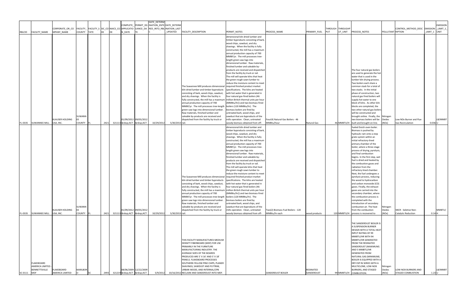| COMPLETE_ PERMIT_ISS  INATION_ENTE DATE_DETERN<br><b>EMISSION</b><br> CORPORATE_OR_CO  FACILITY_  FACILITY_S  SIC_CO NAICS_CO  APPLICATIO  UANCE_DA  RED_INTO_RBL INATION_LAST<br>THROUGH THROUGHP<br>CONTROL_METHOD_DESC  EMISSION  _LIMIT_1_<br>COUNTY TATE<br>MPANY_NAME<br>N_DATE<br><b>PROCESS_NOTES</b><br><b>RBLCID</b><br>FACILITY_NAME<br>UPDATED<br>FACILITY_DESCRIPTION<br>PERMIT_NOTES<br>PROCESS_NAME<br>PRIMARY_FUEL<br>UT_UNIT<br>POLLUTANT RIPTION<br>LIMIT_1 UNIT<br><b>PUT</b><br>dimensional kiln dried lumber and<br>timber byproducts consisting of bark,<br>wood chips, sawdust, and dry<br>shavings. When the facility is fully<br>constructed, the mill has a maximum<br>annual production capacity of 700<br>MMBF/yr. The mill processes tree-<br>length green saw logs into<br>dimensional lumber. Raw materials,<br>finished lumber and saleable by-<br>products are received and dispatched<br>The four natural gas boilers<br>from the facility by truck or rail.<br>are used to generate the hot<br>The mill will operate kilns that heat<br>water that is used in the<br>the green rough sawn lumber to<br>lumber kiln drying process.<br>reduce the moisture content to meet<br>Two boilers each share a<br>common stack for a total of<br>The Suwannee Mill produces dimensional required finished product market<br>kiln dried lumber and timber byproducts specifications. The kilns are heated<br>two stacks. In the initial<br>consisting of bark, wood chips, sawdust, with hot water that is generated in<br>phase of construction, two<br>and dry shavings. When the facility is<br>four natural gas-fired boilers (46<br>natural gas fired boilers will<br>fully constructed, the mill has a maximum   million British thermal units per hour<br>supply hot water to one<br>annual production capacity of 700<br>block of kilns. As other kiln<br>(MMBtu/hr)) and two biomass-fired<br>MMBF/yr. The mill processes tree-length   boilers (120 MMBtu/hr). The<br>blocks are completed, the<br>green saw logs into dimensional lumber.<br>two other natural gas boilers<br>biomass boilers are fired by<br>Raw materials, finished lumber and<br>will be constructed and<br>untreated bark, wood chips, and<br>SUWANN<br>sawdust that are byproducts of the<br>saleable by-products are received and<br>brought online. Finally, the Nitrogen<br>KLAUSER HOLDING<br>01/09/2012 09/05/2012<br>LB/MMBT<br>dispatched from the facility by truck or<br>mills operation. Clean, untreated<br>Four(4) Natural Gas Boilers - 46<br>two biomass boilers will be   Oxides<br>Low NOx Burner and Flue<br>$321113$ ACT  ACT 10/29/2012 5/30/2013 rail.<br>FL-0335 SUWANNEE MILL USA, INC.<br>COUNTY FL<br>2421<br>46 MMBTU/H   built and brought on line.<br>(NOx)<br>$0.036$ U<br>woody biomass obtained from off- MMBtu/hour<br><b>Natural Gas</b><br><b>Gas Recirculation</b><br>dimensional kiln dried lumber and<br>fueled Dutch oven boiler.<br>Biomass is pushed by<br>timber byproducts consisting of bark,<br>hydraulic ram onto a step<br>wood chips, sawdust, and dry<br>shavings. When the facility is fully<br>grate system within an<br>initial refractory-lined<br>constructed, the mill has a maximum<br>annual production capacity of 700<br>primary chamber of the<br>MMBF/yr. The mill processes tree-<br>boiler, where a three-stage<br>process of drying, pyrolysis,<br>length green saw logs into<br>dimensional lumber. Raw materials,<br>and final combustion<br>finished lumber and saleable by-<br>begins. In the first step, wet<br>fuel is dried and heated by<br>products are received and dispatched<br>from the facility by truck or rail.<br>the combustion gases and<br>radiation from the<br>The mill will operate kilns that heat<br>refractory-lined chamber.<br>the green rough sawn lumber to<br>Next, the fuel undergoes a<br>reduce the moisture content to meet<br>The Suwannee Mill produces dimensional required finished product market<br>pyrolysis process, reducing<br>the wood to hydrocarbon<br>kiln dried lumber and timber byproducts specifications. The kilns are heated<br>consisting of bark, wood chips, sawdust, with hot water that is generated in<br>and carbon monoxide (CO)<br>and dry shavings. When the facility is<br>four natural gas-fired boilers (46<br>gases. Finally, the exhaust<br>fully constructed, the mill has a maximum million British thermal units per hour<br>gases are carried into the<br>annual production capacity of 700<br>(MMBtu/hr)) and two biomass-fired<br>secondary chamber, where<br>MMBF/yr. The mill processes tree-length boilers (120 MMBtu/hr). The<br>the combustion process is<br>completed with the<br>green saw logs into dimensional lumber.<br>biomass boilers are fired by<br>Raw materials, finished lumber and<br>introduction of secondary<br>untreated bark, wood chips, and<br>combustion air. The heat<br>SUWANN<br>saleable by-products are received and<br>sawdust that are byproducts of the<br>Nitrogen<br>KLAUSER HOLDING<br>01/09/2012 09/05/2012<br>MMBTU/<br>dispatched from the facility by truck or<br>Two(2) Biomass-Fuel Boilers - 120<br>Oxides<br>SNCR - Seletive Non-<br>mills operation. Clean, untreated<br>from the combustion<br>2421 321113  ACT  ACT<br>10/29/2012<br><b>COUNTY</b><br>5/30/2013 rail.<br>MMBtu/hr each<br>(NOx)<br>FL-0335 SUWANNEE MILL<br>USA, INC.<br>woody biomass obtained from off-<br>120 MMBTU/H   process is recovered to<br>Catalytic Reduction<br>$0.14$ H<br>wood products<br><b>THE SANDERDUST BOILER IS</b><br>A SUSPENSION BURNER<br><b>DESIGN WITH A TOTAL HEAT</b><br><b>INPUT RATING OF 99</b><br>MMBTU/HR WITH 94<br>MMBTU/HR GENERATED<br>THIS FACILITY MANUFACTURES MEDIUM<br><b>FROM THE RESINATED</b><br>DENSITY FIBERBOARD (MDF) FOR USE<br><b>PRIMARILY IN THE FURNITURE</b><br>SANDERDUST (MAXIMUM)<br>AND 5 MMBTU/HR<br>MANUFACTURING INDUSTRY. THE<br><b>GENERATED FROM</b><br><b>AVERAGE SIZES OF THE BOARDS</b><br>NATURAL GAS (MINIMUM).<br>PRODUCED ARE 5' X 16' AND 5' X 18'<br><b>PANELS. FLAKEBOARD PROCESSES</b><br><b>BOILER IS EQUIPPED WITH A</b><br>FLAKEBOARD<br>DRY ESP IN SERIES WITH A<br>SOUTHERN YELLOW PINE CHIPS, PLANER<br>AMERICA LIMITED -<br>MULTICLONE, LOW-NOX<br>SHAVINGS, SAWDUST AND PLYTRIM,<br>Nitrogen<br><b>MARLBOR</b><br><b>BENNETTSVILLE</b><br>08/06/2009 12/22/2009<br>FLAKEBOARD<br>URBAN WOOD, AND INTERNAL/CPB<br><b>BURNERS, AND STAGED</b><br>LB/MMBT<br>RESINATED<br>Oxides<br><b>LOW-NOX BURNERS AND</b><br>321219  ACT  ACT<br>5/9/2012<br>AMERICA LIMITED<br>2493<br>SANDERDUST<br>99 MMBTU/H COMBUSTION.<br>(NOx)<br><b>STAGED COMBUSTION</b><br>SC-0111 MDF<br>10/16/2012 RECLAIM AND SANDERDUST INTO MDF.<br><b>SANDERDUST BOILER</b><br>$1.23$ U |  |  |  |  | DATE_DETERM |  |  |  |  |  |  |
|---------------------------------------------------------------------------------------------------------------------------------------------------------------------------------------------------------------------------------------------------------------------------------------------------------------------------------------------------------------------------------------------------------------------------------------------------------------------------------------------------------------------------------------------------------------------------------------------------------------------------------------------------------------------------------------------------------------------------------------------------------------------------------------------------------------------------------------------------------------------------------------------------------------------------------------------------------------------------------------------------------------------------------------------------------------------------------------------------------------------------------------------------------------------------------------------------------------------------------------------------------------------------------------------------------------------------------------------------------------------------------------------------------------------------------------------------------------------------------------------------------------------------------------------------------------------------------------------------------------------------------------------------------------------------------------------------------------------------------------------------------------------------------------------------------------------------------------------------------------------------------------------------------------------------------------------------------------------------------------------------------------------------------------------------------------------------------------------------------------------------------------------------------------------------------------------------------------------------------------------------------------------------------------------------------------------------------------------------------------------------------------------------------------------------------------------------------------------------------------------------------------------------------------------------------------------------------------------------------------------------------------------------------------------------------------------------------------------------------------------------------------------------------------------------------------------------------------------------------------------------------------------------------------------------------------------------------------------------------------------------------------------------------------------------------------------------------------------------------------------------------------------------------------------------------------------------------------------------------------------------------------------------------------------------------------------------------------------------------------------------------------------------------------------------------------------------------------------------------------------------------------------------------------------------------------------------------------------------------------------------------------------------------------------------------------------------------------------------------------------------------------------------------------------------------------------------------------------------------------------------------------------------------------------------------------------------------------------------------------------------------------------------------------------------------------------------------------------------------------------------------------------------------------------------------------------------------------------------------------------------------------------------------------------------------------------------------------------------------------------------------------------------------------------------------------------------------------------------------------------------------------------------------------------------------------------------------------------------------------------------------------------------------------------------------------------------------------------------------------------------------------------------------------------------------------------------------------------------------------------------------------------------------------------------------------------------------------------------------------------------------------------------------------------------------------------------------------------------------------------------------------------------------------------------------------------------------------------------------------------------------------------------------------------------------------------------------------------------------------------------------------------------------------------------------------------------------------------------------------------------------------------------------------------------------------------------------------------------------------------------------------------------------------------------------------------------------------------------------------------------------------------------------------------------------------------------------------------------------------------------------------------------------------------------------------------------------------------------------------------------------------------------------------------------------------------------------------------------------------------------------------------------------------------------------------------------------------------------------------------------------------------------------------------------------------------------------------------------------------------------------------------------------------------------------------------------------------------------------------------------------------------------------------------------------------------------------------------------------------------------------------------------------------------------------------------------------------------------------------------------------------------------------------------------------------------|--|--|--|--|-------------|--|--|--|--|--|--|
|                                                                                                                                                                                                                                                                                                                                                                                                                                                                                                                                                                                                                                                                                                                                                                                                                                                                                                                                                                                                                                                                                                                                                                                                                                                                                                                                                                                                                                                                                                                                                                                                                                                                                                                                                                                                                                                                                                                                                                                                                                                                                                                                                                                                                                                                                                                                                                                                                                                                                                                                                                                                                                                                                                                                                                                                                                                                                                                                                                                                                                                                                                                                                                                                                                                                                                                                                                                                                                                                                                                                                                                                                                                                                                                                                                                                                                                                                                                                                                                                                                                                                                                                                                                                                                                                                                                                                                                                                                                                                                                                                                                                                                                                                                                                                                                                                                                                                                                                                                                                                                                                                                                                                                                                                                                                                                                                                                                                                                                                                                                                                                                                                                                                                                                                                                                                                                                                                                                                                                                                                                                                                                                                                                                                                                                                                                                                                                                                                                                                                                                                                                                                                                                                                                                                                                                                                     |  |  |  |  |             |  |  |  |  |  |  |
|                                                                                                                                                                                                                                                                                                                                                                                                                                                                                                                                                                                                                                                                                                                                                                                                                                                                                                                                                                                                                                                                                                                                                                                                                                                                                                                                                                                                                                                                                                                                                                                                                                                                                                                                                                                                                                                                                                                                                                                                                                                                                                                                                                                                                                                                                                                                                                                                                                                                                                                                                                                                                                                                                                                                                                                                                                                                                                                                                                                                                                                                                                                                                                                                                                                                                                                                                                                                                                                                                                                                                                                                                                                                                                                                                                                                                                                                                                                                                                                                                                                                                                                                                                                                                                                                                                                                                                                                                                                                                                                                                                                                                                                                                                                                                                                                                                                                                                                                                                                                                                                                                                                                                                                                                                                                                                                                                                                                                                                                                                                                                                                                                                                                                                                                                                                                                                                                                                                                                                                                                                                                                                                                                                                                                                                                                                                                                                                                                                                                                                                                                                                                                                                                                                                                                                                                                     |  |  |  |  |             |  |  |  |  |  |  |
|                                                                                                                                                                                                                                                                                                                                                                                                                                                                                                                                                                                                                                                                                                                                                                                                                                                                                                                                                                                                                                                                                                                                                                                                                                                                                                                                                                                                                                                                                                                                                                                                                                                                                                                                                                                                                                                                                                                                                                                                                                                                                                                                                                                                                                                                                                                                                                                                                                                                                                                                                                                                                                                                                                                                                                                                                                                                                                                                                                                                                                                                                                                                                                                                                                                                                                                                                                                                                                                                                                                                                                                                                                                                                                                                                                                                                                                                                                                                                                                                                                                                                                                                                                                                                                                                                                                                                                                                                                                                                                                                                                                                                                                                                                                                                                                                                                                                                                                                                                                                                                                                                                                                                                                                                                                                                                                                                                                                                                                                                                                                                                                                                                                                                                                                                                                                                                                                                                                                                                                                                                                                                                                                                                                                                                                                                                                                                                                                                                                                                                                                                                                                                                                                                                                                                                                                                     |  |  |  |  |             |  |  |  |  |  |  |
|                                                                                                                                                                                                                                                                                                                                                                                                                                                                                                                                                                                                                                                                                                                                                                                                                                                                                                                                                                                                                                                                                                                                                                                                                                                                                                                                                                                                                                                                                                                                                                                                                                                                                                                                                                                                                                                                                                                                                                                                                                                                                                                                                                                                                                                                                                                                                                                                                                                                                                                                                                                                                                                                                                                                                                                                                                                                                                                                                                                                                                                                                                                                                                                                                                                                                                                                                                                                                                                                                                                                                                                                                                                                                                                                                                                                                                                                                                                                                                                                                                                                                                                                                                                                                                                                                                                                                                                                                                                                                                                                                                                                                                                                                                                                                                                                                                                                                                                                                                                                                                                                                                                                                                                                                                                                                                                                                                                                                                                                                                                                                                                                                                                                                                                                                                                                                                                                                                                                                                                                                                                                                                                                                                                                                                                                                                                                                                                                                                                                                                                                                                                                                                                                                                                                                                                                                     |  |  |  |  |             |  |  |  |  |  |  |
|                                                                                                                                                                                                                                                                                                                                                                                                                                                                                                                                                                                                                                                                                                                                                                                                                                                                                                                                                                                                                                                                                                                                                                                                                                                                                                                                                                                                                                                                                                                                                                                                                                                                                                                                                                                                                                                                                                                                                                                                                                                                                                                                                                                                                                                                                                                                                                                                                                                                                                                                                                                                                                                                                                                                                                                                                                                                                                                                                                                                                                                                                                                                                                                                                                                                                                                                                                                                                                                                                                                                                                                                                                                                                                                                                                                                                                                                                                                                                                                                                                                                                                                                                                                                                                                                                                                                                                                                                                                                                                                                                                                                                                                                                                                                                                                                                                                                                                                                                                                                                                                                                                                                                                                                                                                                                                                                                                                                                                                                                                                                                                                                                                                                                                                                                                                                                                                                                                                                                                                                                                                                                                                                                                                                                                                                                                                                                                                                                                                                                                                                                                                                                                                                                                                                                                                                                     |  |  |  |  |             |  |  |  |  |  |  |
|                                                                                                                                                                                                                                                                                                                                                                                                                                                                                                                                                                                                                                                                                                                                                                                                                                                                                                                                                                                                                                                                                                                                                                                                                                                                                                                                                                                                                                                                                                                                                                                                                                                                                                                                                                                                                                                                                                                                                                                                                                                                                                                                                                                                                                                                                                                                                                                                                                                                                                                                                                                                                                                                                                                                                                                                                                                                                                                                                                                                                                                                                                                                                                                                                                                                                                                                                                                                                                                                                                                                                                                                                                                                                                                                                                                                                                                                                                                                                                                                                                                                                                                                                                                                                                                                                                                                                                                                                                                                                                                                                                                                                                                                                                                                                                                                                                                                                                                                                                                                                                                                                                                                                                                                                                                                                                                                                                                                                                                                                                                                                                                                                                                                                                                                                                                                                                                                                                                                                                                                                                                                                                                                                                                                                                                                                                                                                                                                                                                                                                                                                                                                                                                                                                                                                                                                                     |  |  |  |  |             |  |  |  |  |  |  |
|                                                                                                                                                                                                                                                                                                                                                                                                                                                                                                                                                                                                                                                                                                                                                                                                                                                                                                                                                                                                                                                                                                                                                                                                                                                                                                                                                                                                                                                                                                                                                                                                                                                                                                                                                                                                                                                                                                                                                                                                                                                                                                                                                                                                                                                                                                                                                                                                                                                                                                                                                                                                                                                                                                                                                                                                                                                                                                                                                                                                                                                                                                                                                                                                                                                                                                                                                                                                                                                                                                                                                                                                                                                                                                                                                                                                                                                                                                                                                                                                                                                                                                                                                                                                                                                                                                                                                                                                                                                                                                                                                                                                                                                                                                                                                                                                                                                                                                                                                                                                                                                                                                                                                                                                                                                                                                                                                                                                                                                                                                                                                                                                                                                                                                                                                                                                                                                                                                                                                                                                                                                                                                                                                                                                                                                                                                                                                                                                                                                                                                                                                                                                                                                                                                                                                                                                                     |  |  |  |  |             |  |  |  |  |  |  |
|                                                                                                                                                                                                                                                                                                                                                                                                                                                                                                                                                                                                                                                                                                                                                                                                                                                                                                                                                                                                                                                                                                                                                                                                                                                                                                                                                                                                                                                                                                                                                                                                                                                                                                                                                                                                                                                                                                                                                                                                                                                                                                                                                                                                                                                                                                                                                                                                                                                                                                                                                                                                                                                                                                                                                                                                                                                                                                                                                                                                                                                                                                                                                                                                                                                                                                                                                                                                                                                                                                                                                                                                                                                                                                                                                                                                                                                                                                                                                                                                                                                                                                                                                                                                                                                                                                                                                                                                                                                                                                                                                                                                                                                                                                                                                                                                                                                                                                                                                                                                                                                                                                                                                                                                                                                                                                                                                                                                                                                                                                                                                                                                                                                                                                                                                                                                                                                                                                                                                                                                                                                                                                                                                                                                                                                                                                                                                                                                                                                                                                                                                                                                                                                                                                                                                                                                                     |  |  |  |  |             |  |  |  |  |  |  |
|                                                                                                                                                                                                                                                                                                                                                                                                                                                                                                                                                                                                                                                                                                                                                                                                                                                                                                                                                                                                                                                                                                                                                                                                                                                                                                                                                                                                                                                                                                                                                                                                                                                                                                                                                                                                                                                                                                                                                                                                                                                                                                                                                                                                                                                                                                                                                                                                                                                                                                                                                                                                                                                                                                                                                                                                                                                                                                                                                                                                                                                                                                                                                                                                                                                                                                                                                                                                                                                                                                                                                                                                                                                                                                                                                                                                                                                                                                                                                                                                                                                                                                                                                                                                                                                                                                                                                                                                                                                                                                                                                                                                                                                                                                                                                                                                                                                                                                                                                                                                                                                                                                                                                                                                                                                                                                                                                                                                                                                                                                                                                                                                                                                                                                                                                                                                                                                                                                                                                                                                                                                                                                                                                                                                                                                                                                                                                                                                                                                                                                                                                                                                                                                                                                                                                                                                                     |  |  |  |  |             |  |  |  |  |  |  |
|                                                                                                                                                                                                                                                                                                                                                                                                                                                                                                                                                                                                                                                                                                                                                                                                                                                                                                                                                                                                                                                                                                                                                                                                                                                                                                                                                                                                                                                                                                                                                                                                                                                                                                                                                                                                                                                                                                                                                                                                                                                                                                                                                                                                                                                                                                                                                                                                                                                                                                                                                                                                                                                                                                                                                                                                                                                                                                                                                                                                                                                                                                                                                                                                                                                                                                                                                                                                                                                                                                                                                                                                                                                                                                                                                                                                                                                                                                                                                                                                                                                                                                                                                                                                                                                                                                                                                                                                                                                                                                                                                                                                                                                                                                                                                                                                                                                                                                                                                                                                                                                                                                                                                                                                                                                                                                                                                                                                                                                                                                                                                                                                                                                                                                                                                                                                                                                                                                                                                                                                                                                                                                                                                                                                                                                                                                                                                                                                                                                                                                                                                                                                                                                                                                                                                                                                                     |  |  |  |  |             |  |  |  |  |  |  |
|                                                                                                                                                                                                                                                                                                                                                                                                                                                                                                                                                                                                                                                                                                                                                                                                                                                                                                                                                                                                                                                                                                                                                                                                                                                                                                                                                                                                                                                                                                                                                                                                                                                                                                                                                                                                                                                                                                                                                                                                                                                                                                                                                                                                                                                                                                                                                                                                                                                                                                                                                                                                                                                                                                                                                                                                                                                                                                                                                                                                                                                                                                                                                                                                                                                                                                                                                                                                                                                                                                                                                                                                                                                                                                                                                                                                                                                                                                                                                                                                                                                                                                                                                                                                                                                                                                                                                                                                                                                                                                                                                                                                                                                                                                                                                                                                                                                                                                                                                                                                                                                                                                                                                                                                                                                                                                                                                                                                                                                                                                                                                                                                                                                                                                                                                                                                                                                                                                                                                                                                                                                                                                                                                                                                                                                                                                                                                                                                                                                                                                                                                                                                                                                                                                                                                                                                                     |  |  |  |  |             |  |  |  |  |  |  |
|                                                                                                                                                                                                                                                                                                                                                                                                                                                                                                                                                                                                                                                                                                                                                                                                                                                                                                                                                                                                                                                                                                                                                                                                                                                                                                                                                                                                                                                                                                                                                                                                                                                                                                                                                                                                                                                                                                                                                                                                                                                                                                                                                                                                                                                                                                                                                                                                                                                                                                                                                                                                                                                                                                                                                                                                                                                                                                                                                                                                                                                                                                                                                                                                                                                                                                                                                                                                                                                                                                                                                                                                                                                                                                                                                                                                                                                                                                                                                                                                                                                                                                                                                                                                                                                                                                                                                                                                                                                                                                                                                                                                                                                                                                                                                                                                                                                                                                                                                                                                                                                                                                                                                                                                                                                                                                                                                                                                                                                                                                                                                                                                                                                                                                                                                                                                                                                                                                                                                                                                                                                                                                                                                                                                                                                                                                                                                                                                                                                                                                                                                                                                                                                                                                                                                                                                                     |  |  |  |  |             |  |  |  |  |  |  |
|                                                                                                                                                                                                                                                                                                                                                                                                                                                                                                                                                                                                                                                                                                                                                                                                                                                                                                                                                                                                                                                                                                                                                                                                                                                                                                                                                                                                                                                                                                                                                                                                                                                                                                                                                                                                                                                                                                                                                                                                                                                                                                                                                                                                                                                                                                                                                                                                                                                                                                                                                                                                                                                                                                                                                                                                                                                                                                                                                                                                                                                                                                                                                                                                                                                                                                                                                                                                                                                                                                                                                                                                                                                                                                                                                                                                                                                                                                                                                                                                                                                                                                                                                                                                                                                                                                                                                                                                                                                                                                                                                                                                                                                                                                                                                                                                                                                                                                                                                                                                                                                                                                                                                                                                                                                                                                                                                                                                                                                                                                                                                                                                                                                                                                                                                                                                                                                                                                                                                                                                                                                                                                                                                                                                                                                                                                                                                                                                                                                                                                                                                                                                                                                                                                                                                                                                                     |  |  |  |  |             |  |  |  |  |  |  |
|                                                                                                                                                                                                                                                                                                                                                                                                                                                                                                                                                                                                                                                                                                                                                                                                                                                                                                                                                                                                                                                                                                                                                                                                                                                                                                                                                                                                                                                                                                                                                                                                                                                                                                                                                                                                                                                                                                                                                                                                                                                                                                                                                                                                                                                                                                                                                                                                                                                                                                                                                                                                                                                                                                                                                                                                                                                                                                                                                                                                                                                                                                                                                                                                                                                                                                                                                                                                                                                                                                                                                                                                                                                                                                                                                                                                                                                                                                                                                                                                                                                                                                                                                                                                                                                                                                                                                                                                                                                                                                                                                                                                                                                                                                                                                                                                                                                                                                                                                                                                                                                                                                                                                                                                                                                                                                                                                                                                                                                                                                                                                                                                                                                                                                                                                                                                                                                                                                                                                                                                                                                                                                                                                                                                                                                                                                                                                                                                                                                                                                                                                                                                                                                                                                                                                                                                                     |  |  |  |  |             |  |  |  |  |  |  |
|                                                                                                                                                                                                                                                                                                                                                                                                                                                                                                                                                                                                                                                                                                                                                                                                                                                                                                                                                                                                                                                                                                                                                                                                                                                                                                                                                                                                                                                                                                                                                                                                                                                                                                                                                                                                                                                                                                                                                                                                                                                                                                                                                                                                                                                                                                                                                                                                                                                                                                                                                                                                                                                                                                                                                                                                                                                                                                                                                                                                                                                                                                                                                                                                                                                                                                                                                                                                                                                                                                                                                                                                                                                                                                                                                                                                                                                                                                                                                                                                                                                                                                                                                                                                                                                                                                                                                                                                                                                                                                                                                                                                                                                                                                                                                                                                                                                                                                                                                                                                                                                                                                                                                                                                                                                                                                                                                                                                                                                                                                                                                                                                                                                                                                                                                                                                                                                                                                                                                                                                                                                                                                                                                                                                                                                                                                                                                                                                                                                                                                                                                                                                                                                                                                                                                                                                                     |  |  |  |  |             |  |  |  |  |  |  |
|                                                                                                                                                                                                                                                                                                                                                                                                                                                                                                                                                                                                                                                                                                                                                                                                                                                                                                                                                                                                                                                                                                                                                                                                                                                                                                                                                                                                                                                                                                                                                                                                                                                                                                                                                                                                                                                                                                                                                                                                                                                                                                                                                                                                                                                                                                                                                                                                                                                                                                                                                                                                                                                                                                                                                                                                                                                                                                                                                                                                                                                                                                                                                                                                                                                                                                                                                                                                                                                                                                                                                                                                                                                                                                                                                                                                                                                                                                                                                                                                                                                                                                                                                                                                                                                                                                                                                                                                                                                                                                                                                                                                                                                                                                                                                                                                                                                                                                                                                                                                                                                                                                                                                                                                                                                                                                                                                                                                                                                                                                                                                                                                                                                                                                                                                                                                                                                                                                                                                                                                                                                                                                                                                                                                                                                                                                                                                                                                                                                                                                                                                                                                                                                                                                                                                                                                                     |  |  |  |  |             |  |  |  |  |  |  |
|                                                                                                                                                                                                                                                                                                                                                                                                                                                                                                                                                                                                                                                                                                                                                                                                                                                                                                                                                                                                                                                                                                                                                                                                                                                                                                                                                                                                                                                                                                                                                                                                                                                                                                                                                                                                                                                                                                                                                                                                                                                                                                                                                                                                                                                                                                                                                                                                                                                                                                                                                                                                                                                                                                                                                                                                                                                                                                                                                                                                                                                                                                                                                                                                                                                                                                                                                                                                                                                                                                                                                                                                                                                                                                                                                                                                                                                                                                                                                                                                                                                                                                                                                                                                                                                                                                                                                                                                                                                                                                                                                                                                                                                                                                                                                                                                                                                                                                                                                                                                                                                                                                                                                                                                                                                                                                                                                                                                                                                                                                                                                                                                                                                                                                                                                                                                                                                                                                                                                                                                                                                                                                                                                                                                                                                                                                                                                                                                                                                                                                                                                                                                                                                                                                                                                                                                                     |  |  |  |  |             |  |  |  |  |  |  |
|                                                                                                                                                                                                                                                                                                                                                                                                                                                                                                                                                                                                                                                                                                                                                                                                                                                                                                                                                                                                                                                                                                                                                                                                                                                                                                                                                                                                                                                                                                                                                                                                                                                                                                                                                                                                                                                                                                                                                                                                                                                                                                                                                                                                                                                                                                                                                                                                                                                                                                                                                                                                                                                                                                                                                                                                                                                                                                                                                                                                                                                                                                                                                                                                                                                                                                                                                                                                                                                                                                                                                                                                                                                                                                                                                                                                                                                                                                                                                                                                                                                                                                                                                                                                                                                                                                                                                                                                                                                                                                                                                                                                                                                                                                                                                                                                                                                                                                                                                                                                                                                                                                                                                                                                                                                                                                                                                                                                                                                                                                                                                                                                                                                                                                                                                                                                                                                                                                                                                                                                                                                                                                                                                                                                                                                                                                                                                                                                                                                                                                                                                                                                                                                                                                                                                                                                                     |  |  |  |  |             |  |  |  |  |  |  |
|                                                                                                                                                                                                                                                                                                                                                                                                                                                                                                                                                                                                                                                                                                                                                                                                                                                                                                                                                                                                                                                                                                                                                                                                                                                                                                                                                                                                                                                                                                                                                                                                                                                                                                                                                                                                                                                                                                                                                                                                                                                                                                                                                                                                                                                                                                                                                                                                                                                                                                                                                                                                                                                                                                                                                                                                                                                                                                                                                                                                                                                                                                                                                                                                                                                                                                                                                                                                                                                                                                                                                                                                                                                                                                                                                                                                                                                                                                                                                                                                                                                                                                                                                                                                                                                                                                                                                                                                                                                                                                                                                                                                                                                                                                                                                                                                                                                                                                                                                                                                                                                                                                                                                                                                                                                                                                                                                                                                                                                                                                                                                                                                                                                                                                                                                                                                                                                                                                                                                                                                                                                                                                                                                                                                                                                                                                                                                                                                                                                                                                                                                                                                                                                                                                                                                                                                                     |  |  |  |  |             |  |  |  |  |  |  |
|                                                                                                                                                                                                                                                                                                                                                                                                                                                                                                                                                                                                                                                                                                                                                                                                                                                                                                                                                                                                                                                                                                                                                                                                                                                                                                                                                                                                                                                                                                                                                                                                                                                                                                                                                                                                                                                                                                                                                                                                                                                                                                                                                                                                                                                                                                                                                                                                                                                                                                                                                                                                                                                                                                                                                                                                                                                                                                                                                                                                                                                                                                                                                                                                                                                                                                                                                                                                                                                                                                                                                                                                                                                                                                                                                                                                                                                                                                                                                                                                                                                                                                                                                                                                                                                                                                                                                                                                                                                                                                                                                                                                                                                                                                                                                                                                                                                                                                                                                                                                                                                                                                                                                                                                                                                                                                                                                                                                                                                                                                                                                                                                                                                                                                                                                                                                                                                                                                                                                                                                                                                                                                                                                                                                                                                                                                                                                                                                                                                                                                                                                                                                                                                                                                                                                                                                                     |  |  |  |  |             |  |  |  |  |  |  |
|                                                                                                                                                                                                                                                                                                                                                                                                                                                                                                                                                                                                                                                                                                                                                                                                                                                                                                                                                                                                                                                                                                                                                                                                                                                                                                                                                                                                                                                                                                                                                                                                                                                                                                                                                                                                                                                                                                                                                                                                                                                                                                                                                                                                                                                                                                                                                                                                                                                                                                                                                                                                                                                                                                                                                                                                                                                                                                                                                                                                                                                                                                                                                                                                                                                                                                                                                                                                                                                                                                                                                                                                                                                                                                                                                                                                                                                                                                                                                                                                                                                                                                                                                                                                                                                                                                                                                                                                                                                                                                                                                                                                                                                                                                                                                                                                                                                                                                                                                                                                                                                                                                                                                                                                                                                                                                                                                                                                                                                                                                                                                                                                                                                                                                                                                                                                                                                                                                                                                                                                                                                                                                                                                                                                                                                                                                                                                                                                                                                                                                                                                                                                                                                                                                                                                                                                                     |  |  |  |  |             |  |  |  |  |  |  |
|                                                                                                                                                                                                                                                                                                                                                                                                                                                                                                                                                                                                                                                                                                                                                                                                                                                                                                                                                                                                                                                                                                                                                                                                                                                                                                                                                                                                                                                                                                                                                                                                                                                                                                                                                                                                                                                                                                                                                                                                                                                                                                                                                                                                                                                                                                                                                                                                                                                                                                                                                                                                                                                                                                                                                                                                                                                                                                                                                                                                                                                                                                                                                                                                                                                                                                                                                                                                                                                                                                                                                                                                                                                                                                                                                                                                                                                                                                                                                                                                                                                                                                                                                                                                                                                                                                                                                                                                                                                                                                                                                                                                                                                                                                                                                                                                                                                                                                                                                                                                                                                                                                                                                                                                                                                                                                                                                                                                                                                                                                                                                                                                                                                                                                                                                                                                                                                                                                                                                                                                                                                                                                                                                                                                                                                                                                                                                                                                                                                                                                                                                                                                                                                                                                                                                                                                                     |  |  |  |  |             |  |  |  |  |  |  |
|                                                                                                                                                                                                                                                                                                                                                                                                                                                                                                                                                                                                                                                                                                                                                                                                                                                                                                                                                                                                                                                                                                                                                                                                                                                                                                                                                                                                                                                                                                                                                                                                                                                                                                                                                                                                                                                                                                                                                                                                                                                                                                                                                                                                                                                                                                                                                                                                                                                                                                                                                                                                                                                                                                                                                                                                                                                                                                                                                                                                                                                                                                                                                                                                                                                                                                                                                                                                                                                                                                                                                                                                                                                                                                                                                                                                                                                                                                                                                                                                                                                                                                                                                                                                                                                                                                                                                                                                                                                                                                                                                                                                                                                                                                                                                                                                                                                                                                                                                                                                                                                                                                                                                                                                                                                                                                                                                                                                                                                                                                                                                                                                                                                                                                                                                                                                                                                                                                                                                                                                                                                                                                                                                                                                                                                                                                                                                                                                                                                                                                                                                                                                                                                                                                                                                                                                                     |  |  |  |  |             |  |  |  |  |  |  |
|                                                                                                                                                                                                                                                                                                                                                                                                                                                                                                                                                                                                                                                                                                                                                                                                                                                                                                                                                                                                                                                                                                                                                                                                                                                                                                                                                                                                                                                                                                                                                                                                                                                                                                                                                                                                                                                                                                                                                                                                                                                                                                                                                                                                                                                                                                                                                                                                                                                                                                                                                                                                                                                                                                                                                                                                                                                                                                                                                                                                                                                                                                                                                                                                                                                                                                                                                                                                                                                                                                                                                                                                                                                                                                                                                                                                                                                                                                                                                                                                                                                                                                                                                                                                                                                                                                                                                                                                                                                                                                                                                                                                                                                                                                                                                                                                                                                                                                                                                                                                                                                                                                                                                                                                                                                                                                                                                                                                                                                                                                                                                                                                                                                                                                                                                                                                                                                                                                                                                                                                                                                                                                                                                                                                                                                                                                                                                                                                                                                                                                                                                                                                                                                                                                                                                                                                                     |  |  |  |  |             |  |  |  |  |  |  |
|                                                                                                                                                                                                                                                                                                                                                                                                                                                                                                                                                                                                                                                                                                                                                                                                                                                                                                                                                                                                                                                                                                                                                                                                                                                                                                                                                                                                                                                                                                                                                                                                                                                                                                                                                                                                                                                                                                                                                                                                                                                                                                                                                                                                                                                                                                                                                                                                                                                                                                                                                                                                                                                                                                                                                                                                                                                                                                                                                                                                                                                                                                                                                                                                                                                                                                                                                                                                                                                                                                                                                                                                                                                                                                                                                                                                                                                                                                                                                                                                                                                                                                                                                                                                                                                                                                                                                                                                                                                                                                                                                                                                                                                                                                                                                                                                                                                                                                                                                                                                                                                                                                                                                                                                                                                                                                                                                                                                                                                                                                                                                                                                                                                                                                                                                                                                                                                                                                                                                                                                                                                                                                                                                                                                                                                                                                                                                                                                                                                                                                                                                                                                                                                                                                                                                                                                                     |  |  |  |  |             |  |  |  |  |  |  |
|                                                                                                                                                                                                                                                                                                                                                                                                                                                                                                                                                                                                                                                                                                                                                                                                                                                                                                                                                                                                                                                                                                                                                                                                                                                                                                                                                                                                                                                                                                                                                                                                                                                                                                                                                                                                                                                                                                                                                                                                                                                                                                                                                                                                                                                                                                                                                                                                                                                                                                                                                                                                                                                                                                                                                                                                                                                                                                                                                                                                                                                                                                                                                                                                                                                                                                                                                                                                                                                                                                                                                                                                                                                                                                                                                                                                                                                                                                                                                                                                                                                                                                                                                                                                                                                                                                                                                                                                                                                                                                                                                                                                                                                                                                                                                                                                                                                                                                                                                                                                                                                                                                                                                                                                                                                                                                                                                                                                                                                                                                                                                                                                                                                                                                                                                                                                                                                                                                                                                                                                                                                                                                                                                                                                                                                                                                                                                                                                                                                                                                                                                                                                                                                                                                                                                                                                                     |  |  |  |  |             |  |  |  |  |  |  |
|                                                                                                                                                                                                                                                                                                                                                                                                                                                                                                                                                                                                                                                                                                                                                                                                                                                                                                                                                                                                                                                                                                                                                                                                                                                                                                                                                                                                                                                                                                                                                                                                                                                                                                                                                                                                                                                                                                                                                                                                                                                                                                                                                                                                                                                                                                                                                                                                                                                                                                                                                                                                                                                                                                                                                                                                                                                                                                                                                                                                                                                                                                                                                                                                                                                                                                                                                                                                                                                                                                                                                                                                                                                                                                                                                                                                                                                                                                                                                                                                                                                                                                                                                                                                                                                                                                                                                                                                                                                                                                                                                                                                                                                                                                                                                                                                                                                                                                                                                                                                                                                                                                                                                                                                                                                                                                                                                                                                                                                                                                                                                                                                                                                                                                                                                                                                                                                                                                                                                                                                                                                                                                                                                                                                                                                                                                                                                                                                                                                                                                                                                                                                                                                                                                                                                                                                                     |  |  |  |  |             |  |  |  |  |  |  |
|                                                                                                                                                                                                                                                                                                                                                                                                                                                                                                                                                                                                                                                                                                                                                                                                                                                                                                                                                                                                                                                                                                                                                                                                                                                                                                                                                                                                                                                                                                                                                                                                                                                                                                                                                                                                                                                                                                                                                                                                                                                                                                                                                                                                                                                                                                                                                                                                                                                                                                                                                                                                                                                                                                                                                                                                                                                                                                                                                                                                                                                                                                                                                                                                                                                                                                                                                                                                                                                                                                                                                                                                                                                                                                                                                                                                                                                                                                                                                                                                                                                                                                                                                                                                                                                                                                                                                                                                                                                                                                                                                                                                                                                                                                                                                                                                                                                                                                                                                                                                                                                                                                                                                                                                                                                                                                                                                                                                                                                                                                                                                                                                                                                                                                                                                                                                                                                                                                                                                                                                                                                                                                                                                                                                                                                                                                                                                                                                                                                                                                                                                                                                                                                                                                                                                                                                                     |  |  |  |  |             |  |  |  |  |  |  |
|                                                                                                                                                                                                                                                                                                                                                                                                                                                                                                                                                                                                                                                                                                                                                                                                                                                                                                                                                                                                                                                                                                                                                                                                                                                                                                                                                                                                                                                                                                                                                                                                                                                                                                                                                                                                                                                                                                                                                                                                                                                                                                                                                                                                                                                                                                                                                                                                                                                                                                                                                                                                                                                                                                                                                                                                                                                                                                                                                                                                                                                                                                                                                                                                                                                                                                                                                                                                                                                                                                                                                                                                                                                                                                                                                                                                                                                                                                                                                                                                                                                                                                                                                                                                                                                                                                                                                                                                                                                                                                                                                                                                                                                                                                                                                                                                                                                                                                                                                                                                                                                                                                                                                                                                                                                                                                                                                                                                                                                                                                                                                                                                                                                                                                                                                                                                                                                                                                                                                                                                                                                                                                                                                                                                                                                                                                                                                                                                                                                                                                                                                                                                                                                                                                                                                                                                                     |  |  |  |  |             |  |  |  |  |  |  |
|                                                                                                                                                                                                                                                                                                                                                                                                                                                                                                                                                                                                                                                                                                                                                                                                                                                                                                                                                                                                                                                                                                                                                                                                                                                                                                                                                                                                                                                                                                                                                                                                                                                                                                                                                                                                                                                                                                                                                                                                                                                                                                                                                                                                                                                                                                                                                                                                                                                                                                                                                                                                                                                                                                                                                                                                                                                                                                                                                                                                                                                                                                                                                                                                                                                                                                                                                                                                                                                                                                                                                                                                                                                                                                                                                                                                                                                                                                                                                                                                                                                                                                                                                                                                                                                                                                                                                                                                                                                                                                                                                                                                                                                                                                                                                                                                                                                                                                                                                                                                                                                                                                                                                                                                                                                                                                                                                                                                                                                                                                                                                                                                                                                                                                                                                                                                                                                                                                                                                                                                                                                                                                                                                                                                                                                                                                                                                                                                                                                                                                                                                                                                                                                                                                                                                                                                                     |  |  |  |  |             |  |  |  |  |  |  |
|                                                                                                                                                                                                                                                                                                                                                                                                                                                                                                                                                                                                                                                                                                                                                                                                                                                                                                                                                                                                                                                                                                                                                                                                                                                                                                                                                                                                                                                                                                                                                                                                                                                                                                                                                                                                                                                                                                                                                                                                                                                                                                                                                                                                                                                                                                                                                                                                                                                                                                                                                                                                                                                                                                                                                                                                                                                                                                                                                                                                                                                                                                                                                                                                                                                                                                                                                                                                                                                                                                                                                                                                                                                                                                                                                                                                                                                                                                                                                                                                                                                                                                                                                                                                                                                                                                                                                                                                                                                                                                                                                                                                                                                                                                                                                                                                                                                                                                                                                                                                                                                                                                                                                                                                                                                                                                                                                                                                                                                                                                                                                                                                                                                                                                                                                                                                                                                                                                                                                                                                                                                                                                                                                                                                                                                                                                                                                                                                                                                                                                                                                                                                                                                                                                                                                                                                                     |  |  |  |  |             |  |  |  |  |  |  |
|                                                                                                                                                                                                                                                                                                                                                                                                                                                                                                                                                                                                                                                                                                                                                                                                                                                                                                                                                                                                                                                                                                                                                                                                                                                                                                                                                                                                                                                                                                                                                                                                                                                                                                                                                                                                                                                                                                                                                                                                                                                                                                                                                                                                                                                                                                                                                                                                                                                                                                                                                                                                                                                                                                                                                                                                                                                                                                                                                                                                                                                                                                                                                                                                                                                                                                                                                                                                                                                                                                                                                                                                                                                                                                                                                                                                                                                                                                                                                                                                                                                                                                                                                                                                                                                                                                                                                                                                                                                                                                                                                                                                                                                                                                                                                                                                                                                                                                                                                                                                                                                                                                                                                                                                                                                                                                                                                                                                                                                                                                                                                                                                                                                                                                                                                                                                                                                                                                                                                                                                                                                                                                                                                                                                                                                                                                                                                                                                                                                                                                                                                                                                                                                                                                                                                                                                                     |  |  |  |  |             |  |  |  |  |  |  |
|                                                                                                                                                                                                                                                                                                                                                                                                                                                                                                                                                                                                                                                                                                                                                                                                                                                                                                                                                                                                                                                                                                                                                                                                                                                                                                                                                                                                                                                                                                                                                                                                                                                                                                                                                                                                                                                                                                                                                                                                                                                                                                                                                                                                                                                                                                                                                                                                                                                                                                                                                                                                                                                                                                                                                                                                                                                                                                                                                                                                                                                                                                                                                                                                                                                                                                                                                                                                                                                                                                                                                                                                                                                                                                                                                                                                                                                                                                                                                                                                                                                                                                                                                                                                                                                                                                                                                                                                                                                                                                                                                                                                                                                                                                                                                                                                                                                                                                                                                                                                                                                                                                                                                                                                                                                                                                                                                                                                                                                                                                                                                                                                                                                                                                                                                                                                                                                                                                                                                                                                                                                                                                                                                                                                                                                                                                                                                                                                                                                                                                                                                                                                                                                                                                                                                                                                                     |  |  |  |  |             |  |  |  |  |  |  |
|                                                                                                                                                                                                                                                                                                                                                                                                                                                                                                                                                                                                                                                                                                                                                                                                                                                                                                                                                                                                                                                                                                                                                                                                                                                                                                                                                                                                                                                                                                                                                                                                                                                                                                                                                                                                                                                                                                                                                                                                                                                                                                                                                                                                                                                                                                                                                                                                                                                                                                                                                                                                                                                                                                                                                                                                                                                                                                                                                                                                                                                                                                                                                                                                                                                                                                                                                                                                                                                                                                                                                                                                                                                                                                                                                                                                                                                                                                                                                                                                                                                                                                                                                                                                                                                                                                                                                                                                                                                                                                                                                                                                                                                                                                                                                                                                                                                                                                                                                                                                                                                                                                                                                                                                                                                                                                                                                                                                                                                                                                                                                                                                                                                                                                                                                                                                                                                                                                                                                                                                                                                                                                                                                                                                                                                                                                                                                                                                                                                                                                                                                                                                                                                                                                                                                                                                                     |  |  |  |  |             |  |  |  |  |  |  |
|                                                                                                                                                                                                                                                                                                                                                                                                                                                                                                                                                                                                                                                                                                                                                                                                                                                                                                                                                                                                                                                                                                                                                                                                                                                                                                                                                                                                                                                                                                                                                                                                                                                                                                                                                                                                                                                                                                                                                                                                                                                                                                                                                                                                                                                                                                                                                                                                                                                                                                                                                                                                                                                                                                                                                                                                                                                                                                                                                                                                                                                                                                                                                                                                                                                                                                                                                                                                                                                                                                                                                                                                                                                                                                                                                                                                                                                                                                                                                                                                                                                                                                                                                                                                                                                                                                                                                                                                                                                                                                                                                                                                                                                                                                                                                                                                                                                                                                                                                                                                                                                                                                                                                                                                                                                                                                                                                                                                                                                                                                                                                                                                                                                                                                                                                                                                                                                                                                                                                                                                                                                                                                                                                                                                                                                                                                                                                                                                                                                                                                                                                                                                                                                                                                                                                                                                                     |  |  |  |  |             |  |  |  |  |  |  |
|                                                                                                                                                                                                                                                                                                                                                                                                                                                                                                                                                                                                                                                                                                                                                                                                                                                                                                                                                                                                                                                                                                                                                                                                                                                                                                                                                                                                                                                                                                                                                                                                                                                                                                                                                                                                                                                                                                                                                                                                                                                                                                                                                                                                                                                                                                                                                                                                                                                                                                                                                                                                                                                                                                                                                                                                                                                                                                                                                                                                                                                                                                                                                                                                                                                                                                                                                                                                                                                                                                                                                                                                                                                                                                                                                                                                                                                                                                                                                                                                                                                                                                                                                                                                                                                                                                                                                                                                                                                                                                                                                                                                                                                                                                                                                                                                                                                                                                                                                                                                                                                                                                                                                                                                                                                                                                                                                                                                                                                                                                                                                                                                                                                                                                                                                                                                                                                                                                                                                                                                                                                                                                                                                                                                                                                                                                                                                                                                                                                                                                                                                                                                                                                                                                                                                                                                                     |  |  |  |  |             |  |  |  |  |  |  |
|                                                                                                                                                                                                                                                                                                                                                                                                                                                                                                                                                                                                                                                                                                                                                                                                                                                                                                                                                                                                                                                                                                                                                                                                                                                                                                                                                                                                                                                                                                                                                                                                                                                                                                                                                                                                                                                                                                                                                                                                                                                                                                                                                                                                                                                                                                                                                                                                                                                                                                                                                                                                                                                                                                                                                                                                                                                                                                                                                                                                                                                                                                                                                                                                                                                                                                                                                                                                                                                                                                                                                                                                                                                                                                                                                                                                                                                                                                                                                                                                                                                                                                                                                                                                                                                                                                                                                                                                                                                                                                                                                                                                                                                                                                                                                                                                                                                                                                                                                                                                                                                                                                                                                                                                                                                                                                                                                                                                                                                                                                                                                                                                                                                                                                                                                                                                                                                                                                                                                                                                                                                                                                                                                                                                                                                                                                                                                                                                                                                                                                                                                                                                                                                                                                                                                                                                                     |  |  |  |  |             |  |  |  |  |  |  |
|                                                                                                                                                                                                                                                                                                                                                                                                                                                                                                                                                                                                                                                                                                                                                                                                                                                                                                                                                                                                                                                                                                                                                                                                                                                                                                                                                                                                                                                                                                                                                                                                                                                                                                                                                                                                                                                                                                                                                                                                                                                                                                                                                                                                                                                                                                                                                                                                                                                                                                                                                                                                                                                                                                                                                                                                                                                                                                                                                                                                                                                                                                                                                                                                                                                                                                                                                                                                                                                                                                                                                                                                                                                                                                                                                                                                                                                                                                                                                                                                                                                                                                                                                                                                                                                                                                                                                                                                                                                                                                                                                                                                                                                                                                                                                                                                                                                                                                                                                                                                                                                                                                                                                                                                                                                                                                                                                                                                                                                                                                                                                                                                                                                                                                                                                                                                                                                                                                                                                                                                                                                                                                                                                                                                                                                                                                                                                                                                                                                                                                                                                                                                                                                                                                                                                                                                                     |  |  |  |  |             |  |  |  |  |  |  |
|                                                                                                                                                                                                                                                                                                                                                                                                                                                                                                                                                                                                                                                                                                                                                                                                                                                                                                                                                                                                                                                                                                                                                                                                                                                                                                                                                                                                                                                                                                                                                                                                                                                                                                                                                                                                                                                                                                                                                                                                                                                                                                                                                                                                                                                                                                                                                                                                                                                                                                                                                                                                                                                                                                                                                                                                                                                                                                                                                                                                                                                                                                                                                                                                                                                                                                                                                                                                                                                                                                                                                                                                                                                                                                                                                                                                                                                                                                                                                                                                                                                                                                                                                                                                                                                                                                                                                                                                                                                                                                                                                                                                                                                                                                                                                                                                                                                                                                                                                                                                                                                                                                                                                                                                                                                                                                                                                                                                                                                                                                                                                                                                                                                                                                                                                                                                                                                                                                                                                                                                                                                                                                                                                                                                                                                                                                                                                                                                                                                                                                                                                                                                                                                                                                                                                                                                                     |  |  |  |  |             |  |  |  |  |  |  |
|                                                                                                                                                                                                                                                                                                                                                                                                                                                                                                                                                                                                                                                                                                                                                                                                                                                                                                                                                                                                                                                                                                                                                                                                                                                                                                                                                                                                                                                                                                                                                                                                                                                                                                                                                                                                                                                                                                                                                                                                                                                                                                                                                                                                                                                                                                                                                                                                                                                                                                                                                                                                                                                                                                                                                                                                                                                                                                                                                                                                                                                                                                                                                                                                                                                                                                                                                                                                                                                                                                                                                                                                                                                                                                                                                                                                                                                                                                                                                                                                                                                                                                                                                                                                                                                                                                                                                                                                                                                                                                                                                                                                                                                                                                                                                                                                                                                                                                                                                                                                                                                                                                                                                                                                                                                                                                                                                                                                                                                                                                                                                                                                                                                                                                                                                                                                                                                                                                                                                                                                                                                                                                                                                                                                                                                                                                                                                                                                                                                                                                                                                                                                                                                                                                                                                                                                                     |  |  |  |  |             |  |  |  |  |  |  |
|                                                                                                                                                                                                                                                                                                                                                                                                                                                                                                                                                                                                                                                                                                                                                                                                                                                                                                                                                                                                                                                                                                                                                                                                                                                                                                                                                                                                                                                                                                                                                                                                                                                                                                                                                                                                                                                                                                                                                                                                                                                                                                                                                                                                                                                                                                                                                                                                                                                                                                                                                                                                                                                                                                                                                                                                                                                                                                                                                                                                                                                                                                                                                                                                                                                                                                                                                                                                                                                                                                                                                                                                                                                                                                                                                                                                                                                                                                                                                                                                                                                                                                                                                                                                                                                                                                                                                                                                                                                                                                                                                                                                                                                                                                                                                                                                                                                                                                                                                                                                                                                                                                                                                                                                                                                                                                                                                                                                                                                                                                                                                                                                                                                                                                                                                                                                                                                                                                                                                                                                                                                                                                                                                                                                                                                                                                                                                                                                                                                                                                                                                                                                                                                                                                                                                                                                                     |  |  |  |  |             |  |  |  |  |  |  |
|                                                                                                                                                                                                                                                                                                                                                                                                                                                                                                                                                                                                                                                                                                                                                                                                                                                                                                                                                                                                                                                                                                                                                                                                                                                                                                                                                                                                                                                                                                                                                                                                                                                                                                                                                                                                                                                                                                                                                                                                                                                                                                                                                                                                                                                                                                                                                                                                                                                                                                                                                                                                                                                                                                                                                                                                                                                                                                                                                                                                                                                                                                                                                                                                                                                                                                                                                                                                                                                                                                                                                                                                                                                                                                                                                                                                                                                                                                                                                                                                                                                                                                                                                                                                                                                                                                                                                                                                                                                                                                                                                                                                                                                                                                                                                                                                                                                                                                                                                                                                                                                                                                                                                                                                                                                                                                                                                                                                                                                                                                                                                                                                                                                                                                                                                                                                                                                                                                                                                                                                                                                                                                                                                                                                                                                                                                                                                                                                                                                                                                                                                                                                                                                                                                                                                                                                                     |  |  |  |  |             |  |  |  |  |  |  |
|                                                                                                                                                                                                                                                                                                                                                                                                                                                                                                                                                                                                                                                                                                                                                                                                                                                                                                                                                                                                                                                                                                                                                                                                                                                                                                                                                                                                                                                                                                                                                                                                                                                                                                                                                                                                                                                                                                                                                                                                                                                                                                                                                                                                                                                                                                                                                                                                                                                                                                                                                                                                                                                                                                                                                                                                                                                                                                                                                                                                                                                                                                                                                                                                                                                                                                                                                                                                                                                                                                                                                                                                                                                                                                                                                                                                                                                                                                                                                                                                                                                                                                                                                                                                                                                                                                                                                                                                                                                                                                                                                                                                                                                                                                                                                                                                                                                                                                                                                                                                                                                                                                                                                                                                                                                                                                                                                                                                                                                                                                                                                                                                                                                                                                                                                                                                                                                                                                                                                                                                                                                                                                                                                                                                                                                                                                                                                                                                                                                                                                                                                                                                                                                                                                                                                                                                                     |  |  |  |  |             |  |  |  |  |  |  |
|                                                                                                                                                                                                                                                                                                                                                                                                                                                                                                                                                                                                                                                                                                                                                                                                                                                                                                                                                                                                                                                                                                                                                                                                                                                                                                                                                                                                                                                                                                                                                                                                                                                                                                                                                                                                                                                                                                                                                                                                                                                                                                                                                                                                                                                                                                                                                                                                                                                                                                                                                                                                                                                                                                                                                                                                                                                                                                                                                                                                                                                                                                                                                                                                                                                                                                                                                                                                                                                                                                                                                                                                                                                                                                                                                                                                                                                                                                                                                                                                                                                                                                                                                                                                                                                                                                                                                                                                                                                                                                                                                                                                                                                                                                                                                                                                                                                                                                                                                                                                                                                                                                                                                                                                                                                                                                                                                                                                                                                                                                                                                                                                                                                                                                                                                                                                                                                                                                                                                                                                                                                                                                                                                                                                                                                                                                                                                                                                                                                                                                                                                                                                                                                                                                                                                                                                                     |  |  |  |  |             |  |  |  |  |  |  |
|                                                                                                                                                                                                                                                                                                                                                                                                                                                                                                                                                                                                                                                                                                                                                                                                                                                                                                                                                                                                                                                                                                                                                                                                                                                                                                                                                                                                                                                                                                                                                                                                                                                                                                                                                                                                                                                                                                                                                                                                                                                                                                                                                                                                                                                                                                                                                                                                                                                                                                                                                                                                                                                                                                                                                                                                                                                                                                                                                                                                                                                                                                                                                                                                                                                                                                                                                                                                                                                                                                                                                                                                                                                                                                                                                                                                                                                                                                                                                                                                                                                                                                                                                                                                                                                                                                                                                                                                                                                                                                                                                                                                                                                                                                                                                                                                                                                                                                                                                                                                                                                                                                                                                                                                                                                                                                                                                                                                                                                                                                                                                                                                                                                                                                                                                                                                                                                                                                                                                                                                                                                                                                                                                                                                                                                                                                                                                                                                                                                                                                                                                                                                                                                                                                                                                                                                                     |  |  |  |  |             |  |  |  |  |  |  |
|                                                                                                                                                                                                                                                                                                                                                                                                                                                                                                                                                                                                                                                                                                                                                                                                                                                                                                                                                                                                                                                                                                                                                                                                                                                                                                                                                                                                                                                                                                                                                                                                                                                                                                                                                                                                                                                                                                                                                                                                                                                                                                                                                                                                                                                                                                                                                                                                                                                                                                                                                                                                                                                                                                                                                                                                                                                                                                                                                                                                                                                                                                                                                                                                                                                                                                                                                                                                                                                                                                                                                                                                                                                                                                                                                                                                                                                                                                                                                                                                                                                                                                                                                                                                                                                                                                                                                                                                                                                                                                                                                                                                                                                                                                                                                                                                                                                                                                                                                                                                                                                                                                                                                                                                                                                                                                                                                                                                                                                                                                                                                                                                                                                                                                                                                                                                                                                                                                                                                                                                                                                                                                                                                                                                                                                                                                                                                                                                                                                                                                                                                                                                                                                                                                                                                                                                                     |  |  |  |  |             |  |  |  |  |  |  |
|                                                                                                                                                                                                                                                                                                                                                                                                                                                                                                                                                                                                                                                                                                                                                                                                                                                                                                                                                                                                                                                                                                                                                                                                                                                                                                                                                                                                                                                                                                                                                                                                                                                                                                                                                                                                                                                                                                                                                                                                                                                                                                                                                                                                                                                                                                                                                                                                                                                                                                                                                                                                                                                                                                                                                                                                                                                                                                                                                                                                                                                                                                                                                                                                                                                                                                                                                                                                                                                                                                                                                                                                                                                                                                                                                                                                                                                                                                                                                                                                                                                                                                                                                                                                                                                                                                                                                                                                                                                                                                                                                                                                                                                                                                                                                                                                                                                                                                                                                                                                                                                                                                                                                                                                                                                                                                                                                                                                                                                                                                                                                                                                                                                                                                                                                                                                                                                                                                                                                                                                                                                                                                                                                                                                                                                                                                                                                                                                                                                                                                                                                                                                                                                                                                                                                                                                                     |  |  |  |  |             |  |  |  |  |  |  |
|                                                                                                                                                                                                                                                                                                                                                                                                                                                                                                                                                                                                                                                                                                                                                                                                                                                                                                                                                                                                                                                                                                                                                                                                                                                                                                                                                                                                                                                                                                                                                                                                                                                                                                                                                                                                                                                                                                                                                                                                                                                                                                                                                                                                                                                                                                                                                                                                                                                                                                                                                                                                                                                                                                                                                                                                                                                                                                                                                                                                                                                                                                                                                                                                                                                                                                                                                                                                                                                                                                                                                                                                                                                                                                                                                                                                                                                                                                                                                                                                                                                                                                                                                                                                                                                                                                                                                                                                                                                                                                                                                                                                                                                                                                                                                                                                                                                                                                                                                                                                                                                                                                                                                                                                                                                                                                                                                                                                                                                                                                                                                                                                                                                                                                                                                                                                                                                                                                                                                                                                                                                                                                                                                                                                                                                                                                                                                                                                                                                                                                                                                                                                                                                                                                                                                                                                                     |  |  |  |  |             |  |  |  |  |  |  |
|                                                                                                                                                                                                                                                                                                                                                                                                                                                                                                                                                                                                                                                                                                                                                                                                                                                                                                                                                                                                                                                                                                                                                                                                                                                                                                                                                                                                                                                                                                                                                                                                                                                                                                                                                                                                                                                                                                                                                                                                                                                                                                                                                                                                                                                                                                                                                                                                                                                                                                                                                                                                                                                                                                                                                                                                                                                                                                                                                                                                                                                                                                                                                                                                                                                                                                                                                                                                                                                                                                                                                                                                                                                                                                                                                                                                                                                                                                                                                                                                                                                                                                                                                                                                                                                                                                                                                                                                                                                                                                                                                                                                                                                                                                                                                                                                                                                                                                                                                                                                                                                                                                                                                                                                                                                                                                                                                                                                                                                                                                                                                                                                                                                                                                                                                                                                                                                                                                                                                                                                                                                                                                                                                                                                                                                                                                                                                                                                                                                                                                                                                                                                                                                                                                                                                                                                                     |  |  |  |  |             |  |  |  |  |  |  |
|                                                                                                                                                                                                                                                                                                                                                                                                                                                                                                                                                                                                                                                                                                                                                                                                                                                                                                                                                                                                                                                                                                                                                                                                                                                                                                                                                                                                                                                                                                                                                                                                                                                                                                                                                                                                                                                                                                                                                                                                                                                                                                                                                                                                                                                                                                                                                                                                                                                                                                                                                                                                                                                                                                                                                                                                                                                                                                                                                                                                                                                                                                                                                                                                                                                                                                                                                                                                                                                                                                                                                                                                                                                                                                                                                                                                                                                                                                                                                                                                                                                                                                                                                                                                                                                                                                                                                                                                                                                                                                                                                                                                                                                                                                                                                                                                                                                                                                                                                                                                                                                                                                                                                                                                                                                                                                                                                                                                                                                                                                                                                                                                                                                                                                                                                                                                                                                                                                                                                                                                                                                                                                                                                                                                                                                                                                                                                                                                                                                                                                                                                                                                                                                                                                                                                                                                                     |  |  |  |  |             |  |  |  |  |  |  |
|                                                                                                                                                                                                                                                                                                                                                                                                                                                                                                                                                                                                                                                                                                                                                                                                                                                                                                                                                                                                                                                                                                                                                                                                                                                                                                                                                                                                                                                                                                                                                                                                                                                                                                                                                                                                                                                                                                                                                                                                                                                                                                                                                                                                                                                                                                                                                                                                                                                                                                                                                                                                                                                                                                                                                                                                                                                                                                                                                                                                                                                                                                                                                                                                                                                                                                                                                                                                                                                                                                                                                                                                                                                                                                                                                                                                                                                                                                                                                                                                                                                                                                                                                                                                                                                                                                                                                                                                                                                                                                                                                                                                                                                                                                                                                                                                                                                                                                                                                                                                                                                                                                                                                                                                                                                                                                                                                                                                                                                                                                                                                                                                                                                                                                                                                                                                                                                                                                                                                                                                                                                                                                                                                                                                                                                                                                                                                                                                                                                                                                                                                                                                                                                                                                                                                                                                                     |  |  |  |  |             |  |  |  |  |  |  |
|                                                                                                                                                                                                                                                                                                                                                                                                                                                                                                                                                                                                                                                                                                                                                                                                                                                                                                                                                                                                                                                                                                                                                                                                                                                                                                                                                                                                                                                                                                                                                                                                                                                                                                                                                                                                                                                                                                                                                                                                                                                                                                                                                                                                                                                                                                                                                                                                                                                                                                                                                                                                                                                                                                                                                                                                                                                                                                                                                                                                                                                                                                                                                                                                                                                                                                                                                                                                                                                                                                                                                                                                                                                                                                                                                                                                                                                                                                                                                                                                                                                                                                                                                                                                                                                                                                                                                                                                                                                                                                                                                                                                                                                                                                                                                                                                                                                                                                                                                                                                                                                                                                                                                                                                                                                                                                                                                                                                                                                                                                                                                                                                                                                                                                                                                                                                                                                                                                                                                                                                                                                                                                                                                                                                                                                                                                                                                                                                                                                                                                                                                                                                                                                                                                                                                                                                                     |  |  |  |  |             |  |  |  |  |  |  |
|                                                                                                                                                                                                                                                                                                                                                                                                                                                                                                                                                                                                                                                                                                                                                                                                                                                                                                                                                                                                                                                                                                                                                                                                                                                                                                                                                                                                                                                                                                                                                                                                                                                                                                                                                                                                                                                                                                                                                                                                                                                                                                                                                                                                                                                                                                                                                                                                                                                                                                                                                                                                                                                                                                                                                                                                                                                                                                                                                                                                                                                                                                                                                                                                                                                                                                                                                                                                                                                                                                                                                                                                                                                                                                                                                                                                                                                                                                                                                                                                                                                                                                                                                                                                                                                                                                                                                                                                                                                                                                                                                                                                                                                                                                                                                                                                                                                                                                                                                                                                                                                                                                                                                                                                                                                                                                                                                                                                                                                                                                                                                                                                                                                                                                                                                                                                                                                                                                                                                                                                                                                                                                                                                                                                                                                                                                                                                                                                                                                                                                                                                                                                                                                                                                                                                                                                                     |  |  |  |  |             |  |  |  |  |  |  |
|                                                                                                                                                                                                                                                                                                                                                                                                                                                                                                                                                                                                                                                                                                                                                                                                                                                                                                                                                                                                                                                                                                                                                                                                                                                                                                                                                                                                                                                                                                                                                                                                                                                                                                                                                                                                                                                                                                                                                                                                                                                                                                                                                                                                                                                                                                                                                                                                                                                                                                                                                                                                                                                                                                                                                                                                                                                                                                                                                                                                                                                                                                                                                                                                                                                                                                                                                                                                                                                                                                                                                                                                                                                                                                                                                                                                                                                                                                                                                                                                                                                                                                                                                                                                                                                                                                                                                                                                                                                                                                                                                                                                                                                                                                                                                                                                                                                                                                                                                                                                                                                                                                                                                                                                                                                                                                                                                                                                                                                                                                                                                                                                                                                                                                                                                                                                                                                                                                                                                                                                                                                                                                                                                                                                                                                                                                                                                                                                                                                                                                                                                                                                                                                                                                                                                                                                                     |  |  |  |  |             |  |  |  |  |  |  |
|                                                                                                                                                                                                                                                                                                                                                                                                                                                                                                                                                                                                                                                                                                                                                                                                                                                                                                                                                                                                                                                                                                                                                                                                                                                                                                                                                                                                                                                                                                                                                                                                                                                                                                                                                                                                                                                                                                                                                                                                                                                                                                                                                                                                                                                                                                                                                                                                                                                                                                                                                                                                                                                                                                                                                                                                                                                                                                                                                                                                                                                                                                                                                                                                                                                                                                                                                                                                                                                                                                                                                                                                                                                                                                                                                                                                                                                                                                                                                                                                                                                                                                                                                                                                                                                                                                                                                                                                                                                                                                                                                                                                                                                                                                                                                                                                                                                                                                                                                                                                                                                                                                                                                                                                                                                                                                                                                                                                                                                                                                                                                                                                                                                                                                                                                                                                                                                                                                                                                                                                                                                                                                                                                                                                                                                                                                                                                                                                                                                                                                                                                                                                                                                                                                                                                                                                                     |  |  |  |  |             |  |  |  |  |  |  |
|                                                                                                                                                                                                                                                                                                                                                                                                                                                                                                                                                                                                                                                                                                                                                                                                                                                                                                                                                                                                                                                                                                                                                                                                                                                                                                                                                                                                                                                                                                                                                                                                                                                                                                                                                                                                                                                                                                                                                                                                                                                                                                                                                                                                                                                                                                                                                                                                                                                                                                                                                                                                                                                                                                                                                                                                                                                                                                                                                                                                                                                                                                                                                                                                                                                                                                                                                                                                                                                                                                                                                                                                                                                                                                                                                                                                                                                                                                                                                                                                                                                                                                                                                                                                                                                                                                                                                                                                                                                                                                                                                                                                                                                                                                                                                                                                                                                                                                                                                                                                                                                                                                                                                                                                                                                                                                                                                                                                                                                                                                                                                                                                                                                                                                                                                                                                                                                                                                                                                                                                                                                                                                                                                                                                                                                                                                                                                                                                                                                                                                                                                                                                                                                                                                                                                                                                                     |  |  |  |  |             |  |  |  |  |  |  |
|                                                                                                                                                                                                                                                                                                                                                                                                                                                                                                                                                                                                                                                                                                                                                                                                                                                                                                                                                                                                                                                                                                                                                                                                                                                                                                                                                                                                                                                                                                                                                                                                                                                                                                                                                                                                                                                                                                                                                                                                                                                                                                                                                                                                                                                                                                                                                                                                                                                                                                                                                                                                                                                                                                                                                                                                                                                                                                                                                                                                                                                                                                                                                                                                                                                                                                                                                                                                                                                                                                                                                                                                                                                                                                                                                                                                                                                                                                                                                                                                                                                                                                                                                                                                                                                                                                                                                                                                                                                                                                                                                                                                                                                                                                                                                                                                                                                                                                                                                                                                                                                                                                                                                                                                                                                                                                                                                                                                                                                                                                                                                                                                                                                                                                                                                                                                                                                                                                                                                                                                                                                                                                                                                                                                                                                                                                                                                                                                                                                                                                                                                                                                                                                                                                                                                                                                                     |  |  |  |  |             |  |  |  |  |  |  |
|                                                                                                                                                                                                                                                                                                                                                                                                                                                                                                                                                                                                                                                                                                                                                                                                                                                                                                                                                                                                                                                                                                                                                                                                                                                                                                                                                                                                                                                                                                                                                                                                                                                                                                                                                                                                                                                                                                                                                                                                                                                                                                                                                                                                                                                                                                                                                                                                                                                                                                                                                                                                                                                                                                                                                                                                                                                                                                                                                                                                                                                                                                                                                                                                                                                                                                                                                                                                                                                                                                                                                                                                                                                                                                                                                                                                                                                                                                                                                                                                                                                                                                                                                                                                                                                                                                                                                                                                                                                                                                                                                                                                                                                                                                                                                                                                                                                                                                                                                                                                                                                                                                                                                                                                                                                                                                                                                                                                                                                                                                                                                                                                                                                                                                                                                                                                                                                                                                                                                                                                                                                                                                                                                                                                                                                                                                                                                                                                                                                                                                                                                                                                                                                                                                                                                                                                                     |  |  |  |  |             |  |  |  |  |  |  |
|                                                                                                                                                                                                                                                                                                                                                                                                                                                                                                                                                                                                                                                                                                                                                                                                                                                                                                                                                                                                                                                                                                                                                                                                                                                                                                                                                                                                                                                                                                                                                                                                                                                                                                                                                                                                                                                                                                                                                                                                                                                                                                                                                                                                                                                                                                                                                                                                                                                                                                                                                                                                                                                                                                                                                                                                                                                                                                                                                                                                                                                                                                                                                                                                                                                                                                                                                                                                                                                                                                                                                                                                                                                                                                                                                                                                                                                                                                                                                                                                                                                                                                                                                                                                                                                                                                                                                                                                                                                                                                                                                                                                                                                                                                                                                                                                                                                                                                                                                                                                                                                                                                                                                                                                                                                                                                                                                                                                                                                                                                                                                                                                                                                                                                                                                                                                                                                                                                                                                                                                                                                                                                                                                                                                                                                                                                                                                                                                                                                                                                                                                                                                                                                                                                                                                                                                                     |  |  |  |  |             |  |  |  |  |  |  |
|                                                                                                                                                                                                                                                                                                                                                                                                                                                                                                                                                                                                                                                                                                                                                                                                                                                                                                                                                                                                                                                                                                                                                                                                                                                                                                                                                                                                                                                                                                                                                                                                                                                                                                                                                                                                                                                                                                                                                                                                                                                                                                                                                                                                                                                                                                                                                                                                                                                                                                                                                                                                                                                                                                                                                                                                                                                                                                                                                                                                                                                                                                                                                                                                                                                                                                                                                                                                                                                                                                                                                                                                                                                                                                                                                                                                                                                                                                                                                                                                                                                                                                                                                                                                                                                                                                                                                                                                                                                                                                                                                                                                                                                                                                                                                                                                                                                                                                                                                                                                                                                                                                                                                                                                                                                                                                                                                                                                                                                                                                                                                                                                                                                                                                                                                                                                                                                                                                                                                                                                                                                                                                                                                                                                                                                                                                                                                                                                                                                                                                                                                                                                                                                                                                                                                                                                                     |  |  |  |  |             |  |  |  |  |  |  |
|                                                                                                                                                                                                                                                                                                                                                                                                                                                                                                                                                                                                                                                                                                                                                                                                                                                                                                                                                                                                                                                                                                                                                                                                                                                                                                                                                                                                                                                                                                                                                                                                                                                                                                                                                                                                                                                                                                                                                                                                                                                                                                                                                                                                                                                                                                                                                                                                                                                                                                                                                                                                                                                                                                                                                                                                                                                                                                                                                                                                                                                                                                                                                                                                                                                                                                                                                                                                                                                                                                                                                                                                                                                                                                                                                                                                                                                                                                                                                                                                                                                                                                                                                                                                                                                                                                                                                                                                                                                                                                                                                                                                                                                                                                                                                                                                                                                                                                                                                                                                                                                                                                                                                                                                                                                                                                                                                                                                                                                                                                                                                                                                                                                                                                                                                                                                                                                                                                                                                                                                                                                                                                                                                                                                                                                                                                                                                                                                                                                                                                                                                                                                                                                                                                                                                                                                                     |  |  |  |  |             |  |  |  |  |  |  |
|                                                                                                                                                                                                                                                                                                                                                                                                                                                                                                                                                                                                                                                                                                                                                                                                                                                                                                                                                                                                                                                                                                                                                                                                                                                                                                                                                                                                                                                                                                                                                                                                                                                                                                                                                                                                                                                                                                                                                                                                                                                                                                                                                                                                                                                                                                                                                                                                                                                                                                                                                                                                                                                                                                                                                                                                                                                                                                                                                                                                                                                                                                                                                                                                                                                                                                                                                                                                                                                                                                                                                                                                                                                                                                                                                                                                                                                                                                                                                                                                                                                                                                                                                                                                                                                                                                                                                                                                                                                                                                                                                                                                                                                                                                                                                                                                                                                                                                                                                                                                                                                                                                                                                                                                                                                                                                                                                                                                                                                                                                                                                                                                                                                                                                                                                                                                                                                                                                                                                                                                                                                                                                                                                                                                                                                                                                                                                                                                                                                                                                                                                                                                                                                                                                                                                                                                                     |  |  |  |  |             |  |  |  |  |  |  |
|                                                                                                                                                                                                                                                                                                                                                                                                                                                                                                                                                                                                                                                                                                                                                                                                                                                                                                                                                                                                                                                                                                                                                                                                                                                                                                                                                                                                                                                                                                                                                                                                                                                                                                                                                                                                                                                                                                                                                                                                                                                                                                                                                                                                                                                                                                                                                                                                                                                                                                                                                                                                                                                                                                                                                                                                                                                                                                                                                                                                                                                                                                                                                                                                                                                                                                                                                                                                                                                                                                                                                                                                                                                                                                                                                                                                                                                                                                                                                                                                                                                                                                                                                                                                                                                                                                                                                                                                                                                                                                                                                                                                                                                                                                                                                                                                                                                                                                                                                                                                                                                                                                                                                                                                                                                                                                                                                                                                                                                                                                                                                                                                                                                                                                                                                                                                                                                                                                                                                                                                                                                                                                                                                                                                                                                                                                                                                                                                                                                                                                                                                                                                                                                                                                                                                                                                                     |  |  |  |  |             |  |  |  |  |  |  |
|                                                                                                                                                                                                                                                                                                                                                                                                                                                                                                                                                                                                                                                                                                                                                                                                                                                                                                                                                                                                                                                                                                                                                                                                                                                                                                                                                                                                                                                                                                                                                                                                                                                                                                                                                                                                                                                                                                                                                                                                                                                                                                                                                                                                                                                                                                                                                                                                                                                                                                                                                                                                                                                                                                                                                                                                                                                                                                                                                                                                                                                                                                                                                                                                                                                                                                                                                                                                                                                                                                                                                                                                                                                                                                                                                                                                                                                                                                                                                                                                                                                                                                                                                                                                                                                                                                                                                                                                                                                                                                                                                                                                                                                                                                                                                                                                                                                                                                                                                                                                                                                                                                                                                                                                                                                                                                                                                                                                                                                                                                                                                                                                                                                                                                                                                                                                                                                                                                                                                                                                                                                                                                                                                                                                                                                                                                                                                                                                                                                                                                                                                                                                                                                                                                                                                                                                                     |  |  |  |  |             |  |  |  |  |  |  |
|                                                                                                                                                                                                                                                                                                                                                                                                                                                                                                                                                                                                                                                                                                                                                                                                                                                                                                                                                                                                                                                                                                                                                                                                                                                                                                                                                                                                                                                                                                                                                                                                                                                                                                                                                                                                                                                                                                                                                                                                                                                                                                                                                                                                                                                                                                                                                                                                                                                                                                                                                                                                                                                                                                                                                                                                                                                                                                                                                                                                                                                                                                                                                                                                                                                                                                                                                                                                                                                                                                                                                                                                                                                                                                                                                                                                                                                                                                                                                                                                                                                                                                                                                                                                                                                                                                                                                                                                                                                                                                                                                                                                                                                                                                                                                                                                                                                                                                                                                                                                                                                                                                                                                                                                                                                                                                                                                                                                                                                                                                                                                                                                                                                                                                                                                                                                                                                                                                                                                                                                                                                                                                                                                                                                                                                                                                                                                                                                                                                                                                                                                                                                                                                                                                                                                                                                                     |  |  |  |  |             |  |  |  |  |  |  |
|                                                                                                                                                                                                                                                                                                                                                                                                                                                                                                                                                                                                                                                                                                                                                                                                                                                                                                                                                                                                                                                                                                                                                                                                                                                                                                                                                                                                                                                                                                                                                                                                                                                                                                                                                                                                                                                                                                                                                                                                                                                                                                                                                                                                                                                                                                                                                                                                                                                                                                                                                                                                                                                                                                                                                                                                                                                                                                                                                                                                                                                                                                                                                                                                                                                                                                                                                                                                                                                                                                                                                                                                                                                                                                                                                                                                                                                                                                                                                                                                                                                                                                                                                                                                                                                                                                                                                                                                                                                                                                                                                                                                                                                                                                                                                                                                                                                                                                                                                                                                                                                                                                                                                                                                                                                                                                                                                                                                                                                                                                                                                                                                                                                                                                                                                                                                                                                                                                                                                                                                                                                                                                                                                                                                                                                                                                                                                                                                                                                                                                                                                                                                                                                                                                                                                                                                                     |  |  |  |  |             |  |  |  |  |  |  |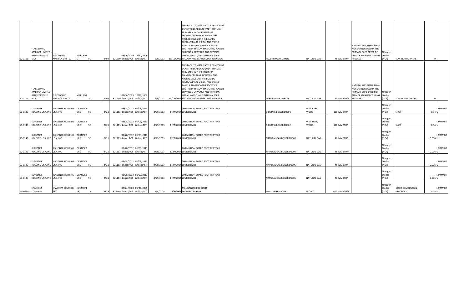|                 |                                     |                                 |                |           |      |                       |           | THIS FACILITY MANUFACTURES MEDIUM           |                             |                    |                               |          |                        |           |
|-----------------|-------------------------------------|---------------------------------|----------------|-----------|------|-----------------------|-----------|---------------------------------------------|-----------------------------|--------------------|-------------------------------|----------|------------------------|-----------|
|                 |                                     |                                 |                |           |      |                       |           | DENSITY FIBERBOARD (MDF) FOR USE            |                             |                    |                               |          |                        |           |
|                 |                                     |                                 |                |           |      |                       |           | <b>PRIMARILY IN THE FURNITURE</b>           |                             |                    |                               |          |                        |           |
|                 |                                     |                                 |                |           |      |                       |           | MANUFACTURING INDUSTRY. THE                 |                             |                    |                               |          |                        |           |
|                 |                                     |                                 |                |           |      |                       |           | <b>AVERAGE SIZES OF THE BOARDS</b>          |                             |                    |                               |          |                        |           |
|                 |                                     |                                 |                |           |      |                       |           | PRODUCED ARE 5' X 16' AND 5' X 18'          |                             |                    |                               |          |                        |           |
|                 |                                     |                                 |                |           |      |                       |           | <b>PANELS. FLAKEBOARD PROCESSES</b>         |                             |                    | NATURAL GAS FIRED, LOW-       |          |                        |           |
|                 |                                     |                                 |                |           |      |                       |           |                                             |                             |                    |                               |          |                        |           |
|                 | FLAKEBOARD                          |                                 |                |           |      |                       |           | SOUTHERN YELLOW PINE CHIPS, PLANER          |                             |                    | NOX BURNER USED IN THE        |          |                        |           |
|                 | AMERICA LIMITED -                   |                                 |                |           |      |                       |           | SHAVINGS, SAWDUST AND PLYTRIM,              |                             |                    | <b>PRIMARY FACE DRYER OF</b>  | Nitrogen |                        |           |
|                 | <b>BENNETTSVILLE</b>                | FLAKEBOARD                      | <b>MARLBOR</b> |           |      | 08/06/2009 12/22/2009 |           | URBAN WOOD, AND INTERNAL/CPB                |                             |                    | AN MDF MANUFACTURING   Oxides |          |                        |           |
| $SC-0111$ MDF   |                                     | <b>AMERICA LIMITED</b>          |                |           |      | 2493 321219  ACT  ACT | 5/9/2012  | 10/16/2012 RECLAIM AND SANDERDUST INTO MDF. | <b>FACE PRIMARY DRYER</b>   | <b>NATURAL GAS</b> | 45 MMBTU/H PROCESS            | (NOx)    | <b>LOW-NOX BURNERS</b> |           |
|                 |                                     |                                 |                |           |      |                       |           |                                             |                             |                    |                               |          |                        |           |
|                 |                                     |                                 |                |           |      |                       |           | THIS FACILITY MANUFACTURES MEDIUM           |                             |                    |                               |          |                        |           |
|                 |                                     |                                 |                |           |      |                       |           | DENSITY FIBERBOARD (MDF) FOR USE            |                             |                    |                               |          |                        |           |
|                 |                                     |                                 |                |           |      |                       |           | <b>PRIMARILY IN THE FURNITURE</b>           |                             |                    |                               |          |                        |           |
|                 |                                     |                                 |                |           |      |                       |           | MANUFACTURING INDUSTRY. THE                 |                             |                    |                               |          |                        |           |
|                 |                                     |                                 |                |           |      |                       |           | <b>AVERAGE SIZES OF THE BOARDS</b>          |                             |                    |                               |          |                        |           |
|                 |                                     |                                 |                |           |      |                       |           | PRODUCED ARE 5' X 16' AND 5' X 18'          |                             |                    |                               |          |                        |           |
|                 |                                     |                                 |                |           |      |                       |           | <b>PANELS. FLAKEBOARD PROCESSES</b>         |                             |                    | NATURAL GAS FIRED, LOW-       |          |                        |           |
|                 | FLAKEBOARD                          |                                 |                |           |      |                       |           | SOUTHERN YELLOW PINE CHIPS, PLANER          |                             |                    | NOX BURNER USED IN THE        |          |                        |           |
|                 | <b>AMERICA LIMITED -</b>            |                                 |                |           |      |                       |           | SHAVINGS, SAWDUST AND PLYTRIM,              |                             |                    | <b>PRIMARY CORE DRYER OF</b>  | Nitrogen |                        |           |
|                 | BENNETTSVILLE                       | FLAKEBOARD                      | <b>MARLBOR</b> |           |      | 08/06/2009 12/22/2009 |           | URBAN WOOD, AND INTERNAL/CPB                |                             |                    | AN MDF MANUFACTURING   Oxides |          |                        |           |
| SC-0111   MDF   |                                     | <b>AMERICA LIMITED</b>          |                |           | 2493 | 321219  ACT    ACT    | 5/9/201   | 10/16/2012 RECLAIM AND SANDERDUST INTO MDF. | <b>CORE PRIMARY DRYER</b>   | NATURAL GAS        | 45 MMBTU/H PROCESS            | (NOx)    | <b>LOW-NOX BURNERS</b> |           |
|                 |                                     |                                 |                |           |      |                       |           |                                             |                             |                    |                               |          |                        |           |
|                 |                                     |                                 |                |           |      |                       |           |                                             |                             |                    |                               | Nitrogen |                        |           |
|                 | <b>KLAUSNER</b>                     | KLAUSNER HOLDING   ORANGEB      |                |           |      | 03/28/2012 01/03/2013 |           | 700 MILLION BOARD FOOT PER YEAR             |                             | WET BARK,          |                               | Oxides   |                        | LB/MMBT   |
|                 | SC-0149  HOLDING USA, INC USA, INC  |                                 | URG            |           |      | 2421 321113  ACT  ACT | 8/29/201  | 8/27/2014 LUMBER MILL                       | <b>BIOMASS BOILER EU001</b> | <b>WOOD</b>        | 120 MMBTU/H                   | (NOx)    | <b>SNCR</b>            | $0.14$ U  |
|                 |                                     |                                 |                |           |      |                       |           |                                             |                             |                    |                               |          |                        |           |
|                 |                                     |                                 |                |           |      |                       |           |                                             |                             |                    |                               | Nitrogen |                        |           |
|                 | KLAUSNER                            | KLAUSNER HOLDING   ORANGEB      |                |           |      | 03/28/2012 01/03/2013 |           | 700 MILLION BOARD FOOT PER YEAR             |                             | WET BARK,          |                               | Oxides   |                        | LB/MMBT   |
|                 | SC-0149 HOLDING USA, INC USA, INC   |                                 | URG            | SC        | 2421 | 321113  ACT  ACT      | 8/29/201  | 8/27/2014 LUMBER MILL                       | <b>BIOMASS BOILER EU002</b> | <b>WOOD</b>        | 120 MMBTU/H                   | (NOx)    | <b>SNCR</b>            | $0.14$ U  |
|                 |                                     |                                 |                |           |      |                       |           |                                             |                             |                    |                               |          |                        |           |
|                 |                                     |                                 |                |           |      |                       |           |                                             |                             |                    |                               | Nitrogen |                        |           |
|                 | KLAUSNER                            | KLAUSNER HOLDING   ORANGEB      |                |           |      | 03/28/2012 01/03/2013 |           | 700 MILLION BOARD FOOT PER YEAR             |                             |                    |                               | Oxides   |                        | LB/MMBT   |
|                 | SC-0149  HOLDING USA, INC USA, INC  |                                 | JRG            |           | 2421 | 321113  ACT  ACT      | 8/29/2013 | 8/27/2014 LUMBER MILL                       | NATURAL GAS BOILER EU003    | NATURAL GAS        | 46 MMBTU/H                    | (NOx)    |                        | $0.036$ U |
|                 |                                     |                                 |                |           |      |                       |           |                                             |                             |                    |                               |          |                        |           |
|                 |                                     |                                 |                |           |      |                       |           |                                             |                             |                    |                               | Nitrogen |                        |           |
|                 | KLAUSNER                            | KLAUSNER HOLDING   ORANGEB      |                |           |      | 03/28/2012 01/03/2013 |           | 700 MILLION BOARD FOOT PER YEAR             |                             |                    |                               | Oxides   |                        | LB/MMBT   |
|                 | SC-0149  HOLDING USA, INC USA, INC  |                                 | URG            |           | 2421 | 321113  ACT  ACT      | 8/29/2013 | 8/27/2014 LUMBER MILL                       | NATURAL GAS BOILER EU004    | <b>NATURAL GAS</b> | 46 MMBTU/H                    | (NOx)    |                        | $0.036$ U |
|                 |                                     |                                 |                |           |      |                       |           |                                             |                             |                    |                               |          |                        |           |
|                 |                                     |                                 |                |           |      |                       |           |                                             |                             |                    |                               | Nitrogen |                        |           |
|                 | KLAUSNER                            | KLAUSNER HOLDING   ORANGEB      |                |           |      | 03/28/2012 01/03/2013 |           | 700 MILLION BOARD FOOT PER YEAR             |                             |                    |                               | Oxides   |                        | LB/MMBT   |
|                 | SC-0149  HOLDING USA, INC USA, INC  |                                 | URG            |           | 2421 | 321113  ACT  ACT      | 8/29/2013 | 8/27/2014 LUMBER MILL                       | NATURAL GAS BOILER EU005    | <b>NATURAL GAS</b> | 46 MMBTU/H                    | (NOx)    |                        | $0.036$ U |
|                 |                                     |                                 |                | <b>SC</b> |      |                       |           |                                             |                             |                    |                               |          |                        |           |
|                 |                                     |                                 |                |           |      |                       |           |                                             |                             |                    |                               | Nitrogen |                        |           |
|                 |                                     |                                 |                |           |      |                       |           |                                             |                             |                    |                               |          |                        |           |
|                 | KLAUSNER                            | KLAUSNER HOLDING   ORANGEB      |                |           |      | 03/28/2012 01/03/2013 |           | 700 MILLION BOARD FOOT PER YEAR             |                             |                    |                               | Oxides   |                        | LB/MMBT   |
|                 | SC-0149   HOLDING USA, INC USA, INC |                                 | URG            |           | 2421 | 321113  ACT  ACT      | 8/29/201  | 8/27/2014 LUMBER MILL                       | NATURAL GAS BOILER EU006    | <b>NATURAL GAS</b> | 46 MMBTU/H                    | (NOx)    |                        | $0.036$ U |
|                 |                                     |                                 |                |           |      |                       |           |                                             |                             |                    |                               |          |                        |           |
|                 | ERACHEM                             |                                 |                |           |      |                       |           | MANGANESE PRODUCTS                          |                             |                    |                               | Nitrogen | <b>GOOD COMBUSTION</b> | LB/MMBT   |
|                 |                                     | <b>ERACHEM COMILOG, HUMPHRE</b> |                |           |      | 07/24/2008 01/28/2009 |           |                                             |                             |                    |                               | Oxides   | <b>PRACTICES</b>       |           |
| TN-0159 COMILOG |                                     | INC.                            |                |           | 2819 | 325199  ACT  ACT      | 6/4/2009  | 6/9/2009 MANUFACTURING                      | <b>WOOD-FIRED BOILER</b>    | <b>WOOD</b>        | 69.3 MMBTU/H                  | (NOx)    |                        | $0.25$ U  |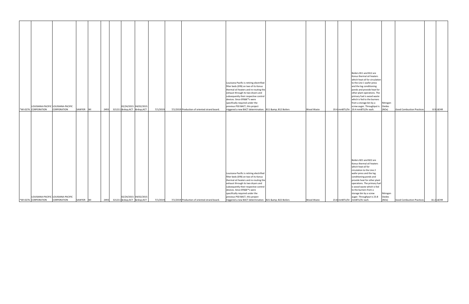| Boilers B11 and B12 are                                                                                                                                                                                                                                                               |                    |                                  |             |
|---------------------------------------------------------------------------------------------------------------------------------------------------------------------------------------------------------------------------------------------------------------------------------------|--------------------|----------------------------------|-------------|
| Konus thermal oil heaters                                                                                                                                                                                                                                                             |                    |                                  |             |
| which heat oil for circulation                                                                                                                                                                                                                                                        |                    |                                  |             |
| Louisiana-Pacific is retiring electrified<br>to the Line 1 wafer press                                                                                                                                                                                                                |                    |                                  |             |
| filter beds (EFB) on two of its Konus<br>and the log conditioning                                                                                                                                                                                                                     |                    |                                  |             |
| thermal oil heaters and re-routing the<br>ponds and provide heat for                                                                                                                                                                                                                  |                    |                                  |             |
| exhaust through its two dryers and<br>other plant operations. The                                                                                                                                                                                                                     |                    |                                  |             |
| subsequently their respective control<br>primary fuel is wood waste                                                                                                                                                                                                                   |                    |                                  |             |
| devices. Since EFB's were<br>which is fed to the burners                                                                                                                                                                                                                              |                    |                                  |             |
| specifically required under the<br>from a storage bin by a                                                                                                                                                                                                                            | Nitrogen           |                                  |             |
| LOUISIANA-PACIFIC LOUISIANA-PACIFIC<br>02/24/2015 04/02/2015<br>previous PSD BACT, this project<br>screw auger. Throughput is $\alpha$ Oxides                                                                                                                                         |                    |                                  |             |
| 2493 321211  ACT $\alpha$ nbsp;ACT<br>7/1/2019<br>19.4 mmBTU/hr $\vert$ 19.4 mmBTU/hr each.<br>CORPORATION<br>triggered a new BACT determination.   B11 & amp; B12 Boilers<br><b>*WI-0276 CORPORATION</b><br>SAWYER WI<br>7/1/2019 Production of oriented strand board.<br>Wood Waste | (NOx)              | <b>Good Combustion Practices</b> | $8.9$ LB/HR |
|                                                                                                                                                                                                                                                                                       |                    |                                  |             |
|                                                                                                                                                                                                                                                                                       |                    |                                  |             |
|                                                                                                                                                                                                                                                                                       |                    |                                  |             |
|                                                                                                                                                                                                                                                                                       |                    |                                  |             |
|                                                                                                                                                                                                                                                                                       |                    |                                  |             |
|                                                                                                                                                                                                                                                                                       |                    |                                  |             |
|                                                                                                                                                                                                                                                                                       |                    |                                  |             |
|                                                                                                                                                                                                                                                                                       |                    |                                  |             |
|                                                                                                                                                                                                                                                                                       |                    |                                  |             |
|                                                                                                                                                                                                                                                                                       |                    |                                  |             |
|                                                                                                                                                                                                                                                                                       |                    |                                  |             |
|                                                                                                                                                                                                                                                                                       |                    |                                  |             |
|                                                                                                                                                                                                                                                                                       |                    |                                  |             |
|                                                                                                                                                                                                                                                                                       |                    |                                  |             |
| Boilers B21 and B22 are                                                                                                                                                                                                                                                               |                    |                                  |             |
| Konus thermal oil heaters                                                                                                                                                                                                                                                             |                    |                                  |             |
| which heat oil for                                                                                                                                                                                                                                                                    |                    |                                  |             |
| circulation to the Line 2                                                                                                                                                                                                                                                             |                    |                                  |             |
| Louisiana-Pacific is retiring electrified<br>wafer press and the log                                                                                                                                                                                                                  |                    |                                  |             |
| filter beds (EFB) on two of its Konus<br>conditioning ponds and                                                                                                                                                                                                                       |                    |                                  |             |
| thermal oil heaters and re-routing the<br>provide heat for other plant                                                                                                                                                                                                                |                    |                                  |             |
| exhaust through its two dryers and<br>operations. The primary fuel                                                                                                                                                                                                                    |                    |                                  |             |
| is wood waste which is fed<br>subsequently their respective control                                                                                                                                                                                                                   |                    |                                  |             |
|                                                                                                                                                                                                                                                                                       |                    |                                  |             |
|                                                                                                                                                                                                                                                                                       |                    |                                  |             |
| devices. Since EFB's were<br>to the burners from a                                                                                                                                                                                                                                    |                    |                                  |             |
| specifically required under the<br>storage bin by a screw<br>02/24/2015 04/02/2015<br>LOUISIANA-PACIFIC LOUISIANA-PACIFIC<br>previous PSD BACT, this project<br>auger. Throughput is 23.8                                                                                             | Nitrogen<br>Oxides |                                  |             |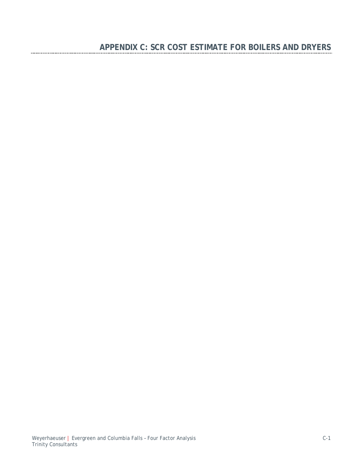---------------------------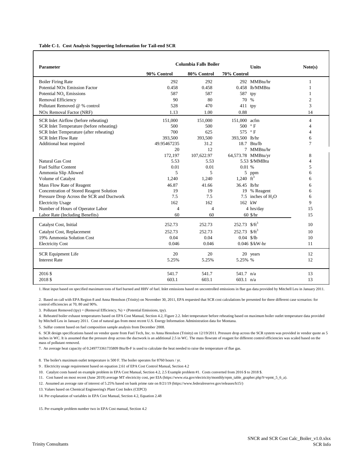#### **Table C-1. Cost Analysis Supporting Information for Tail-end SCR**

| <b>Columbia Falls Boiler</b>                    |             |                |                   |                      |                          |
|-------------------------------------------------|-------------|----------------|-------------------|----------------------|--------------------------|
| <b>Parameter</b>                                | 90% Control | 80% Control    | 70% Control       | <b>Units</b>         | Note(s)                  |
| <b>Boiler Firing Rate</b>                       | 292         | 292            |                   | 292 MMBtu/hr         | 1                        |
| <b>Potential NO<sub>x</sub></b> Emission Factor | 0.458       | 0.458          |                   | 0.458 lb/MMBtu       | 1                        |
| Potential $NOx$ Emissions                       | 587         | 587            | 587               | tpy                  | 1                        |
| Removal Efficiency                              | 90          | 80             | 70 %              |                      | $\mathbf{2}$             |
| Pollutant Removed @ % control                   | 528         | 470            | 411 tpy           |                      | 3                        |
| <b>NOx Removal Factor (NRF)</b>                 | 1.13        | 1.00           | 0.88              |                      | 14                       |
| SCR Inlet Airflow (before reheating)            | 151,000     | 151,000        | 151,000 acfm      |                      | $\overline{4}$           |
| SCR Inlet Temperature (before reheating)        | 500         | 500            | 500               | $\rm ^{\circ}$ F     | $\overline{4}$           |
| SCR Inlet Temperature (after reheating)         | 700         | 625            | 575 °F            |                      | $\overline{\mathcal{L}}$ |
| <b>SCR Inlet Flow Rate</b>                      | 393,500     | 393,500        | 393,500 lb/hr     |                      | 6                        |
| Additional heat required                        | 49.95467235 | 31.2           |                   | 18.7 Btu/lb          | 7                        |
|                                                 | 20          | 12             |                   | 7 MMBtu/hr           |                          |
|                                                 | 172,197     | 107,622.97     |                   | 64,573.78 MMBtu/yr   | 8                        |
| <b>Natural Gas Cost</b>                         | 5.53        | 5.53           |                   | 5.53 \$/MMBtu        | $\overline{4}$           |
| <b>Fuel Sulfur Content</b>                      | 0.01        | 0.01           | 0.01%             |                      | 5                        |
| Ammonia Slip Allowed                            | 5           | 5              |                   | 5 ppm                | 6                        |
| Volume of Catalyst                              | 1,240       | 1,240          | 1,240 $ft^3$      |                      | 6                        |
| Mass Flow Rate of Reagent                       | 46.87       | 41.66          | 36.45 lb/hr       |                      | 6                        |
| Concentration of Stored Reagent Solution        | 19          | 19             |                   | 19 % Reagent         | 6                        |
| Pressure Drop Across the SCR and Ductwork       | 7.5         | 7.5            |                   | 7.5 inches of $H_2O$ | 6                        |
| <b>Electricity Usage</b>                        | 162         | 162            | 162 kW            |                      | 9                        |
| Number of Hours of Operator Labor               | 4           | $\overline{4}$ |                   | 4 hrs/day            | 15                       |
| Labor Rate (Including Benefits)                 | 60          | 60             |                   | 60 \$/hr             | 15                       |
| Catalyst Cost, Initial                          | 252.73      | 252.73         | 252.73 $$/ft^3$   |                      | 10                       |
| Catalyst Cost, Replacement                      | 252.73      | 252.73         | $252.73$ $$/ft^3$ |                      | 10                       |
| 19% Ammonia Solution Cost                       | 0.04        | 0.04           | $0.04$ \$/lb      |                      | 10                       |
| <b>Electricity Cost</b>                         | 0.046       | 0.046          |                   | $0.046$ \$/kW-hr     | 11                       |
| <b>SCR Equipment Life</b>                       | 20          | 20             |                   | 20 years             | 12                       |
| <b>Interest Rate</b>                            | 5.25%       | 5.25%          | 5.25% %           |                      | 12                       |
| 2016 \$                                         | 541.7       | 541.7          | 541.7 n/a         |                      | 13                       |
| 2018 \$                                         | 603.1       | 603.1          | $603.1$ n/a       |                      | 13                       |

1. Heat input based on specified maximum tons of fuel burned and HHV of fuel. Inlet emissions based on uncontrolled emissions in flue gas data provided by Mitchell Leu in January 2011.

2. Based on call with EPA Region 8 and Anna Henolson (Trinity) on November 30, 2011, EPA requested that SCR cost calculations be presented for three different case scenarios: for control efficiencies at 70, 80 and 90%.

3. Pollutant Removed (tpy) = (Removal Efficiency, %)  $\times$  (Potential Emissions, tpy).

4. Reheated boiler exhaust temperatures based on EPA Cost Manual, Section 4.2, Figure 2.2. Inlet temperature before reheating based on maximum boiler outlet temperature data provided by Mitchell Leu in January 2011. Cost of natural gas from most recent U.S. Energy Information Administration data for Montana.

5. Sulfur content based on fuel composition sample analysis from December 2008.

6. SCR design specifications based on vendor quote from Fuel Tech, Inc. to Anna Henolson (Trinity) on 12/19/2011. Pressure drop across the SCR system was provided in vendor quote as 5 inches in WC. It is assumed that the pressure drop across the ductwork is an additional 2.5 in WC. The mass flowrate of reagant for different control efficiencies was scaled based on the mass of pollutant removed.

7. An average heat capacity of 0.249773361735809 Btu/lb-F is used to calculate the heat needed to raise the temperature of flue gas.

8. The boiler's maximum outlet temperature is 500 F. The boiler operates for 8760 hours / yr.

9 . Electricity usage requirement based on equation 2.61 of EPA Cost Control Manual, Section 4.2

10. Catalyst costs based on example problem in EPA Cost Manual, Section 4.2, 2.5 Example problem #1. Costs converted from 2016 \$ to 2018 \$.

11. Cost based on most recent (June 2019) average MT electricity cost, per EIA (https://www.eia.gov/electricity/monthly/epm\_table\_grapher.php?t=epmt\_5\_6\_a).

12. Assumed an average rate of interest of 5.25% based on bank prime rate on 8/21/19 (https://www.federalreserve.gov/releases/h15/)

13. Values based on Chemical Engineering's Plant Cost Index (CEPCI)

14. Per explanation of variables in EPA Cost Manual, Section 4.2, Equation 2.48

15. Per example problem number two in EPA Cost manual, Section 4.2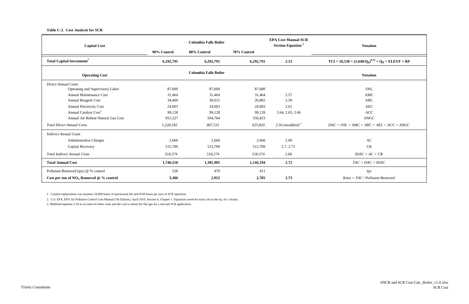**Table C-2. Cost Analysis for SCR**

| <b>Capital Cost</b>                          |             | <b>Columbia Falls Boiler</b> |             | <b>EPA Cost Manual SCR</b><br><b>Section Equation</b> <sup>2</sup> | <b>Notation</b>                                                            |
|----------------------------------------------|-------------|------------------------------|-------------|--------------------------------------------------------------------|----------------------------------------------------------------------------|
|                                              | 90% Control | 80% Control                  | 70% Control |                                                                    |                                                                            |
| <b>Total Capital Investment</b> <sup>7</sup> | 6,292,791   | 6,292,791                    | 6,292,791   | 2.53                                                               | $TCI = 10,530 \times (1,640/Q_B)^{0.35} \times Q_B \times ELEVF \times RF$ |
| <b>Operating Cost</b>                        |             | <b>Columbia Falls Boiler</b> |             |                                                                    | <b>Notation</b>                                                            |
| Direct Annual Costs                          |             |                              |             |                                                                    |                                                                            |
| Operating and Supervisory Labor              | 87,600      | 87,600                       | 87,600      |                                                                    | <b>OSL</b>                                                                 |
| <b>Annual Maintenance Cost</b>               | 31,464      | 31,464                       | 31,464      | 2.57                                                               | <b>AMC</b>                                                                 |
| Annual Reagent Cost                          | 34,460      | 30,631                       | 26,802      | 2.58                                                               | <b>ARC</b>                                                                 |
| <b>Annual Electricity Cost</b>               | 24,003      | 24,003                       | 24,003      | 2.61                                                               | AEC                                                                        |
| Annual Catalyst Cost <sup>1</sup>            | 99,128      | 99,128                       | 99,128      | 2.64, 2.65, 2.66                                                   | $\mathbf{ACC}$                                                             |
| Annual Air Reheat Natural Gas Cost           | 951,527     | 594,704                      | 356,823     |                                                                    | <b>ANGC</b>                                                                |
| <b>Total Direct Annual Costs</b>             | 1,228,182   | 867,531                      | 625,820     | 2.56 (modified) $3$                                                | $DAC = OSL + AMC + ARC + AEL + ACC + ANGC$                                 |
| <b>Indirect Annual Costs</b>                 |             |                              |             |                                                                    |                                                                            |
| <b>Administrative Charges</b>                | 2,666       | 2,666                        | 2,666       | 2.69                                                               | AC                                                                         |
| Capital Recovery                             | 515,709     | 515,709                      | 515,709     | 2.7, 2.71                                                          | <b>CR</b>                                                                  |
| <b>Total Indirect Annual Costs</b>           | 518,374     | 518,374                      | 518,374     | 2.68                                                               | $IDAC = AC + CR$                                                           |
| <b>Total Annual Cost</b>                     | 1,746,556   | 1,385,905                    | 1,144,194   | 2.72                                                               | $TAC = DAC + IDAC$                                                         |
| Pollutant Removed (tpy) @ % control          | 528         | 470                          | 411         |                                                                    | tpy                                                                        |
| Cost per ton of $NOX$ Removed @ % control    | 3,306       | 2,952                        | 2,785       | 2.73                                                               | $\$/ton = TAC / Pollutant$ Removed                                         |

1. Catalyst replacement cost assumes 24,000 hours of operational life and 8760 hours per year of SCR operation.

2. U.S. EPA, EPA Air Pollution Control Cost Manual (7th Edition), April 2019, Section 4, Chapter 1. Equations noted for each cost in the eq. ref. column.

3. Modified equation 2.56 to account for labor costs and the cost to reheat the flue gas for a tail-end SCR application.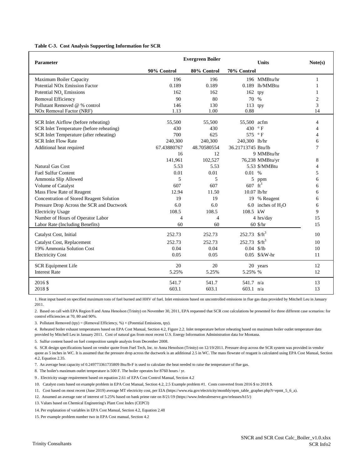#### **Table C-3. Cost Analysis Supporting Information for SCR**

| Parameter                                       | <b>Evergreen Boiler</b> |             |                    | <b>Units</b>         | Note(s)        |
|-------------------------------------------------|-------------------------|-------------|--------------------|----------------------|----------------|
|                                                 | 90% Control             | 80% Control | 70% Control        |                      |                |
| Maximum Boiler Capacity                         | 196                     | 196         |                    | 196 MMBtu/hr         | 1              |
| <b>Potential NO<sub>x</sub></b> Emission Factor | 0.189                   | 0.189       |                    | 0.189 lb/MMBtu       | 1              |
| Potential $NOx$ Emissions                       | 162                     | 162         | 162                | tpy                  | 1              |
| Removal Efficiency                              | 90                      | 80          | 70 %               |                      | $\overline{2}$ |
| Pollutant Removed @ % control                   | 146                     | 130         | 113 tpy            |                      | 3              |
| <b>NOx Removal Factor (NRF)</b>                 | 1.13                    | 1.00        | 0.88               |                      | 14             |
| SCR Inlet Airflow (before reheating)            | 55,500                  | 55,500      | 55,500 acfm        |                      | 4              |
| SCR Inlet Temperature (before reheating)        | 430                     | 430         | 430 °F             |                      | 4              |
| SCR Inlet Temperature (after reheating)         | 700                     | 625         | 575 °F             |                      | $\overline{4}$ |
| <b>SCR Inlet Flow Rate</b>                      | 240,300                 | 240,300     | 240,300 lb/hr      |                      | 6              |
| Additional heat required                        | 67.43880767             | 48.70580554 | 36.21713745 Btu/lb |                      | 7              |
|                                                 | 16                      | 12          |                    | 9 MMBtu/hr           |                |
|                                                 | 141,961                 | 102,527     |                    | 76,238 MMBtu/yr      | 8              |
| <b>Natural Gas Cost</b>                         | 5.53                    | 5.53        |                    | 5.53 \$/MMBtu        | 4              |
| <b>Fuel Sulfur Content</b>                      | 0.01                    | 0.01        | 0.01 %             |                      | 5              |
| Ammonia Slip Allowed                            | 5                       | 5           |                    | 5 ppm                | 6              |
| Volume of Catalyst                              | 607                     | 607         | $607 \text{ ft}^3$ |                      | 6              |
| Mass Flow Rate of Reagent                       | 12.94                   | 11.50       | $10.07$ lb/hr      |                      | 6              |
| Concentration of Stored Reagent Solution        | 19                      | 19          |                    | 19 % Reagent         | 6              |
| Pressure Drop Across the SCR and Ductwork       | 6.0                     | 6.0         |                    | 6.0 inches of $H_2O$ | 6              |
| <b>Electricity Usage</b>                        | 108.5                   | 108.5       | 108.5 kW           |                      | 9              |
| Number of Hours of Operator Labor               | 4                       | 4           |                    | 4 hrs/day            | 15             |
| Labor Rate (Including Benefits)                 | 60                      | 60          |                    | 60 \$/hr             | 15             |
| Catalyst Cost, Initial                          | 252.73                  | 252.73      | 252.73 $$/ft^3$    |                      | 10             |
| Catalyst Cost, Replacement                      | 252.73                  | 252.73      | $252.73$ $$/ft^3$  |                      | 10             |
| 19% Ammonia Solution Cost                       | 0.04                    | 0.04        | $0.04$ \$/lb       |                      | 10             |
| <b>Electricity Cost</b>                         | 0.05                    | 0.05        |                    | $0.05$ \$/kW-hr      | 11             |
| <b>SCR Equipment Life</b>                       | 20                      | 20          |                    | 20 years             | 12             |
| <b>Interest Rate</b>                            | 5.25%                   | 5.25%       | 5.25% %            |                      | 12             |
| 2016 \$                                         | 541.7                   | 541.7       | 541.7 n/a          |                      | 13             |
| 2018 \$                                         | 603.1                   | 603.1       | 603.1 $n/a$        |                      | 13             |

1. Heat input based on specified maximum tons of fuel burned and HHV of fuel. Inlet emissions based on uncontrolled emissions in flue gas data provided by Mitchell Leu in January 2011.

2. Based on call with EPA Region 8 and Anna Henolson (Trinity) on November 30, 2011, EPA requested that SCR cost calculations be presented for three different case scenarios: for control efficiencies at 70, 80 and 90%.

3. Pollutant Removed (tpy) = (Removal Efficiency, %)  $\times$  (Potential Emissions, tpy).

4. Reheated boiler exhaust temperatures based on EPA Cost Manual, Section 4.2, Figure 2.2. Inlet temperature before reheating based on maximum boiler outlet temperature data provided by Mitchell Leu in January 2011. Cost of natural gas from most recent U.S. Energy Information Administration data for Montana.

5. Sulfur content based on fuel composition sample analysis from December 2008.

6. SCR design specifications based on vendor quote from Fuel Tech, Inc. to Anna Henolson (Trinity) on 12/19/2011. Pressure drop across the SCR system was provided in vendor quote as 5 inches in WC. It is assumed that the pressure drop across the ductwork is an additional 2.5 in WC. The mass flowrate of reagant is calculated using EPA Cost Manual, Section 4.2, Equation 2.35.

7. An average heat capacity of 0.249773361735809 Btu/lb-F is used to calculate the heat needed to raise the temperature of flue gas.

8. The boiler's maximum outlet temperature is 500 F. The boiler operates for 8760 hours / yr.

9 . Electricity usage requirement based on equation 2.61 of EPA Cost Control Manual, Section 4.2

10. Catalyst costs based on example problem in EPA Cost Manual, Section 4.2, 2.5 Example problem #1. Costs converted from 2016 \$ to 2018 \$.

11. Cost based on most recent (June 2019) average MT electricity cost, per EIA (https://www.eia.gov/electricity/monthly/epm\_table\_grapher.php?t=epmt\_5\_6\_a).

12. Assumed an average rate of interest of 5.25% based on bank prime rate on 8/21/19 (https://www.federalreserve.gov/releases/h15/)

13. Values based on Chemical Engineering's Plant Cost Index (CEPCI)

14. Per explanation of variables in EPA Cost Manual, Section 4.2, Equation 2.48

15. Per example problem number two in EPA Cost manual, Section 4.2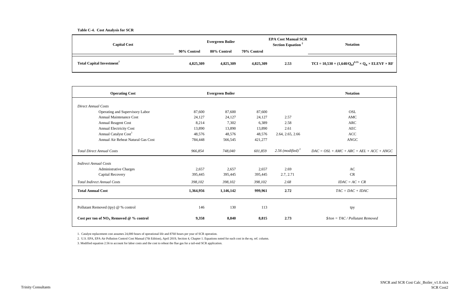#### **Table C-4. Cost Analysis for SCR**

#### **Section Equation <sup>2</sup> Notation**

 $640/Q_B^{0.35} \times Q_B \times ELEVF \times RF$ 

| <b>Capital Cost</b>                          | Evergreen Boiler |             |             | <b>EPA Cost Manual SCR</b><br><b>Section Equation</b> <sup>2</sup> | <b>Notat</b>                      |
|----------------------------------------------|------------------|-------------|-------------|--------------------------------------------------------------------|-----------------------------------|
|                                              | 90% Control      | 80% Control | 70% Control |                                                                    |                                   |
| <b>Total Capital Investment</b> <sup>7</sup> | 4,825,309        | 4,825,309   | 4,825,309   | 2.53                                                               | $TCI = 10,530 \times (1,640/Q_B)$ |

| <b>Operating Cost</b>                     | <b>Evergreen Boiler</b> |           |         | <b>Notation</b>     |                                            |
|-------------------------------------------|-------------------------|-----------|---------|---------------------|--------------------------------------------|
| <b>Direct Annual Costs</b>                |                         |           |         |                     |                                            |
| Operating and Supervisory Labor           | 87,600                  | 87,600    | 87,600  |                     | <b>OSL</b>                                 |
| <b>Annual Maintenance Cost</b>            | 24,127                  | 24,127    | 24,127  | 2.57                | <b>AMC</b>                                 |
| <b>Annual Reagent Cost</b>                | 8,214                   | 7,302     | 6,389   | 2.58                | <b>ARC</b>                                 |
| <b>Annual Electricity Cost</b>            | 13,890                  | 13,890    | 13,890  | 2.61                | <b>AEC</b>                                 |
| Annual Catalyst Cost <sup>1</sup>         | 48,576                  | 48,576    | 48,576  | 2.64, 2.65, 2.66    | <b>ACC</b>                                 |
| Annual Air Reheat Natural Gas Cost        |                         |           | 421,277 |                     | <b>ANGC</b>                                |
|                                           | 784,448                 | 566,545   |         |                     |                                            |
| <b>Total Direct Annual Costs</b>          | 966,854                 | 748,040   | 601,859 | 2.56 (modified) $3$ | $DAC = OSL + AMC + ARC + AEL + ACC + ANGC$ |
|                                           |                         |           |         |                     |                                            |
| <b>Indirect Annual Costs</b>              |                         |           |         |                     |                                            |
| <b>Administrative Charges</b>             | 2,657                   | 2,657     | 2,657   | 2.69                | AC                                         |
| Capital Recovery                          | 395,445                 | 395,445   | 395,445 | 2.7, 2.71           | <b>CR</b>                                  |
| <b>Total Indirect Annual Costs</b>        | 398,102                 | 398,102   | 398,102 | 2.68                | $IDAC = AC + CR$                           |
| <b>Total Annual Cost</b>                  | 1,364,956               | 1,146,142 | 999,961 | 2.72                | $TAC = DAC + IDAC$                         |
|                                           |                         |           |         |                     |                                            |
| Pollutant Removed (tpy) @ % control       | 146                     | 130       | 113     |                     | tpy                                        |
| Cost per ton of $NOx$ Removed @ % control | 9,358                   | 8,840     | 8,815   | 2.73                | $\$/ton = TAC / Pollutant$ Removed         |

1. Catalyst replacement cost assumes 24,000 hours of operational life and 8760 hours per year of SCR operation.

2. U.S. EPA, EPA Air Pollution Control Cost Manual (7th Edition), April 2019, Section 4, Chapter 1. Equations noted for each cost in the eq. ref. column.

3. Modified equation 2.56 to account for labor costs and the cost to reheat the flue gas for a tail-end SCR application.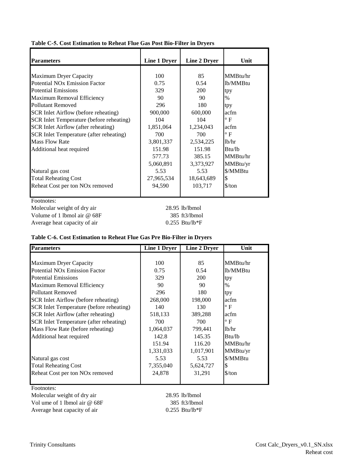| <b>Parameters</b>                               | Line 1 Dryer | <b>Line 2 Dryer</b> | Unit                          |
|-------------------------------------------------|--------------|---------------------|-------------------------------|
|                                                 |              |                     |                               |
| <b>Maximum Dryer Capacity</b>                   | 100          | 85                  | MMBtu/hr                      |
| <b>Potential NO<sub>x</sub></b> Emission Factor | 0.75         | 0.54                | lb/MMBtu                      |
| <b>Potential Emissions</b>                      | 329          | 200                 | tpy                           |
| Maximum Removal Efficiency                      | 90           | 90                  | $\%$                          |
| Pollutant Removed                               | 296          | 180                 | tpy                           |
| SCR Inlet Airflow (before reheating)            | 900,000      | 600,000             | acfm                          |
| SCR Inlet Temperature (before reheating)        | 104          | 104                 | $^{\circ}$ F                  |
| SCR Inlet Airflow (after reheating)             | 1,851,064    | 1,234,043           | acfm                          |
| SCR Inlet Temperature (after reheating)         | 700          | 700                 | $\rm ^{\circ}$ F              |
| <b>Mass Flow Rate</b>                           | 3,801,337    | 2,534,225           | lb/hr                         |
| Additional heat required                        | 151.98       | 151.98              | Btu/lb                        |
|                                                 | 577.73       | 385.15              | MMBtu/hr                      |
|                                                 | 5,060,891    | 3,373,927           | MMBtu/yr                      |
| Natural gas cost                                | 5.53         | 5.53                | \$/MMBtu                      |
| <b>Total Reheating Cost</b>                     | 27,965,534   | 18,643,689          | S                             |
| Reheat Cost per ton NO <sub>x</sub> removed     | 94,590       | 103,717             | $\frac{\text{S}}{\text{ton}}$ |
|                                                 |              |                     |                               |

#### **Table C-5. Cost Estimation to Reheat Flue Gas Post Bio-Filter in Dryers**

Molecular weight of dry air 28.95 lb/lbmol Volume of 1 lbmol air @ 68F 385 ft3/lbmol Average heat capacity of air 0.255 Btu/lb\*F

#### **Table C-6. Cost Estimation to Reheat Flue Gas Pre Bio-Filter in Dryers**

| <b>Parameters</b>                               | <b>Line 1 Dryer</b> | Line 2 Dryer | Unit                          |
|-------------------------------------------------|---------------------|--------------|-------------------------------|
|                                                 |                     |              |                               |
| <b>Maximum Dryer Capacity</b>                   | 100                 | 85           | MMBtu/hr                      |
| <b>Potential NO<sub>x</sub></b> Emission Factor | 0.75                | 0.54         | lb/MMBtu                      |
| <b>Potential Emissions</b>                      | 329                 | 200          | tpy                           |
| Maximum Removal Efficiency                      | 90                  | 90           | $\%$                          |
| <b>Pollutant Removed</b>                        | 296                 | 180          | tpy                           |
| SCR Inlet Airflow (before reheating)            | 268,000             | 198,000      | acfm                          |
| SCR Inlet Temperature (before reheating)        | 140                 | 130          | $\circ$ F                     |
| SCR Inlet Airflow (after reheating)             | 518,133             | 389,288      | acfm                          |
| SCR Inlet Temperature (after reheating)         | 700                 | 700          | $\circ$ F                     |
| Mass Flow Rate (before reheating)               | 1,064,037           | 799,441      | 1 <sub>b</sub> /hr            |
| Additional heat required                        | 142.8               | 145.35       | Btu/lb                        |
|                                                 | 151.94              | 116.20       | MMBtu/hr                      |
|                                                 | 1,331,033           | 1,017,901    | MMBtu/yr                      |
| Natural gas cost                                | 5.53                | 5.53         | \$/MMBtu                      |
| <b>Total Reheating Cost</b>                     | 7,355,040           | 5,624,727    | \$                            |
| Reheat Cost per ton NO <sub>x</sub> removed     | 24,878              | 31,291       | $\frac{\text{S}}{\text{ton}}$ |

Footnotes:

Molecular weight of dry air 28.95 lb/lbmol Vol ume of 1 lbmol air @ 68F 385 ft3/lbmol Average heat capacity of air 0.255 Btu/lb\*F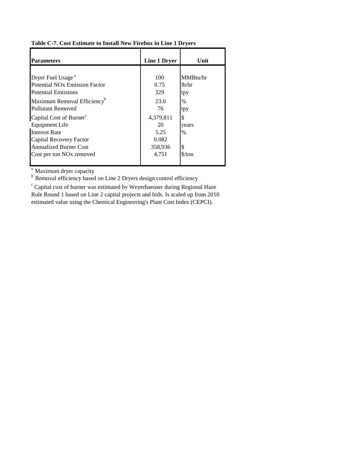#### **Table C-7. Cost Estimate to Install New Firebox in Line 1 Dryers**

| <b>Parameters</b>                         | Line 1 Dryer | Unit                          |
|-------------------------------------------|--------------|-------------------------------|
|                                           |              |                               |
| Dryer Fuel Usage <sup>a</sup>             | 100          | MMBtu/hr                      |
| Potential NO <sub>x</sub> Emission Factor | 0.75         | lb/hr                         |
| <b>Potential Emissions</b>                | 329          | tpy                           |
| Maximum Removal Efficiency <sup>b</sup>   | 23.0         | %                             |
| <b>Pollutant Removed</b>                  | 76           | tpy                           |
| Capital Cost of Burner <sup>c</sup>       | 4,379,811    | \$                            |
| Equipment Life                            | 20           | years                         |
| <b>Interest Rate</b>                      | 5.25         | $\%$                          |
| Capital Recovery Factor                   | 0.082        |                               |
| <b>Annualized Burner Cost</b>             | 358,936      | \$                            |
| Cost per ton NO <sub>x</sub> removed      | 4,751        | $\frac{\text{S}}{\text{ton}}$ |

<sup>a</sup> Maximum dryer capacity

<sup>b</sup> Removal efficiency based on Line 2 Dryers design control efficiency

<sup>c</sup> Capital cost of burner was estimated by Weyerhaeuser during Regional Haze Rule Round 1 based on Line 2 capital projects and bids. Is scaled up from 2010 estimated value using the Chemical Engineering's Plant Cost Index (CEPCI).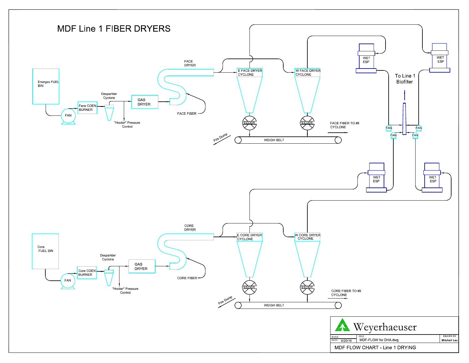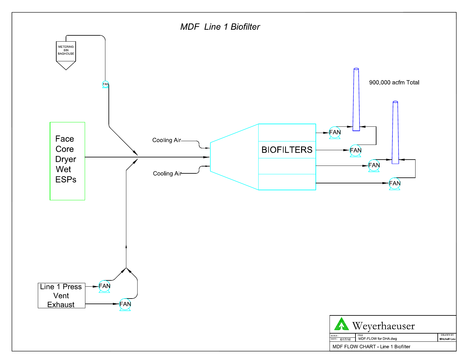